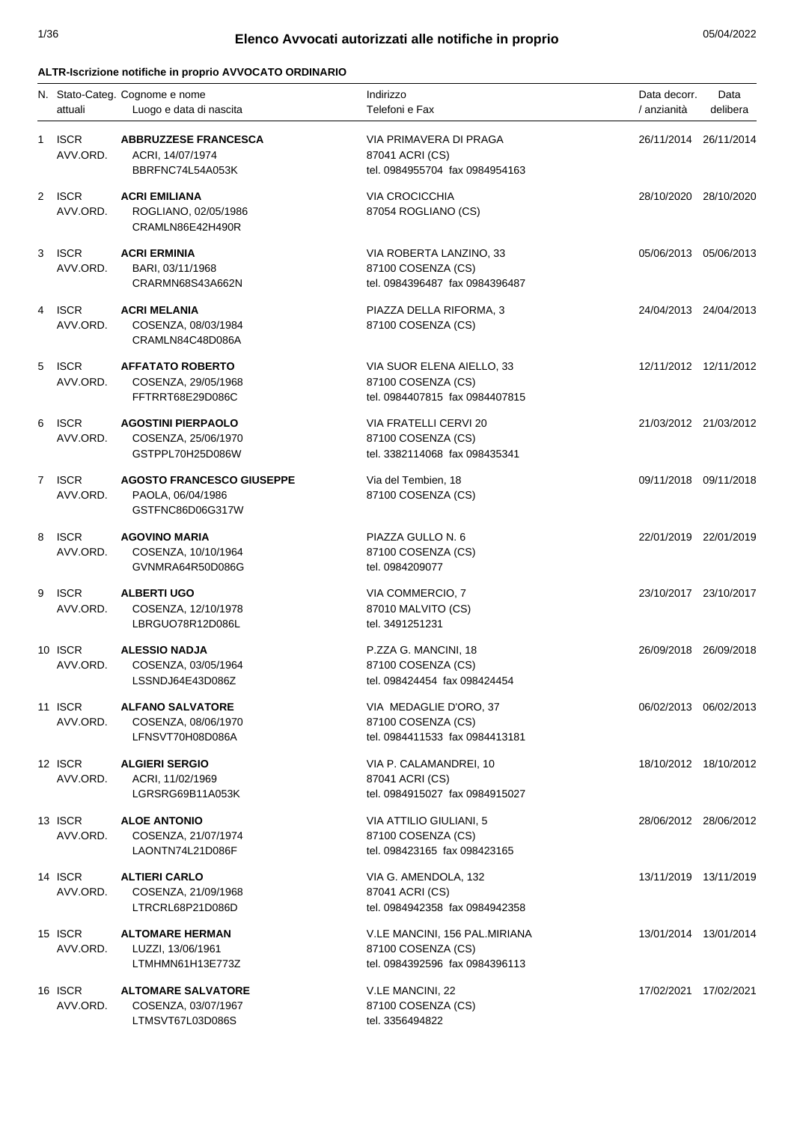# 1/36 05/04/2022 **Elenco Avvocati autorizzati alle notifiche in proprio**

#### **ALTR-Iscrizione notifiche in proprio AVVOCATO ORDINARIO**

|   | attuali                 | N. Stato-Categ. Cognome e nome<br>Luogo e data di nascita                 | Indirizzo<br>Telefoni e Fax                                                           | Data decorr.<br>/ anzianità | Data<br>delibera      |
|---|-------------------------|---------------------------------------------------------------------------|---------------------------------------------------------------------------------------|-----------------------------|-----------------------|
| 1 | <b>ISCR</b><br>AVV.ORD. | <b>ABBRUZZESE FRANCESCA</b><br>ACRI, 14/07/1974<br>BBRFNC74L54A053K       | VIA PRIMAVERA DI PRAGA<br>87041 ACRI (CS)<br>tel. 0984955704 fax 0984954163           | 26/11/2014 26/11/2014       |                       |
|   | 2 ISCR<br>AVV.ORD.      | <b>ACRI EMILIANA</b><br>ROGLIANO, 02/05/1986<br>CRAMLN86E42H490R          | <b>VIA CROCICCHIA</b><br>87054 ROGLIANO (CS)                                          | 28/10/2020 28/10/2020       |                       |
| 3 | <b>ISCR</b><br>AVV.ORD. | <b>ACRI ERMINIA</b><br>BARI, 03/11/1968<br>CRARMN68S43A662N               | VIA ROBERTA LANZINO, 33<br>87100 COSENZA (CS)<br>tel. 0984396487 fax 0984396487       | 05/06/2013 05/06/2013       |                       |
| 4 | <b>ISCR</b><br>AVV.ORD. | <b>ACRI MELANIA</b><br>COSENZA, 08/03/1984<br>CRAMLN84C48D086A            | PIAZZA DELLA RIFORMA, 3<br>87100 COSENZA (CS)                                         | 24/04/2013 24/04/2013       |                       |
| 5 | <b>ISCR</b><br>AVV.ORD. | <b>AFFATATO ROBERTO</b><br>COSENZA, 29/05/1968<br>FFTRRT68E29D086C        | VIA SUOR ELENA AIELLO, 33<br>87100 COSENZA (CS)<br>tel. 0984407815 fax 0984407815     | 12/11/2012 12/11/2012       |                       |
| 6 | <b>ISCR</b><br>AVV.ORD. | <b>AGOSTINI PIERPAOLO</b><br>COSENZA, 25/06/1970<br>GSTPPL70H25D086W      | VIA FRATELLI CERVI 20<br>87100 COSENZA (CS)<br>tel. 3382114068 fax 098435341          | 21/03/2012 21/03/2012       |                       |
|   | 7 ISCR<br>AVV.ORD.      | <b>AGOSTO FRANCESCO GIUSEPPE</b><br>PAOLA, 06/04/1986<br>GSTFNC86D06G317W | Via del Tembien, 18<br>87100 COSENZA (CS)                                             | 09/11/2018 09/11/2018       |                       |
| 8 | <b>ISCR</b><br>AVV.ORD. | <b>AGOVINO MARIA</b><br>COSENZA, 10/10/1964<br>GVNMRA64R50D086G           | PIAZZA GULLO N. 6<br>87100 COSENZA (CS)<br>tel. 0984209077                            | 22/01/2019 22/01/2019       |                       |
| 9 | <b>ISCR</b><br>AVV.ORD. | <b>ALBERTI UGO</b><br>COSENZA, 12/10/1978<br>LBRGUO78R12D086L             | VIA COMMERCIO, 7<br>87010 MALVITO (CS)<br>tel. 3491251231                             | 23/10/2017 23/10/2017       |                       |
|   | 10 ISCR<br>AVV.ORD.     | <b>ALESSIO NADJA</b><br>COSENZA, 03/05/1964<br>LSSNDJ64E43D086Z           | P.ZZA G. MANCINI, 18<br>87100 COSENZA (CS)<br>tel. 098424454 fax 098424454            | 26/09/2018 26/09/2018       |                       |
|   | 11 ISCR<br>AVV.ORD.     | <b>ALFANO SALVATORE</b><br>COSENZA, 08/06/1970<br>LFNSVT70H08D086A        | VIA MEDAGLIE D'ORO, 37<br>87100 COSENZA (CS)<br>tel. 0984411533 fax 0984413181        | 06/02/2013 06/02/2013       |                       |
|   | 12 ISCR<br>AVV.ORD.     | <b>ALGIERI SERGIO</b><br>ACRI, 11/02/1969<br>LGRSRG69B11A053K             | VIA P. CALAMANDREI, 10<br>87041 ACRI (CS)<br>tel. 0984915027 fax 0984915027           |                             | 18/10/2012 18/10/2012 |
|   | 13 ISCR<br>AVV.ORD.     | <b>ALOE ANTONIO</b><br>COSENZA, 21/07/1974<br>LAONTN74L21D086F            | VIA ATTILIO GIULIANI, 5<br>87100 COSENZA (CS)<br>tel. 098423165 fax 098423165         | 28/06/2012 28/06/2012       |                       |
|   | 14 ISCR<br>AVV.ORD.     | <b>ALTIERI CARLO</b><br>COSENZA, 21/09/1968<br>LTRCRL68P21D086D           | VIA G. AMENDOLA, 132<br>87041 ACRI (CS)<br>tel. 0984942358 fax 0984942358             |                             | 13/11/2019 13/11/2019 |
|   | 15 ISCR<br>AVV.ORD.     | <b>ALTOMARE HERMAN</b><br>LUZZI, 13/06/1961<br>LTMHMN61H13E773Z           | V.LE MANCINI, 156 PAL.MIRIANA<br>87100 COSENZA (CS)<br>tel. 0984392596 fax 0984396113 | 13/01/2014 13/01/2014       |                       |
|   | 16 ISCR<br>AVV.ORD.     | <b>ALTOMARE SALVATORE</b><br>COSENZA, 03/07/1967<br>LTMSVT67L03D086S      | V.LE MANCINI, 22<br>87100 COSENZA (CS)<br>tel. 3356494822                             | 17/02/2021 17/02/2021       |                       |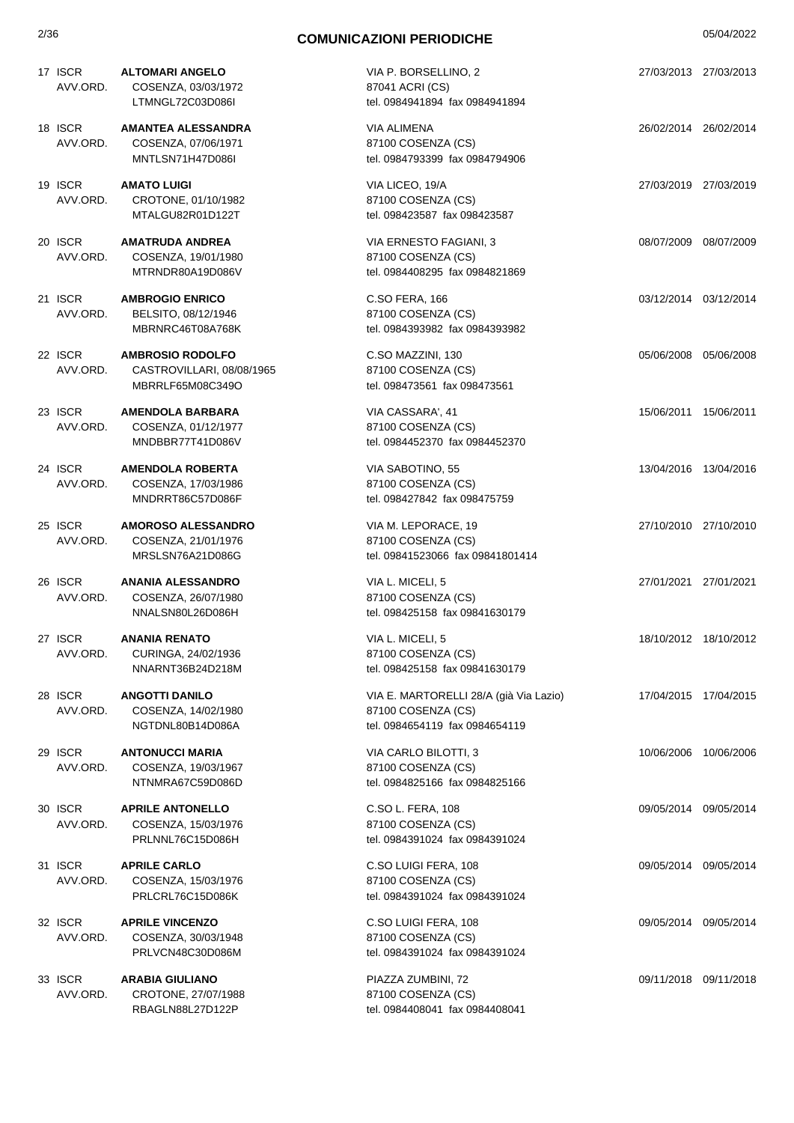| 17 ISCR<br>AVV.ORD. | <b>ALTOMARI ANGELO</b><br>COSENZA, 03/03/1972 | VIA P. BORSELLINO, 2<br>87041 ACRI (CS) | 27/03/2013 27/03/2013 |  |
|---------------------|-----------------------------------------------|-----------------------------------------|-----------------------|--|
|                     | LTMNGL72C03D086I                              | tel. 0984941894 fax 0984941894          |                       |  |
| 18 ISCR             | <b>AMANTEA ALESSANDRA</b>                     | VIA ALIMENA                             | 26/02/2014 26/02/2014 |  |
| AVV.ORD.            | COSENZA, 07/06/1971                           | 87100 COSENZA (CS)                      |                       |  |
|                     | MNTLSN71H47D086I                              | tel. 0984793399 fax 0984794906          |                       |  |
| 19 ISCR             | <b>AMATO LUIGI</b>                            | VIA LICEO, 19/A                         | 27/03/2019 27/03/2019 |  |
| AVV.ORD.            | CROTONE, 01/10/1982                           | 87100 COSENZA (CS)                      |                       |  |
|                     | MTALGU82R01D122T                              | tel. 098423587 fax 098423587            |                       |  |
| 20 ISCR             | <b>AMATRUDA ANDREA</b>                        | VIA ERNESTO FAGIANI, 3                  | 08/07/2009 08/07/2009 |  |
| AVV.ORD.            | COSENZA, 19/01/1980                           | 87100 COSENZA (CS)                      |                       |  |
|                     | MTRNDR80A19D086V                              | tel. 0984408295 fax 0984821869          |                       |  |
| 21 ISCR             | <b>AMBROGIO ENRICO</b>                        | C.SO FERA, 166                          | 03/12/2014 03/12/2014 |  |
| AVV.ORD.            | BELSITO, 08/12/1946                           | 87100 COSENZA (CS)                      |                       |  |
|                     | MBRNRC46T08A768K                              | tel. 0984393982 fax 0984393982          |                       |  |
| 22 ISCR             | <b>AMBROSIO RODOLFO</b>                       | C.SO MAZZINI, 130                       | 05/06/2008 05/06/2008 |  |
| AVV.ORD.            | CASTROVILLARI, 08/08/1965                     | 87100 COSENZA (CS)                      |                       |  |
|                     | MBRRLF65M08C349O                              | tel. 098473561 fax 098473561            |                       |  |
| 23 ISCR             | <b>AMENDOLA BARBARA</b>                       | VIA CASSARA', 41                        | 15/06/2011 15/06/2011 |  |
| AVV.ORD.            | COSENZA, 01/12/1977                           | 87100 COSENZA (CS)                      |                       |  |
|                     | MNDBBR77T41D086V                              | tel. 0984452370 fax 0984452370          |                       |  |
| 24 ISCR             | <b>AMENDOLA ROBERTA</b>                       | VIA SABOTINO, 55                        | 13/04/2016 13/04/2016 |  |
| AVV.ORD.            | COSENZA, 17/03/1986                           | 87100 COSENZA (CS)                      |                       |  |
|                     | MNDRRT86C57D086F                              | tel. 098427842 fax 098475759            |                       |  |
| 25 ISCR             | <b>AMOROSO ALESSANDRO</b>                     | VIA M. LEPORACE, 19                     | 27/10/2010 27/10/2010 |  |
| AVV.ORD.            | COSENZA, 21/01/1976                           | 87100 COSENZA (CS)                      |                       |  |
|                     | MRSLSN76A21D086G                              | tel. 09841523066 fax 09841801414        |                       |  |
| 26 ISCR             | <b>ANANIA ALESSANDRO</b>                      | VIA L. MICELI, 5                        | 27/01/2021 27/01/2021 |  |
| AVV.ORD.            | COSENZA, 26/07/1980                           | 87100 COSENZA (CS)                      |                       |  |
|                     | NNALSN80L26D086H                              | tel. 098425158 fax 09841630179          |                       |  |
| 27 ISCR             | <b>ANANIA RENATO</b>                          | VIA L. MICELI, 5                        | 18/10/2012 18/10/2012 |  |
| AVV.ORD.            | CURINGA, 24/02/1936                           | 87100 COSENZA (CS)                      |                       |  |
|                     | NNARNT36B24D218M                              | tel. 098425158 fax 09841630179          |                       |  |
| 28 ISCR             | <b>ANGOTTI DANILO</b>                         | VIA E. MARTORELLI 28/A (già Via Lazio)  | 17/04/2015 17/04/2015 |  |
| AVV.ORD.            | COSENZA, 14/02/1980                           | 87100 COSENZA (CS)                      |                       |  |
|                     | NGTDNL80B14D086A                              | tel. 0984654119 fax 0984654119          |                       |  |
| 29 ISCR             | <b>ANTONUCCI MARIA</b>                        | VIA CARLO BILOTTI, 3                    | 10/06/2006 10/06/2006 |  |
| AVV.ORD.            | COSENZA, 19/03/1967                           | 87100 COSENZA (CS)                      |                       |  |
|                     | NTNMRA67C59D086D                              | tel. 0984825166 fax 0984825166          |                       |  |
| 30 ISCR             | <b>APRILE ANTONELLO</b>                       | C.SO L. FERA, 108                       | 09/05/2014 09/05/2014 |  |
| AVV.ORD.            | COSENZA, 15/03/1976                           | 87100 COSENZA (CS)                      |                       |  |
|                     | PRLNNL76C15D086H                              | tel. 0984391024 fax 0984391024          |                       |  |
| 31 ISCR             | <b>APRILE CARLO</b>                           | C.SO LUIGI FERA, 108                    | 09/05/2014 09/05/2014 |  |
| AVV.ORD.            | COSENZA, 15/03/1976                           | 87100 COSENZA (CS)                      |                       |  |
|                     | PRLCRL76C15D086K                              | tel. 0984391024 fax 0984391024          |                       |  |
| 32 ISCR             | <b>APRILE VINCENZO</b>                        | C.SO LUIGI FERA, 108                    | 09/05/2014 09/05/2014 |  |
| AVV.ORD.            | COSENZA, 30/03/1948                           | 87100 COSENZA (CS)                      |                       |  |
|                     | PRLVCN48C30D086M                              | tel. 0984391024 fax 0984391024          |                       |  |
| 33 ISCR             | <b>ARABIA GIULIANO</b>                        | PIAZZA ZUMBINI, 72                      | 09/11/2018 09/11/2018 |  |
| AVV.ORD.            | CROTONE, 27/07/1988                           | 87100 COSENZA (CS)                      |                       |  |
|                     | RBAGLN88L27D122P                              | tel. 0984408041 fax 0984408041          |                       |  |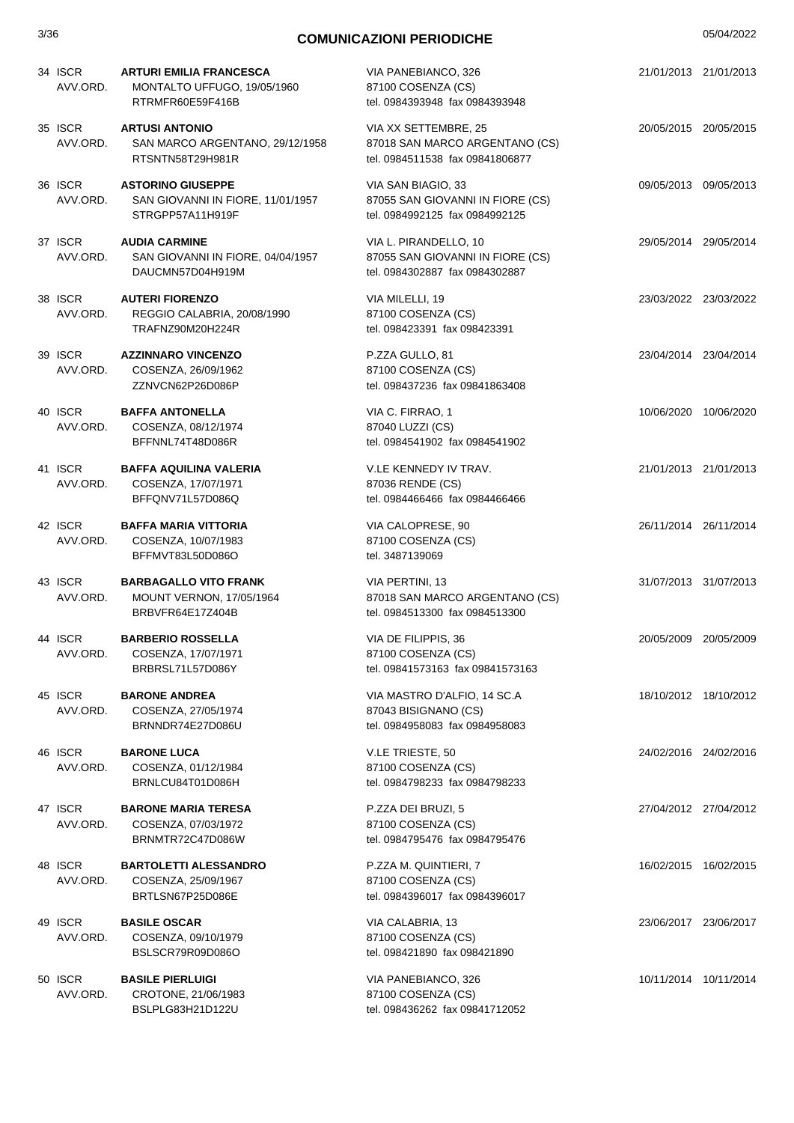#### 3/36 05/04/2022 **COMUNICAZIONI PERIODICHE**  34 ISCR **ARTURI EMILIA FRANCESCA** AVV.ORD. MONTALTO UFFUGO, 19/05/1960 RTRMFR60E59F416B VIA PANEBIANCO, 326 87100 COSENZA (CS) tel. 0984393948 fax 0984393948 21/01/2013 21/01/2013 35 ISCR **ARTUSI ANTONIO** AVV.ORD. SAN MARCO ARGENTANO, 29/12/1958 RTSNTN58T29H981R VIA XX SETTEMBRE, 25 87018 SAN MARCO ARGENTANO (CS) tel. 0984511538 fax 09841806877 20/05/2015 20/05/2015 36 ISCR **ASTORINO GIUSEPPE** AVV.ORD. SAN GIOVANNI IN FIORE, 11/01/1957 STRGPP57A11H919F VIA SAN BIAGIO, 33 87055 SAN GIOVANNI IN FIORE (CS) tel. 0984992125 fax 0984992125 09/05/2013 09/05/2013 37 ISCR **AUDIA CARMINE** AVV.ORD. SAN GIOVANNI IN FIORE, 04/04/1957 DAUCMN57D04H919M VIA L. PIRANDELLO, 10 87055 SAN GIOVANNI IN FIORE (CS) tel. 0984302887 fax 0984302887 29/05/2014 29/05/2014 38 ISCR **AUTERI FIORENZO** AVV.ORD. REGGIO CALABRIA, 20/08/1990 TRAFNZ90M20H224R VIA MILELLI, 19 87100 COSENZA (CS) tel. 098423391 fax 098423391 23/03/2022 23/03/2022 39 ISCR **AZZINNARO VINCENZO** AVV.ORD. COSENZA, 26/09/1962 ZZNVCN62P26D086P P.ZZA GULLO, 81 87100 COSENZA (CS) tel. 098437236 fax 09841863408 23/04/2014 23/04/2014 40 ISCR **BAFFA ANTONELLA** AVV.ORD. COSENZA, 08/12/1974 BFFNNL74T48D086R VIA C. FIRRAO, 1 87040 LUZZI (CS) tel. 0984541902 fax 0984541902 10/06/2020 10/06/2020 41 ISCR **BAFFA AQUILINA VALERIA** AVV.ORD. COSENZA, 17/07/1971 BFFQNV71L57D086Q V.LE KENNEDY IV TRAV. 87036 RENDE (CS) tel. 0984466466 fax 0984466466 21/01/2013 21/01/2013 42 ISCR **BAFFA MARIA VITTORIA** AVV.ORD. COSENZA, 10/07/1983 BFFMVT83L50D086O VIA CALOPRESE, 90 87100 COSENZA (CS) tel. 3487139069 26/11/2014 26/11/2014 43 ISCR **BARBAGALLO VITO FRANK** AVV.ORD. MOUNT VERNON, 17/05/1964 BRBVFR64E17Z404B VIA PERTINI, 13 87018 SAN MARCO ARGENTANO (CS) tel. 0984513300 fax 0984513300 31/07/2013 31/07/2013 44 ISCR **BARBERIO ROSSELLA** AVV.ORD. COSENZA, 17/07/1971 BRBRSL71L57D086Y VIA DE FILIPPIS, 36 87100 COSENZA (CS) tel. 09841573163 fax 09841573163 20/05/2009 20/05/2009 45 ISCR **BARONE ANDREA** AVV.ORD. COSENZA, 27/05/1974 BRNNDR74E27D086U VIA MASTRO D'ALFIO, 14 SC.A 87043 BISIGNANO (CS) tel. 0984958083 fax 0984958083 18/10/2012 18/10/2012 46 ISCR **BARONE LUCA** AVV.ORD. COSENZA, 01/12/1984 BRNLCU84T01D086H V.LE TRIESTE, 50 87100 COSENZA (CS) tel. 0984798233 fax 0984798233 24/02/2016 24/02/2016 47 ISCR **BARONE MARIA TERESA** AVV.ORD. COSENZA, 07/03/1972 BRNMTR72C47D086W P.ZZA DEI BRUZI, 5 87100 COSENZA (CS) tel. 0984795476 fax 0984795476 27/04/2012 27/04/2012 48 ISCR **BARTOLETTI ALESSANDRO** AVV.ORD. COSENZA, 25/09/1967 BRTLSN67P25D086E P.ZZA M. QUINTIERI, 7 87100 COSENZA (CS) tel. 0984396017 fax 0984396017 16/02/2015 16/02/2015 49 ISCR **BASILE OSCAR** AVV.ORD. COSENZA, 09/10/1979 BSLSCR79R09D086O VIA CALABRIA, 13 87100 COSENZA (CS) tel. 098421890 fax 098421890 23/06/2017 23/06/2017 50 ISCR **BASILE PIERLUIGI** AVV.ORD. CROTONE, 21/06/1983 BSLPLG83H21D122U VIA PANEBIANCO, 326 87100 COSENZA (CS) tel. 098436262 fax 09841712052 10/11/2014 10/11/2014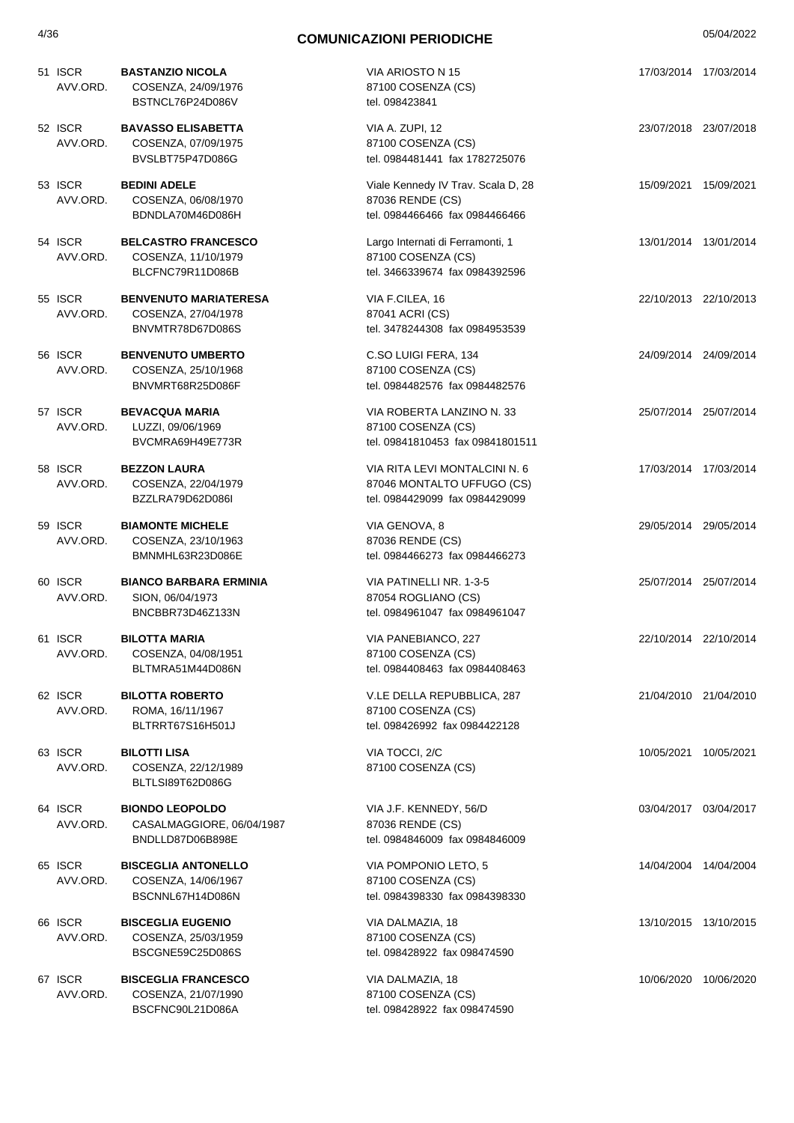| 51 ISCR<br>AVV.ORD. | <b>BASTANZIO NICOLA</b><br>COSENZA, 24/09/1976<br>BSTNCL76P24D086V      | VIA ARIOSTO N 15<br>87100 COSENZA (CS)<br>tel. 098423841                                      | 17/03/2014 17/03/2014 |  |
|---------------------|-------------------------------------------------------------------------|-----------------------------------------------------------------------------------------------|-----------------------|--|
| 52 ISCR<br>AVV.ORD. | <b>BAVASSO ELISABETTA</b><br>COSENZA, 07/09/1975<br>BVSLBT75P47D086G    | VIA A. ZUPI, 12<br>87100 COSENZA (CS)<br>tel. 0984481441 fax 1782725076                       | 23/07/2018 23/07/2018 |  |
| 53 ISCR<br>AVV.ORD. | <b>BEDINI ADELE</b><br>COSENZA, 06/08/1970<br>BDNDLA70M46D086H          | Viale Kennedy IV Trav. Scala D, 28<br>87036 RENDE (CS)<br>tel. 0984466466 fax 0984466466      | 15/09/2021 15/09/2021 |  |
| 54 ISCR<br>AVV.ORD. | <b>BELCASTRO FRANCESCO</b><br>COSENZA, 11/10/1979<br>BLCFNC79R11D086B   | Largo Internati di Ferramonti, 1<br>87100 COSENZA (CS)<br>tel. 3466339674 fax 0984392596      | 13/01/2014 13/01/2014 |  |
| 55 ISCR<br>AVV.ORD. | <b>BENVENUTO MARIATERESA</b><br>COSENZA, 27/04/1978<br>BNVMTR78D67D086S | VIA F.CILEA, 16<br>87041 ACRI (CS)<br>tel. 3478244308 fax 0984953539                          | 22/10/2013 22/10/2013 |  |
| 56 ISCR<br>AVV.ORD. | <b>BENVENUTO UMBERTO</b><br>COSENZA, 25/10/1968<br>BNVMRT68R25D086F     | C.SO LUIGI FERA, 134<br>87100 COSENZA (CS)<br>tel. 0984482576 fax 0984482576                  | 24/09/2014 24/09/2014 |  |
| 57 ISCR<br>AVV.ORD. | <b>BEVACQUA MARIA</b><br>LUZZI, 09/06/1969<br>BVCMRA69H49E773R          | VIA ROBERTA LANZINO N. 33<br>87100 COSENZA (CS)<br>tel. 09841810453 fax 09841801511           | 25/07/2014 25/07/2014 |  |
| 58 ISCR<br>AVV.ORD. | <b>BEZZON LAURA</b><br>COSENZA, 22/04/1979<br>BZZLRA79D62D086I          | VIA RITA LEVI MONTALCINI N. 6<br>87046 MONTALTO UFFUGO (CS)<br>tel. 0984429099 fax 0984429099 | 17/03/2014 17/03/2014 |  |
| 59 ISCR<br>AVV.ORD. | <b>BIAMONTE MICHELE</b><br>COSENZA, 23/10/1963<br>BMNMHL63R23D086E      | VIA GENOVA, 8<br>87036 RENDE (CS)<br>tel. 0984466273 fax 0984466273                           | 29/05/2014 29/05/2014 |  |
| 60 ISCR<br>AVV.ORD. | <b>BIANCO BARBARA ERMINIA</b><br>SION, 06/04/1973<br>BNCBBR73D46Z133N   | VIA PATINELLI NR. 1-3-5<br>87054 ROGLIANO (CS)<br>tel. 0984961047 fax 0984961047              | 25/07/2014 25/07/2014 |  |
| 61 ISCR<br>AVV.ORD. | <b>BILOTTA MARIA</b><br>COSENZA, 04/08/1951<br>BLTMRA51M44D086N         | VIA PANEBIANCO, 227<br>87100 COSENZA (CS)<br>tel. 0984408463 fax 0984408463                   | 22/10/2014 22/10/2014 |  |
| 62 ISCR<br>AVV.ORD. | <b>BILOTTA ROBERTO</b><br>ROMA, 16/11/1967<br>BLTRRT67S16H501J          | V.LE DELLA REPUBBLICA, 287<br>87100 COSENZA (CS)<br>tel. 098426992 fax 0984422128             | 21/04/2010 21/04/2010 |  |
| 63 ISCR<br>AVV.ORD. | <b>BILOTTI LISA</b><br>COSENZA, 22/12/1989<br>BLTLSI89T62D086G          | VIA TOCCI, 2/C<br>87100 COSENZA (CS)                                                          | 10/05/2021 10/05/2021 |  |
| 64 ISCR<br>AVV.ORD. | <b>BIONDO LEOPOLDO</b><br>CASALMAGGIORE, 06/04/1987<br>BNDLLD87D06B898E | VIA J.F. KENNEDY, 56/D<br>87036 RENDE (CS)<br>tel. 0984846009 fax 0984846009                  | 03/04/2017 03/04/2017 |  |
| 65 ISCR<br>AVV.ORD. | <b>BISCEGLIA ANTONELLO</b><br>COSENZA, 14/06/1967<br>BSCNNL67H14D086N   | VIA POMPONIO LETO, 5<br>87100 COSENZA (CS)<br>tel. 0984398330 fax 0984398330                  | 14/04/2004 14/04/2004 |  |
| 66 ISCR<br>AVV.ORD. | <b>BISCEGLIA EUGENIO</b><br>COSENZA, 25/03/1959<br>BSCGNE59C25D086S     | VIA DALMAZIA, 18<br>87100 COSENZA (CS)<br>tel. 098428922 fax 098474590                        | 13/10/2015 13/10/2015 |  |
| 67 ISCR<br>AVV.ORD. | <b>BISCEGLIA FRANCESCO</b><br>COSENZA, 21/07/1990<br>BSCFNC90L21D086A   | VIA DALMAZIA, 18<br>87100 COSENZA (CS)<br>tel. 098428922 fax 098474590                        | 10/06/2020 10/06/2020 |  |
|                     |                                                                         |                                                                                               |                       |  |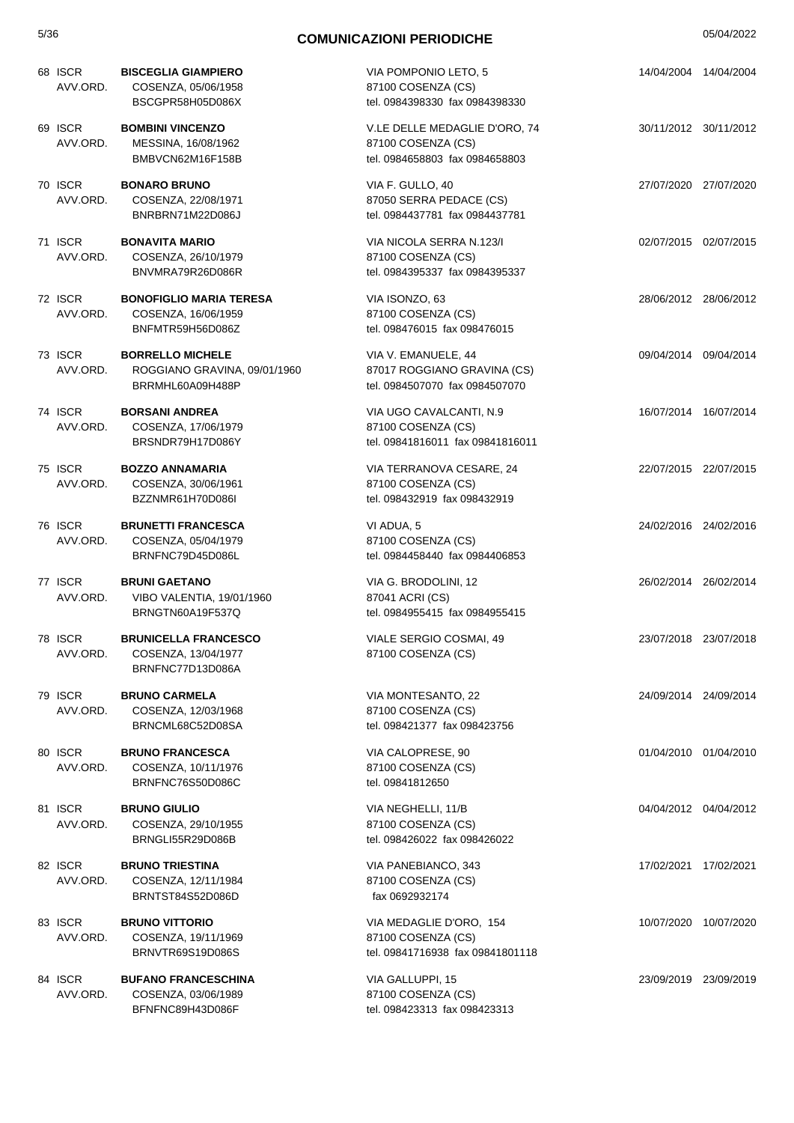| 5/36 |                     |                                                                             | <b>COMUNICAZIONI PERIODICHE</b>                                                       |                       | 05/04/2022 |
|------|---------------------|-----------------------------------------------------------------------------|---------------------------------------------------------------------------------------|-----------------------|------------|
|      | 68 ISCR<br>AVV.ORD. | <b>BISCEGLIA GIAMPIERO</b><br>COSENZA, 05/06/1958<br>BSCGPR58H05D086X       | VIA POMPONIO LETO, 5<br>87100 COSENZA (CS)<br>tel. 0984398330 fax 0984398330          | 14/04/2004 14/04/2004 |            |
|      | 69 ISCR<br>AVV.ORD. | <b>BOMBINI VINCENZO</b><br>MESSINA, 16/08/1962<br>BMBVCN62M16F158B          | V.LE DELLE MEDAGLIE D'ORO, 74<br>87100 COSENZA (CS)<br>tel. 0984658803 fax 0984658803 | 30/11/2012 30/11/2012 |            |
|      | 70 ISCR<br>AVV.ORD. | <b>BONARO BRUNO</b><br>COSENZA, 22/08/1971<br>BNRBRN71M22D086J              | VIA F. GULLO, 40<br>87050 SERRA PEDACE (CS)<br>tel. 0984437781 fax 0984437781         | 27/07/2020 27/07/2020 |            |
|      | 71 ISCR<br>AVV.ORD. | <b>BONAVITA MARIO</b><br>COSENZA, 26/10/1979<br>BNVMRA79R26D086R            | VIA NICOLA SERRA N.123/I<br>87100 COSENZA (CS)<br>tel. 0984395337 fax 0984395337      | 02/07/2015 02/07/2015 |            |
|      | 72 ISCR<br>AVV.ORD. | <b>BONOFIGLIO MARIA TERESA</b><br>COSENZA, 16/06/1959<br>BNFMTR59H56D086Z   | VIA ISONZO, 63<br>87100 COSENZA (CS)<br>tel. 098476015 fax 098476015                  | 28/06/2012 28/06/2012 |            |
|      | 73 ISCR<br>AVV.ORD. | <b>BORRELLO MICHELE</b><br>ROGGIANO GRAVINA, 09/01/1960<br>BRRMHL60A09H488P | VIA V. EMANUELE, 44<br>87017 ROGGIANO GRAVINA (CS)<br>tel. 0984507070 fax 0984507070  | 09/04/2014 09/04/2014 |            |
|      | 74 ISCR<br>AVV.ORD. | <b>BORSANI ANDREA</b><br>COSENZA, 17/06/1979<br>BRSNDR79H17D086Y            | VIA UGO CAVALCANTI, N.9<br>87100 COSENZA (CS)<br>tel. 09841816011 fax 09841816011     | 16/07/2014 16/07/2014 |            |
|      | 75 ISCR<br>AVV.ORD. | <b>BOZZO ANNAMARIA</b><br>COSENZA, 30/06/1961<br>BZZNMR61H70D086I           | VIA TERRANOVA CESARE, 24<br>87100 COSENZA (CS)<br>tel. 098432919 fax 098432919        | 22/07/2015 22/07/2015 |            |
|      | 76 ISCR<br>AVV.ORD. | <b>BRUNETTI FRANCESCA</b><br>COSENZA, 05/04/1979<br>BRNFNC79D45D086L        | VI ADUA, 5<br>87100 COSENZA (CS)<br>tel. 0984458440 fax 0984406853                    | 24/02/2016 24/02/2016 |            |
|      | 77 ISCR<br>AVV.ORD. | <b>BRUNI GAETANO</b><br>VIBO VALENTIA, 19/01/1960<br>BRNGTN60A19F537Q       | VIA G. BRODOLINI, 12<br>87041 ACRI (CS)<br>tel. 0984955415 fax 0984955415             | 26/02/2014 26/02/2014 |            |
|      | 78 ISCR<br>AVV.ORD. | <b>BRUNICELLA FRANCESCO</b><br>COSENZA, 13/04/1977<br>BRNFNC77D13D086A      | VIALE SERGIO COSMAI, 49<br>87100 COSENZA (CS)                                         | 23/07/2018 23/07/2018 |            |
|      | 79 ISCR<br>AVV.ORD. | <b>BRUNO CARMELA</b><br>COSENZA, 12/03/1968<br>BRNCML68C52D08SA             | VIA MONTESANTO, 22<br>87100 COSENZA (CS)<br>tel. 098421377 fax 098423756              | 24/09/2014 24/09/2014 |            |
|      | 80 ISCR<br>AVV.ORD. | <b>BRUNO FRANCESCA</b><br>COSENZA, 10/11/1976<br>BRNFNC76S50D086C           | VIA CALOPRESE, 90<br>87100 COSENZA (CS)<br>tel. 09841812650                           | 01/04/2010 01/04/2010 |            |
|      | 81 ISCR<br>AVV.ORD. | <b>BRUNO GIULIO</b><br>COSENZA, 29/10/1955<br>BRNGLI55R29D086B              | VIA NEGHELLI, 11/B<br>87100 COSENZA (CS)<br>tel. 098426022 fax 098426022              | 04/04/2012 04/04/2012 |            |
|      | 82 ISCR<br>AVV.ORD. | <b>BRUNO TRIESTINA</b><br>COSENZA, 12/11/1984<br>BRNTST84S52D086D           | VIA PANEBIANCO, 343<br>87100 COSENZA (CS)<br>fax 0692932174                           | 17/02/2021 17/02/2021 |            |
|      | 83 ISCR<br>AVV.ORD. | <b>BRUNO VITTORIO</b><br>COSENZA, 19/11/1969<br>BRNVTR69S19D086S            | VIA MEDAGLIE D'ORO, 154<br>87100 COSENZA (CS)<br>tel. 09841716938 fax 09841801118     | 10/07/2020 10/07/2020 |            |
|      | 84 ISCR<br>AVV.ORD. | <b>BUFANO FRANCESCHINA</b><br>COSENZA, 03/06/1989<br>BFNFNC89H43D086F       | VIA GALLUPPI, 15<br>87100 COSENZA (CS)<br>tel. 098423313 fax 098423313                | 23/09/2019 23/09/2019 |            |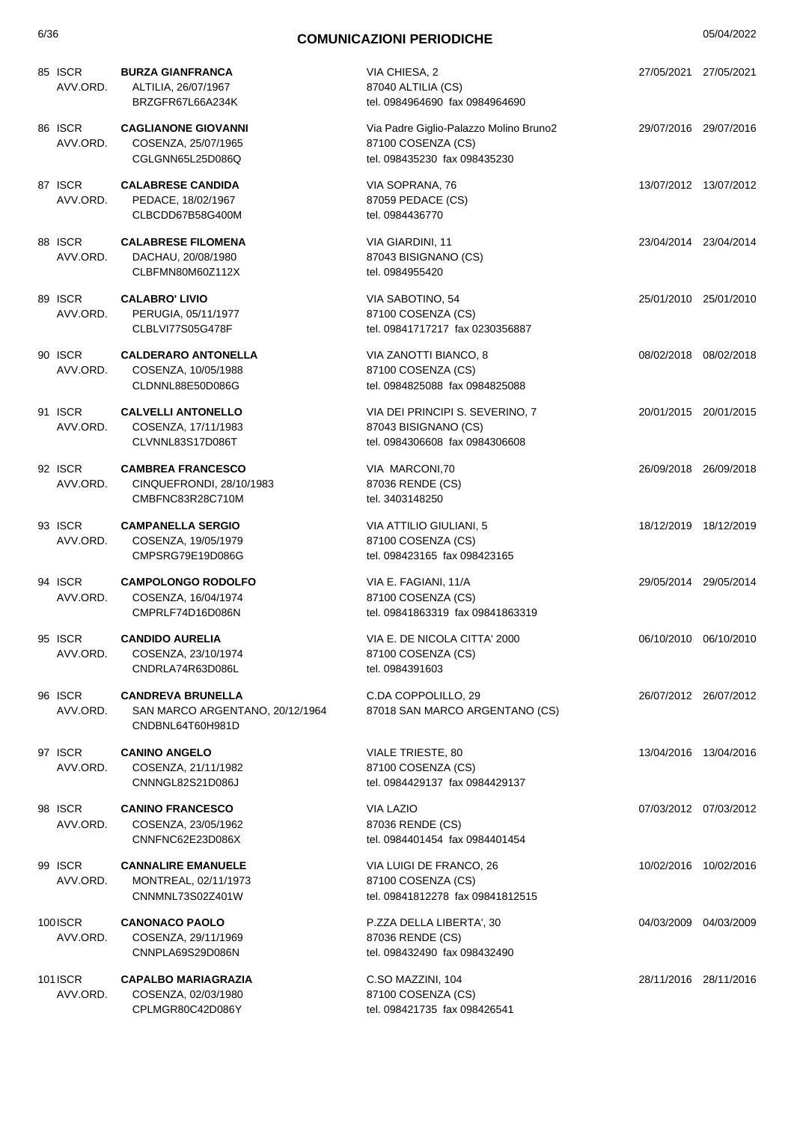| 85 ISCR<br>AVV.ORD. | <b>BURZA GIANFRANCA</b><br>ALTILIA, 26/07/1967<br>BRZGFR67L66A234K              | VIA CHIESA, 2<br>87040 ALTILIA (CS)<br>tel. 0984964690 fax 0984964690                        | 27/05/2021 27/05/2021 |
|---------------------|---------------------------------------------------------------------------------|----------------------------------------------------------------------------------------------|-----------------------|
| 86 ISCR<br>AVV.ORD. | <b>CAGLIANONE GIOVANNI</b><br>COSENZA, 25/07/1965<br>CGLGNN65L25D086Q           | Via Padre Giglio-Palazzo Molino Bruno2<br>87100 COSENZA (CS)<br>tel. 098435230 fax 098435230 | 29/07/2016 29/07/2016 |
| 87 ISCR<br>AVV.ORD. | <b>CALABRESE CANDIDA</b><br>PEDACE, 18/02/1967<br>CLBCDD67B58G400M              | VIA SOPRANA, 76<br>87059 PEDACE (CS)<br>tel. 0984436770                                      | 13/07/2012 13/07/2012 |
| 88 ISCR<br>AVV.ORD. | <b>CALABRESE FILOMENA</b><br>DACHAU, 20/08/1980<br>CLBFMN80M60Z112X             | VIA GIARDINI, 11<br>87043 BISIGNANO (CS)<br>tel. 0984955420                                  | 23/04/2014 23/04/2014 |
| 89 ISCR<br>AVV.ORD. | <b>CALABRO' LIVIO</b><br>PERUGIA, 05/11/1977<br>CLBLVI77S05G478F                | VIA SABOTINO, 54<br>87100 COSENZA (CS)<br>tel. 09841717217 fax 0230356887                    | 25/01/2010 25/01/2010 |
| 90 ISCR<br>AVV.ORD. | <b>CALDERARO ANTONELLA</b><br>COSENZA, 10/05/1988<br>CLDNNL88E50D086G           | VIA ZANOTTI BIANCO, 8<br>87100 COSENZA (CS)<br>tel. 0984825088 fax 0984825088                | 08/02/2018 08/02/2018 |
| 91 ISCR<br>AVV.ORD. | <b>CALVELLI ANTONELLO</b><br>COSENZA, 17/11/1983<br>CLVNNL83S17D086T            | VIA DEI PRINCIPI S. SEVERINO, 7<br>87043 BISIGNANO (CS)<br>tel. 0984306608 fax 0984306608    | 20/01/2015 20/01/2015 |
| 92 ISCR<br>AVV.ORD. | <b>CAMBREA FRANCESCO</b><br>CINQUEFRONDI, 28/10/1983<br>CMBFNC83R28C710M        | VIA MARCONI, 70<br>87036 RENDE (CS)<br>tel. 3403148250                                       | 26/09/2018 26/09/2018 |
| 93 ISCR<br>AVV.ORD. | <b>CAMPANELLA SERGIO</b><br>COSENZA, 19/05/1979<br>CMPSRG79E19D086G             | VIA ATTILIO GIULIANI, 5<br>87100 COSENZA (CS)<br>tel. 098423165 fax 098423165                | 18/12/2019 18/12/2019 |
| 94 ISCR<br>AVV.ORD. | <b>CAMPOLONGO RODOLFO</b><br>COSENZA, 16/04/1974<br>CMPRLF74D16D086N            | VIA E. FAGIANI, 11/A<br>87100 COSENZA (CS)<br>tel. 09841863319 fax 09841863319               | 29/05/2014 29/05/2014 |
| 95 ISCR<br>AVV.ORD. | <b>CANDIDO AURELIA</b><br>COSENZA, 23/10/1974<br>CNDRLA74R63D086L               | VIA E. DE NICOLA CITTA' 2000<br>87100 COSENZA (CS)<br>tel. 0984391603                        | 06/10/2010 06/10/2010 |
| 96 ISCR<br>AVV.ORD. | <b>CANDREVA BRUNELLA</b><br>SAN MARCO ARGENTANO, 20/12/1964<br>CNDBNL64T60H981D | C.DA COPPOLILLO, 29<br>87018 SAN MARCO ARGENTANO (CS)                                        | 26/07/2012 26/07/2012 |
| 97 ISCR<br>AVV.ORD. | <b>CANINO ANGELO</b><br>COSENZA, 21/11/1982<br>CNNNGL82S21D086J                 | VIALE TRIESTE, 80<br>87100 COSENZA (CS)<br>tel. 0984429137 fax 0984429137                    | 13/04/2016 13/04/2016 |
| 98 ISCR<br>AVV.ORD. | <b>CANINO FRANCESCO</b><br>COSENZA, 23/05/1962<br>CNNFNC62E23D086X              | <b>VIA LAZIO</b><br>87036 RENDE (CS)<br>tel. 0984401454 fax 0984401454                       | 07/03/2012 07/03/2012 |
| 99 ISCR<br>AVV.ORD. | <b>CANNALIRE EMANUELE</b><br>MONTREAL, 02/11/1973<br>CNNMNL73S02Z401W           | VIA LUIGI DE FRANCO, 26<br>87100 COSENZA (CS)<br>tel. 09841812278 fax 09841812515            | 10/02/2016 10/02/2016 |
| 100ISCR<br>AVV.ORD. | <b>CANONACO PAOLO</b><br>COSENZA, 29/11/1969<br>CNNPLA69S29D086N                | P.ZZA DELLA LIBERTA', 30<br>87036 RENDE (CS)<br>tel. 098432490 fax 098432490                 | 04/03/2009 04/03/2009 |
| 101ISCR<br>AVV.ORD. | <b>CAPALBO MARIAGRAZIA</b><br>COSENZA, 02/03/1980<br>CPLMGR80C42D086Y           | C.SO MAZZINI, 104<br>87100 COSENZA (CS)<br>tel. 098421735 fax 098426541                      | 28/11/2016 28/11/2016 |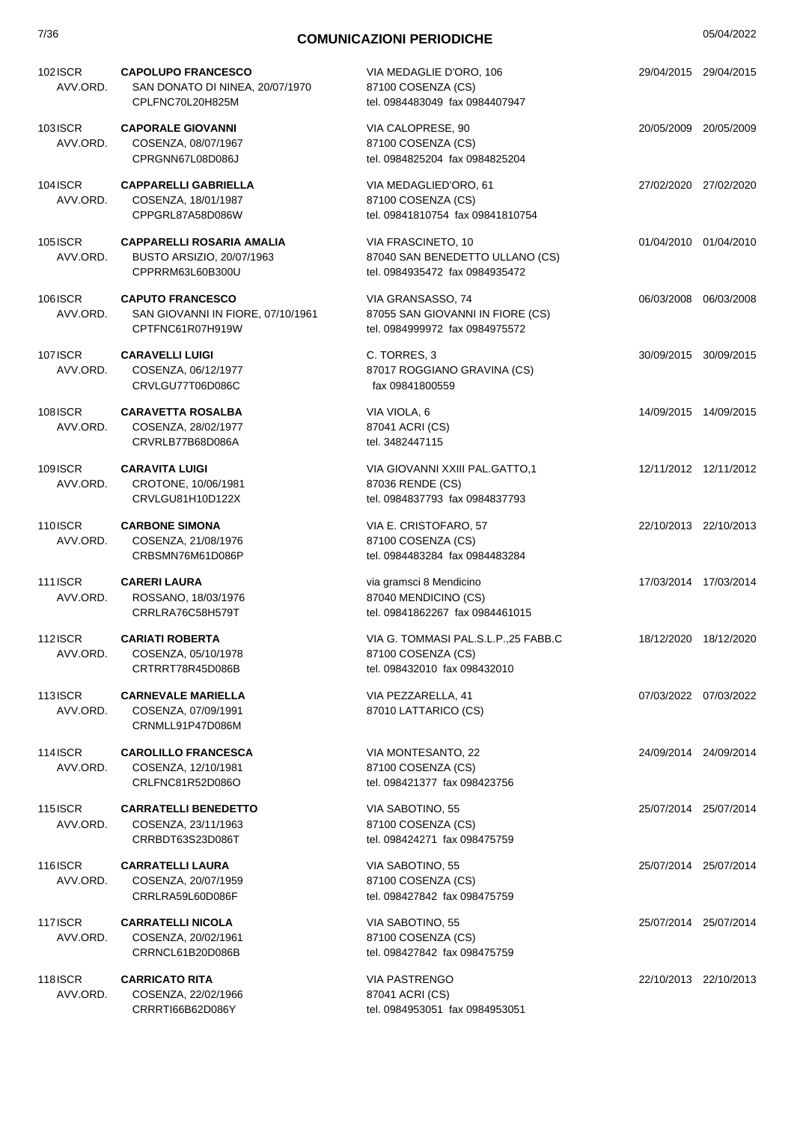| 7/36                       | <b>COMUNICAZIONI PERIODICHE</b>                                                   |                                                                                           |                       | 05/04/2022 |  |
|----------------------------|-----------------------------------------------------------------------------------|-------------------------------------------------------------------------------------------|-----------------------|------------|--|
| 102ISCR<br>AVV.ORD.        | <b>CAPOLUPO FRANCESCO</b><br>SAN DONATO DI NINEA, 20/07/1970<br>CPLFNC70L20H825M  | VIA MEDAGLIE D'ORO, 106<br>87100 COSENZA (CS)<br>tel. 0984483049 fax 0984407947           | 29/04/2015 29/04/2015 |            |  |
| <b>103ISCR</b><br>AVV.ORD. | <b>CAPORALE GIOVANNI</b><br>COSENZA, 08/07/1967<br>CPRGNN67L08D086J               | VIA CALOPRESE, 90<br>87100 COSENZA (CS)<br>tel. 0984825204 fax 0984825204                 | 20/05/2009 20/05/2009 |            |  |
| 104ISCR<br>AVV.ORD.        | <b>CAPPARELLI GABRIELLA</b><br>COSENZA, 18/01/1987<br>CPPGRL87A58D086W            | VIA MEDAGLIED'ORO, 61<br>87100 COSENZA (CS)<br>tel. 09841810754 fax 09841810754           | 27/02/2020 27/02/2020 |            |  |
| 105ISCR<br>AVV.ORD.        | <b>CAPPARELLI ROSARIA AMALIA</b><br>BUSTO ARSIZIO, 20/07/1963<br>CPPRRM63L60B300U | VIA FRASCINETO, 10<br>87040 SAN BENEDETTO ULLANO (CS)<br>tel. 0984935472 fax 0984935472   | 01/04/2010 01/04/2010 |            |  |
| <b>106ISCR</b><br>AVV.ORD. | <b>CAPUTO FRANCESCO</b><br>SAN GIOVANNI IN FIORE, 07/10/1961<br>CPTFNC61R07H919W  | VIA GRANSASSO, 74<br>87055 SAN GIOVANNI IN FIORE (CS)<br>tel. 0984999972 fax 0984975572   | 06/03/2008 06/03/2008 |            |  |
| <b>107ISCR</b><br>AVV.ORD. | <b>CARAVELLI LUIGI</b><br>COSENZA, 06/12/1977<br>CRVLGU77T06D086C                 | C. TORRES, 3<br>87017 ROGGIANO GRAVINA (CS)<br>fax 09841800559                            | 30/09/2015 30/09/2015 |            |  |
| 108ISCR<br>AVV.ORD.        | <b>CARAVETTA ROSALBA</b><br>COSENZA, 28/02/1977<br>CRVRLB77B68D086A               | VIA VIOLA, 6<br>87041 ACRI (CS)<br>tel. 3482447115                                        | 14/09/2015 14/09/2015 |            |  |
| 109ISCR<br>AVV.ORD.        | <b>CARAVITA LUIGI</b><br>CROTONE, 10/06/1981<br>CRVLGU81H10D122X                  | VIA GIOVANNI XXIII PAL.GATTO,1<br>87036 RENDE (CS)<br>tel. 0984837793 fax 0984837793      | 12/11/2012 12/11/2012 |            |  |
| 110ISCR<br>AVV.ORD.        | <b>CARBONE SIMONA</b><br>COSENZA, 21/08/1976<br>CRBSMN76M61D086P                  | VIA E. CRISTOFARO, 57<br>87100 COSENZA (CS)<br>tel. 0984483284 fax 0984483284             | 22/10/2013 22/10/2013 |            |  |
| <b>111ISCR</b><br>AVV.ORD. | <b>CARERI LAURA</b><br>ROSSANO, 18/03/1976<br>CRRLRA76C58H579T                    | via gramsci 8 Mendicino<br>87040 MENDICINO (CS)<br>tel. 09841862267 fax 0984461015        | 17/03/2014 17/03/2014 |            |  |
| <b>112ISCR</b><br>AVV.ORD. | <b>CARIATI ROBERTA</b><br>COSENZA, 05/10/1978<br>CRTRRT78R45D086B                 | VIA G. TOMMASI PAL.S.L.P.,25 FABB.C<br>87100 COSENZA (CS)<br>tel. 098432010 fax 098432010 | 18/12/2020 18/12/2020 |            |  |
| <b>113ISCR</b><br>AVV.ORD. | <b>CARNEVALE MARIELLA</b><br>COSENZA, 07/09/1991<br>CRNMLL91P47D086M              | VIA PEZZARELLA, 41<br>87010 LATTARICO (CS)                                                | 07/03/2022 07/03/2022 |            |  |
| <b>114ISCR</b><br>AVV.ORD. | <b>CAROLILLO FRANCESCA</b><br>COSENZA, 12/10/1981<br>CRLFNC81R52D086O             | VIA MONTESANTO, 22<br>87100 COSENZA (CS)<br>tel. 098421377 fax 098423756                  | 24/09/2014 24/09/2014 |            |  |
| <b>115ISCR</b><br>AVV.ORD. | <b>CARRATELLI BENEDETTO</b><br>COSENZA, 23/11/1963<br>CRRBDT63S23D086T            | VIA SABOTINO, 55<br>87100 COSENZA (CS)<br>tel. 098424271 fax 098475759                    | 25/07/2014 25/07/2014 |            |  |
| 116ISCR<br>AVV.ORD.        | <b>CARRATELLI LAURA</b><br>COSENZA, 20/07/1959<br>CRRLRA59L60D086F                | VIA SABOTINO, 55<br>87100 COSENZA (CS)<br>tel. 098427842 fax 098475759                    | 25/07/2014 25/07/2014 |            |  |
| 117ISCR<br>AVV.ORD.        | <b>CARRATELLI NICOLA</b><br>COSENZA, 20/02/1961<br>CRRNCL61B20D086B               | VIA SABOTINO, 55<br>87100 COSENZA (CS)<br>tel. 098427842 fax 098475759                    | 25/07/2014 25/07/2014 |            |  |
| 118ISCR<br>AVV.ORD.        | <b>CARRICATO RITA</b><br>COSENZA, 22/02/1966<br>CRRRTI66B62D086Y                  | <b>VIA PASTRENGO</b><br>87041 ACRI (CS)<br>tel. 0984953051 fax 0984953051                 | 22/10/2013 22/10/2013 |            |  |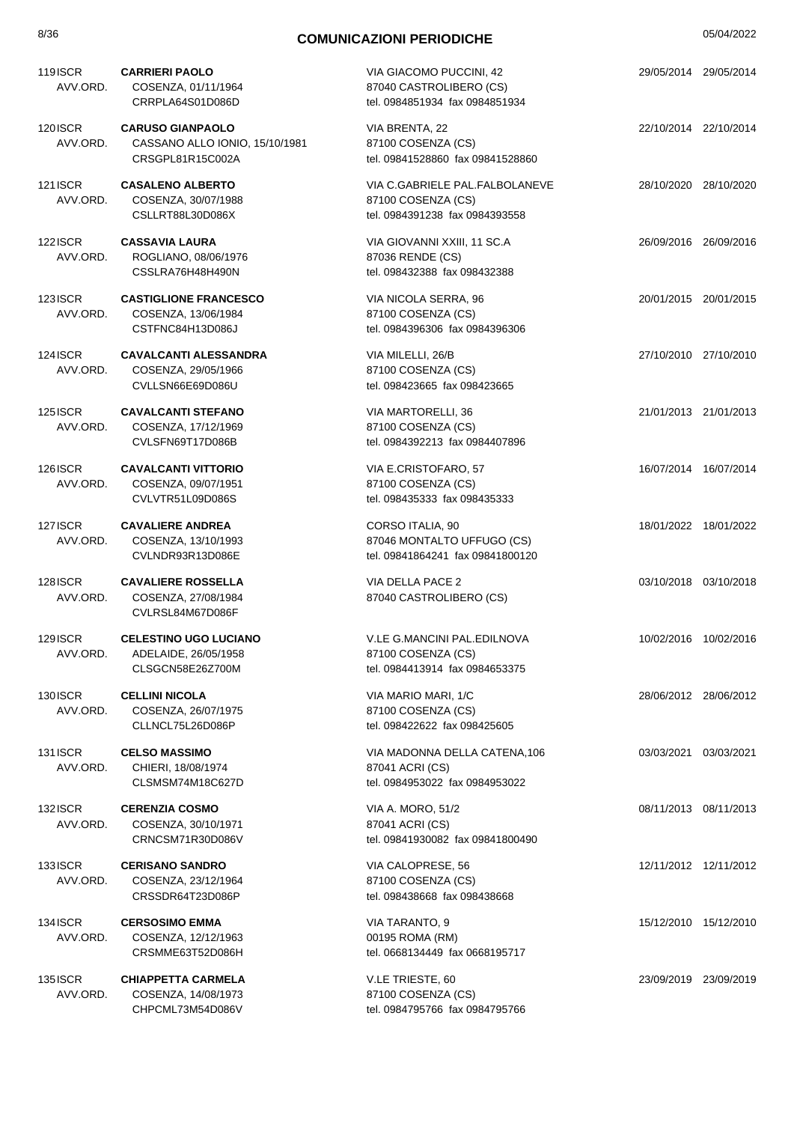| <b>119ISCR</b><br>AVV.ORD. | <b>CARRIERI PAOLO</b><br>COSENZA, 01/11/1964<br>CRRPLA64S01D086D              | VIA GIACOMO PUCCINI, 42<br>87040 CASTROLIBERO (CS)<br>tel. 0984851934 fax 0984851934   | 29/05/2014 29/05/2014 |  |
|----------------------------|-------------------------------------------------------------------------------|----------------------------------------------------------------------------------------|-----------------------|--|
| 120ISCR<br>AVV.ORD.        | <b>CARUSO GIANPAOLO</b><br>CASSANO ALLO IONIO, 15/10/1981<br>CRSGPL81R15C002A | VIA BRENTA, 22<br>87100 COSENZA (CS)<br>tel. 09841528860 fax 09841528860               | 22/10/2014 22/10/2014 |  |
| 121 ISCR<br>AVV.ORD.       | <b>CASALENO ALBERTO</b><br>COSENZA, 30/07/1988<br>CSLLRT88L30D086X            | VIA C.GABRIELE PAL.FALBOLANEVE<br>87100 COSENZA (CS)<br>tel. 0984391238 fax 0984393558 | 28/10/2020 28/10/2020 |  |
| 122ISCR<br>AVV.ORD.        | <b>CASSAVIA LAURA</b><br>ROGLIANO, 08/06/1976<br>CSSLRA76H48H490N             | VIA GIOVANNI XXIII, 11 SC.A<br>87036 RENDE (CS)<br>tel. 098432388 fax 098432388        | 26/09/2016 26/09/2016 |  |
| 123ISCR<br>AVV.ORD.        | <b>CASTIGLIONE FRANCESCO</b><br>COSENZA, 13/06/1984<br>CSTFNC84H13D086J       | VIA NICOLA SERRA, 96<br>87100 COSENZA (CS)<br>tel. 0984396306 fax 0984396306           | 20/01/2015 20/01/2015 |  |
| <b>124ISCR</b><br>AVV.ORD. | <b>CAVALCANTI ALESSANDRA</b><br>COSENZA, 29/05/1966<br>CVLLSN66E69D086U       | VIA MILELLI, 26/B<br>87100 COSENZA (CS)<br>tel. 098423665 fax 098423665                | 27/10/2010 27/10/2010 |  |
| <b>125ISCR</b><br>AVV.ORD. | <b>CAVALCANTI STEFANO</b><br>COSENZA, 17/12/1969<br>CVLSFN69T17D086B          | VIA MARTORELLI, 36<br>87100 COSENZA (CS)<br>tel. 0984392213 fax 0984407896             | 21/01/2013 21/01/2013 |  |
| <b>126ISCR</b><br>AVV.ORD. | <b>CAVALCANTI VITTORIO</b><br>COSENZA, 09/07/1951<br>CVLVTR51L09D086S         | VIA E.CRISTOFARO, 57<br>87100 COSENZA (CS)<br>tel. 098435333 fax 098435333             | 16/07/2014 16/07/2014 |  |
| 127ISCR<br>AVV.ORD.        | <b>CAVALIERE ANDREA</b><br>COSENZA, 13/10/1993<br>CVLNDR93R13D086E            | CORSO ITALIA, 90<br>87046 MONTALTO UFFUGO (CS)<br>tel. 09841864241 fax 09841800120     | 18/01/2022 18/01/2022 |  |
| 128ISCR<br>AVV.ORD.        | <b>CAVALIERE ROSSELLA</b><br>COSENZA, 27/08/1984<br>CVLRSL84M67D086F          | VIA DELLA PACE 2<br>87040 CASTROLIBERO (CS)                                            | 03/10/2018 03/10/2018 |  |
| 129ISCR<br>AVV.ORD.        | <b>CELESTINO UGO LUCIANO</b><br>ADELAIDE, 26/05/1958<br>CLSGCN58E26Z700M      | V.LE G.MANCINI PAL.EDILNOVA<br>87100 COSENZA (CS)<br>tel. 0984413914 fax 0984653375    | 10/02/2016 10/02/2016 |  |
| 130ISCR<br>AVV.ORD.        | <b>CELLINI NICOLA</b><br>COSENZA, 26/07/1975<br>CLLNCL75L26D086P              | VIA MARIO MARI, 1/C<br>87100 COSENZA (CS)<br>tel. 098422622 fax 098425605              | 28/06/2012 28/06/2012 |  |
| <b>131ISCR</b><br>AVV.ORD. | <b>CELSO MASSIMO</b><br>CHIERI, 18/08/1974<br>CLSMSM74M18C627D                | VIA MADONNA DELLA CATENA, 106<br>87041 ACRI (CS)<br>tel. 0984953022 fax 0984953022     | 03/03/2021 03/03/2021 |  |
| <b>132ISCR</b><br>AVV.ORD. | <b>CERENZIA COSMO</b><br>COSENZA, 30/10/1971<br>CRNCSM71R30D086V              | VIA A. MORO, 51/2<br>87041 ACRI (CS)<br>tel. 09841930082 fax 09841800490               | 08/11/2013 08/11/2013 |  |
| 133ISCR<br>AVV.ORD.        | <b>CERISANO SANDRO</b><br>COSENZA, 23/12/1964<br>CRSSDR64T23D086P             | VIA CALOPRESE, 56<br>87100 COSENZA (CS)<br>tel. 098438668 fax 098438668                | 12/11/2012 12/11/2012 |  |
| <b>134ISCR</b><br>AVV.ORD. | <b>CERSOSIMO EMMA</b><br>COSENZA, 12/12/1963<br>CRSMME63T52D086H              | VIA TARANTO, 9<br>00195 ROMA (RM)<br>tel. 0668134449 fax 0668195717                    | 15/12/2010 15/12/2010 |  |
| 135 ISCR<br>AVV.ORD.       | <b>CHIAPPETTA CARMELA</b><br>COSENZA, 14/08/1973<br>CHPCML73M54D086V          | V.LE TRIESTE, 60<br>87100 COSENZA (CS)<br>tel. 0984795766 fax 0984795766               | 23/09/2019 23/09/2019 |  |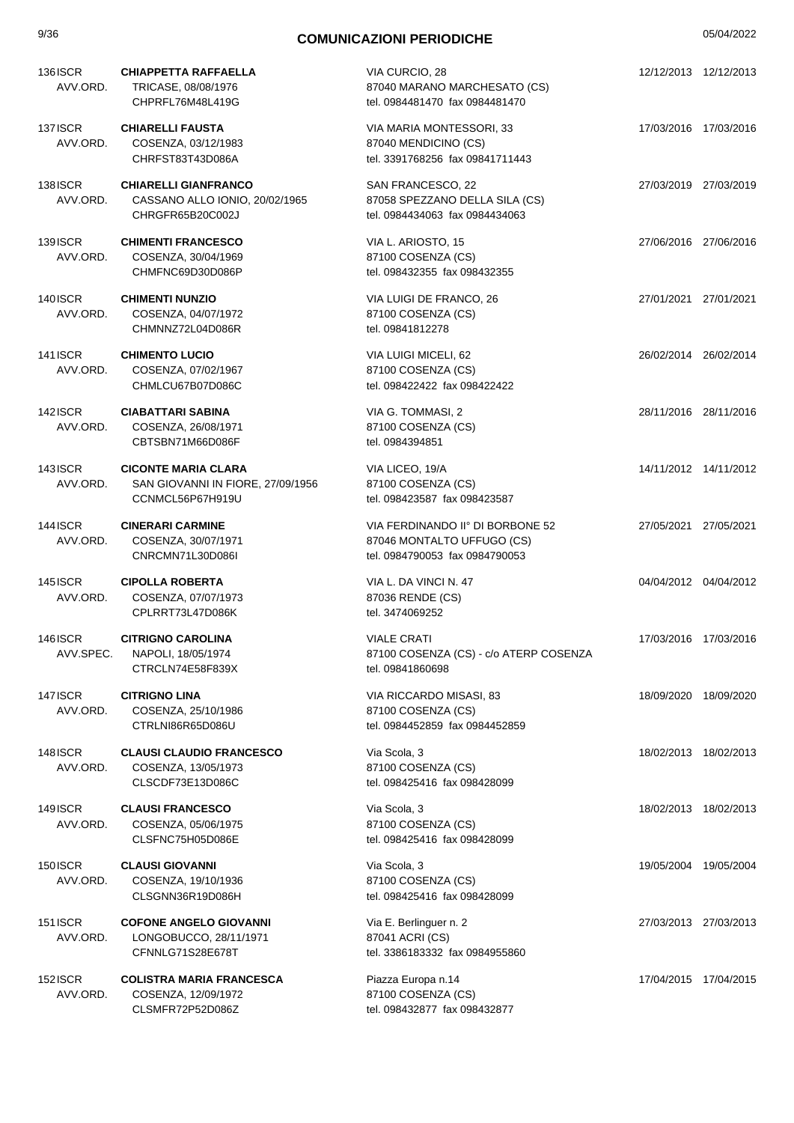| 9/36                       | <b>COMUNICAZIONI PERIODICHE</b>                                                     |                                                                                                  |                       | 05/04/2022 |
|----------------------------|-------------------------------------------------------------------------------------|--------------------------------------------------------------------------------------------------|-----------------------|------------|
| <b>136ISCR</b><br>AVV.ORD. | <b>CHIAPPETTA RAFFAELLA</b><br>TRICASE, 08/08/1976<br>CHPRFL76M48L419G              | VIA CURCIO, 28<br>87040 MARANO MARCHESATO (CS)<br>tel. 0984481470 fax 0984481470                 | 12/12/2013 12/12/2013 |            |
| 137ISCR<br>AVV.ORD.        | <b>CHIARELLI FAUSTA</b><br>COSENZA, 03/12/1983<br>CHRFST83T43D086A                  | VIA MARIA MONTESSORI, 33<br>87040 MENDICINO (CS)<br>tel. 3391768256 fax 09841711443              | 17/03/2016 17/03/2016 |            |
| <b>138ISCR</b><br>AVV.ORD. | <b>CHIARELLI GIANFRANCO</b><br>CASSANO ALLO IONIO, 20/02/1965<br>CHRGFR65B20C002J   | SAN FRANCESCO, 22<br>87058 SPEZZANO DELLA SILA (CS)<br>tel. 0984434063 fax 0984434063            | 27/03/2019 27/03/2019 |            |
| <b>139ISCR</b><br>AVV.ORD. | <b>CHIMENTI FRANCESCO</b><br>COSENZA, 30/04/1969<br>CHMFNC69D30D086P                | VIA L. ARIOSTO, 15<br>87100 COSENZA (CS)<br>tel. 098432355 fax 098432355                         | 27/06/2016 27/06/2016 |            |
| <b>140ISCR</b><br>AVV.ORD. | <b>CHIMENTI NUNZIO</b><br>COSENZA, 04/07/1972<br>CHMNNZ72L04D086R                   | VIA LUIGI DE FRANCO, 26<br>87100 COSENZA (CS)<br>tel. 09841812278                                | 27/01/2021 27/01/2021 |            |
| <b>141ISCR</b><br>AVV.ORD. | <b>CHIMENTO LUCIO</b><br>COSENZA, 07/02/1967<br>CHMLCU67B07D086C                    | VIA LUIGI MICELI, 62<br>87100 COSENZA (CS)<br>tel. 098422422 fax 098422422                       | 26/02/2014 26/02/2014 |            |
| <b>142ISCR</b><br>AVV.ORD. | <b>CIABATTARI SABINA</b><br>COSENZA, 26/08/1971<br>CBTSBN71M66D086F                 | VIA G. TOMMASI, 2<br>87100 COSENZA (CS)<br>tel. 0984394851                                       | 28/11/2016 28/11/2016 |            |
| 143 ISCR<br>AVV.ORD.       | <b>CICONTE MARIA CLARA</b><br>SAN GIOVANNI IN FIORE, 27/09/1956<br>CCNMCL56P67H919U | VIA LICEO, 19/A<br>87100 COSENZA (CS)<br>tel. 098423587 fax 098423587                            | 14/11/2012 14/11/2012 |            |
| <b>144ISCR</b><br>AVV.ORD. | <b>CINERARI CARMINE</b><br>COSENZA, 30/07/1971<br>CNRCMN71L30D086I                  | VIA FERDINANDO IIº DI BORBONE 52<br>87046 MONTALTO UFFUGO (CS)<br>tel. 0984790053 fax 0984790053 | 27/05/2021 27/05/2021 |            |
| 145 ISCR<br>AVV.ORD.       | <b>CIPOLLA ROBERTA</b><br>COSENZA, 07/07/1973<br>CPLRRT73L47D086K                   | VIA L. DA VINCI N. 47<br>87036 RENDE (CS)<br>tel. 3474069252                                     | 04/04/2012 04/04/2012 |            |
| 146ISCR<br>AVV.SPEC.       | <b>CITRIGNO CAROLINA</b><br>NAPOLI, 18/05/1974<br>CTRCLN74E58F839X                  | <b>VIALE CRATI</b><br>87100 COSENZA (CS) - c/o ATERP COSENZA<br>tel. 09841860698                 | 17/03/2016 17/03/2016 |            |
| 147ISCR<br>AVV.ORD.        | <b>CITRIGNO LINA</b><br>COSENZA, 25/10/1986<br>CTRLNI86R65D086U                     | VIA RICCARDO MISASI, 83<br>87100 COSENZA (CS)<br>tel. 0984452859 fax 0984452859                  | 18/09/2020 18/09/2020 |            |
| 148 ISCR<br>AVV.ORD.       | <b>CLAUSI CLAUDIO FRANCESCO</b><br>COSENZA, 13/05/1973<br>CLSCDF73E13D086C          | Via Scola, 3<br>87100 COSENZA (CS)<br>tel. 098425416 fax 098428099                               | 18/02/2013 18/02/2013 |            |
| <b>149ISCR</b><br>AVV.ORD. | <b>CLAUSI FRANCESCO</b><br>COSENZA, 05/06/1975<br>CLSFNC75H05D086E                  | Via Scola, 3<br>87100 COSENZA (CS)<br>tel. 098425416 fax 098428099                               | 18/02/2013 18/02/2013 |            |
| <b>150ISCR</b><br>AVV.ORD. | <b>CLAUSI GIOVANNI</b><br>COSENZA, 19/10/1936<br>CLSGNN36R19D086H                   | Via Scola, 3<br>87100 COSENZA (CS)<br>tel. 098425416 fax 098428099                               | 19/05/2004 19/05/2004 |            |
| <b>151ISCR</b><br>AVV.ORD. | <b>COFONE ANGELO GIOVANNI</b><br>LONGOBUCCO, 28/11/1971<br>CFNNLG71S28E678T         | Via E. Berlinguer n. 2<br>87041 ACRI (CS)<br>tel. 3386183332 fax 0984955860                      | 27/03/2013 27/03/2013 |            |
| <b>152ISCR</b><br>AVV.ORD. | <b>COLISTRA MARIA FRANCESCA</b><br>COSENZA, 12/09/1972<br>CLSMFR72P52D086Z          | Piazza Europa n.14<br>87100 COSENZA (CS)<br>tel. 098432877 fax 098432877                         | 17/04/2015 17/04/2015 |            |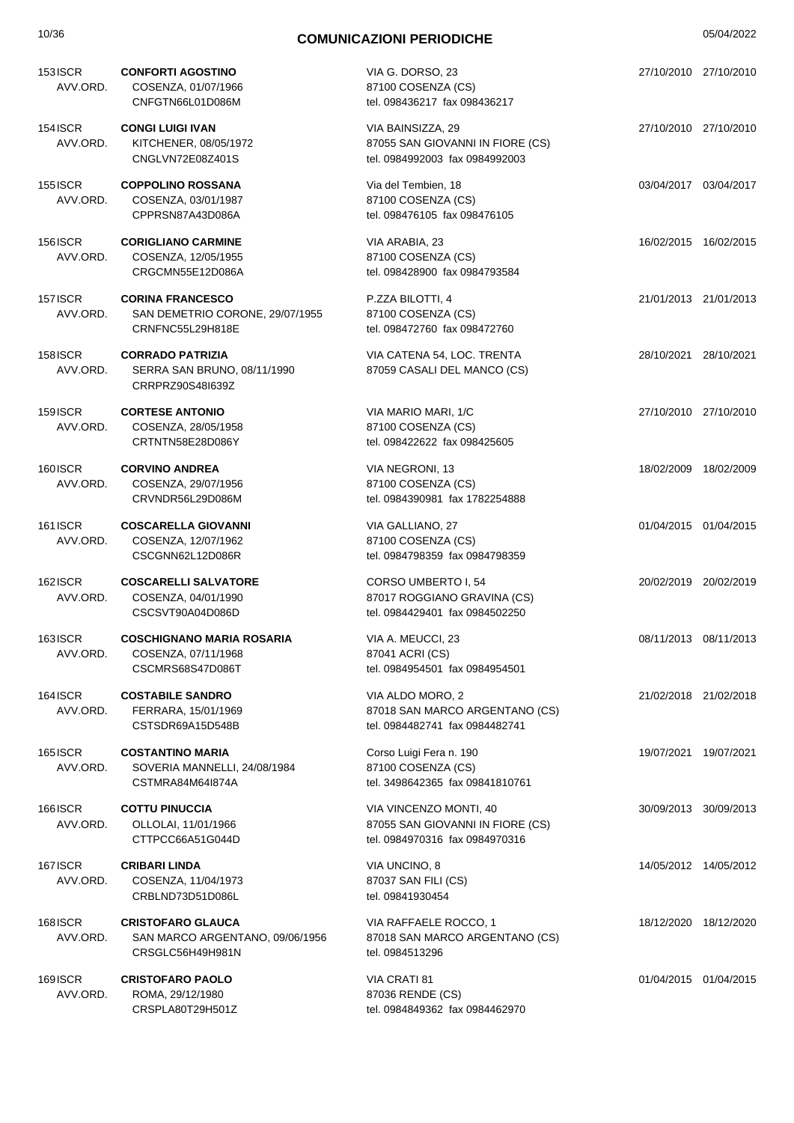| 10/36                | <b>COMUNICAZIONI PERIODICHE</b>                                                 |                                                                                              |                       | 05/04/2022 |
|----------------------|---------------------------------------------------------------------------------|----------------------------------------------------------------------------------------------|-----------------------|------------|
| 153 ISCR<br>AVV.ORD. | <b>CONFORTI AGOSTINO</b><br>COSENZA, 01/07/1966<br>CNFGTN66L01D086M             | VIA G. DORSO, 23<br>87100 COSENZA (CS)<br>tel. 098436217 fax 098436217                       | 27/10/2010 27/10/2010 |            |
| 154 ISCR<br>AVV.ORD. | <b>CONGI LUIGI IVAN</b><br>KITCHENER, 08/05/1972<br>CNGLVN72E08Z401S            | VIA BAINSIZZA, 29<br>87055 SAN GIOVANNI IN FIORE (CS)<br>tel. 0984992003 fax 0984992003      | 27/10/2010 27/10/2010 |            |
| 155 ISCR<br>AVV.ORD. | <b>COPPOLINO ROSSANA</b><br>COSENZA, 03/01/1987<br>CPPRSN87A43D086A             | Via del Tembien, 18<br>87100 COSENZA (CS)<br>tel. 098476105 fax 098476105                    | 03/04/2017 03/04/2017 |            |
| 156ISCR<br>AVV.ORD.  | <b>CORIGLIANO CARMINE</b><br>COSENZA, 12/05/1955<br>CRGCMN55E12D086A            | VIA ARABIA, 23<br>87100 COSENZA (CS)<br>tel. 098428900 fax 0984793584                        | 16/02/2015 16/02/2015 |            |
| 157 ISCR<br>AVV.ORD. | <b>CORINA FRANCESCO</b><br>SAN DEMETRIO CORONE, 29/07/1955<br>CRNFNC55L29H818E  | P.ZZA BILOTTI, 4<br>87100 COSENZA (CS)<br>tel. 098472760 fax 098472760                       | 21/01/2013 21/01/2013 |            |
| 158ISCR<br>AVV.ORD.  | <b>CORRADO PATRIZIA</b><br>SERRA SAN BRUNO, 08/11/1990<br>CRRPRZ90S48l639Z      | VIA CATENA 54, LOC. TRENTA<br>87059 CASALI DEL MANCO (CS)                                    | 28/10/2021 28/10/2021 |            |
| 159 ISCR<br>AVV.ORD. | <b>CORTESE ANTONIO</b><br>COSENZA, 28/05/1958<br>CRTNTN58E28D086Y               | VIA MARIO MARI, 1/C<br>87100 COSENZA (CS)<br>tel. 098422622 fax 098425605                    | 27/10/2010 27/10/2010 |            |
| 160ISCR<br>AVV.ORD.  | <b>CORVINO ANDREA</b><br>COSENZA, 29/07/1956<br>CRVNDR56L29D086M                | VIA NEGRONI, 13<br>87100 COSENZA (CS)<br>tel. 0984390981 fax 1782254888                      | 18/02/2009 18/02/2009 |            |
| 161 ISCR<br>AVV.ORD. | <b>COSCARELLA GIOVANNI</b><br>COSENZA, 12/07/1962<br>CSCGNN62L12D086R           | VIA GALLIANO, 27<br>87100 COSENZA (CS)<br>tel. 0984798359 fax 0984798359                     | 01/04/2015 01/04/2015 |            |
| 162ISCR<br>AVV.ORD.  | <b>COSCARELLI SALVATORE</b><br>COSENZA, 04/01/1990<br>CSCSVT90A04D086D          | CORSO UMBERTO I, 54<br>87017 ROGGIANO GRAVINA (CS)<br>tel. 0984429401 fax 0984502250         | 20/02/2019 20/02/2019 |            |
| 163 ISCR<br>AVV.ORD. | <b>COSCHIGNANO MARIA ROSARIA</b><br>COSENZA, 07/11/1968<br>CSCMRS68S47D086T     | VIA A. MEUCCI, 23<br>87041 ACRI (CS)<br>tel. 0984954501 fax 0984954501                       | 08/11/2013 08/11/2013 |            |
| 164ISCR<br>AVV.ORD.  | <b>COSTABILE SANDRO</b><br>FERRARA, 15/01/1969<br>CSTSDR69A15D548B              | VIA ALDO MORO, 2<br>87018 SAN MARCO ARGENTANO (CS)<br>tel. 0984482741 fax 0984482741         | 21/02/2018 21/02/2018 |            |
| 165 ISCR<br>AVV.ORD. | <b>COSTANTINO MARIA</b><br>SOVERIA MANNELLI, 24/08/1984<br>CSTMRA84M64I874A     | Corso Luigi Fera n. 190<br>87100 COSENZA (CS)<br>tel. 3498642365 fax 09841810761             | 19/07/2021 19/07/2021 |            |
| 166ISCR<br>AVV.ORD.  | <b>COTTU PINUCCIA</b><br>OLLOLAI, 11/01/1966<br>CTTPCC66A51G044D                | VIA VINCENZO MONTI, 40<br>87055 SAN GIOVANNI IN FIORE (CS)<br>tel. 0984970316 fax 0984970316 | 30/09/2013 30/09/2013 |            |
| 167 ISCR<br>AVV.ORD. | <b>CRIBARI LINDA</b><br>COSENZA, 11/04/1973<br>CRBLND73D51D086L                 | VIA UNCINO, 8<br>87037 SAN FILI (CS)<br>tel. 09841930454                                     | 14/05/2012 14/05/2012 |            |
| 168ISCR<br>AVV.ORD.  | <b>CRISTOFARO GLAUCA</b><br>SAN MARCO ARGENTANO, 09/06/1956<br>CRSGLC56H49H981N | VIA RAFFAELE ROCCO, 1<br>87018 SAN MARCO ARGENTANO (CS)<br>tel. 0984513296                   | 18/12/2020 18/12/2020 |            |
| 169ISCR<br>AVV.ORD.  | <b>CRISTOFARO PAOLO</b><br>ROMA, 29/12/1980                                     | VIA CRATI 81<br>87036 RENDE (CS)                                                             | 01/04/2015 01/04/2015 |            |

tel. 0984849362 fax 0984462970

CRSPLA80T29H501Z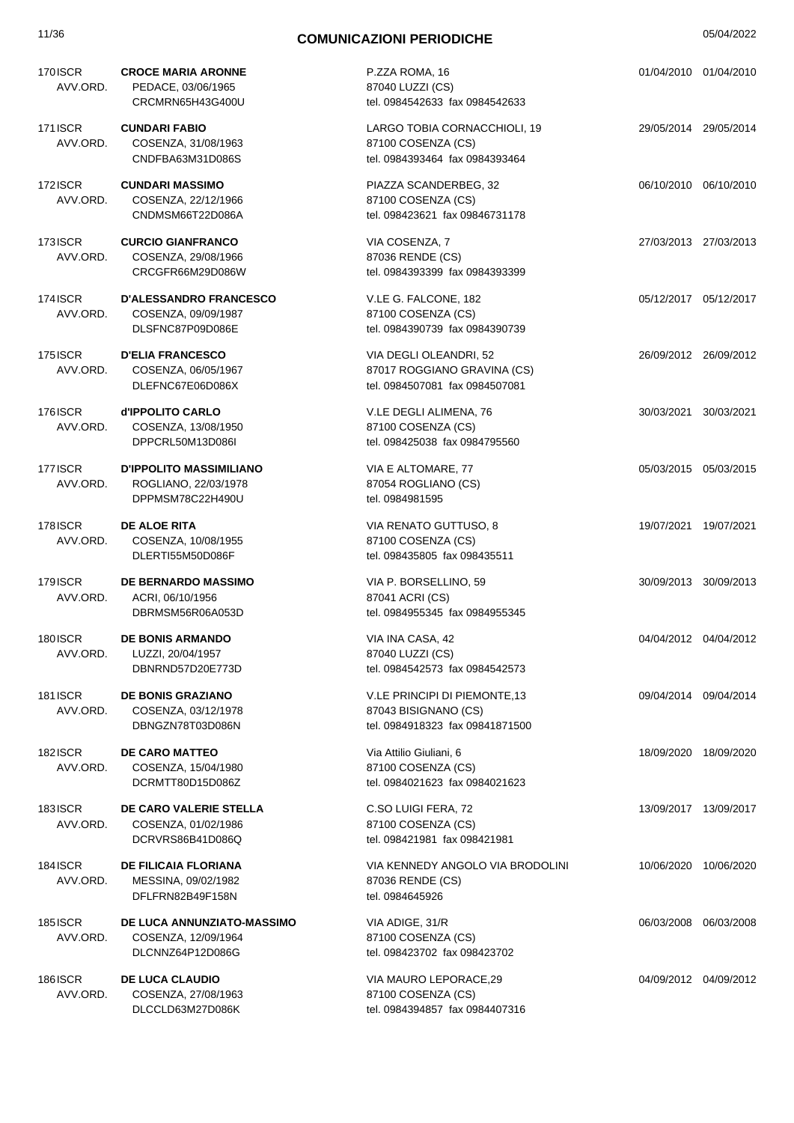| 170ISCR<br>AVV.ORD.        | <b>CROCE MARIA ARONNE</b><br>PEDACE, 03/06/1965<br>CRCMRN65H43G400U        | P.ZZA ROMA, 16<br>87040 LUZZI (CS)<br>tel. 0984542633 fax 0984542633                     |                       | 01/04/2010 01/04/2010 |
|----------------------------|----------------------------------------------------------------------------|------------------------------------------------------------------------------------------|-----------------------|-----------------------|
| 171 ISCR<br>AVV.ORD.       | <b>CUNDARI FABIO</b><br>COSENZA, 31/08/1963<br>CNDFBA63M31D086S            | LARGO TOBIA CORNACCHIOLI, 19<br>87100 COSENZA (CS)<br>tel. 0984393464 fax 0984393464     | 29/05/2014 29/05/2014 |                       |
| 172ISCR<br>AVV.ORD.        | <b>CUNDARI MASSIMO</b><br>COSENZA, 22/12/1966<br>CNDMSM66T22D086A          | PIAZZA SCANDERBEG, 32<br>87100 COSENZA (CS)<br>tel. 098423621 fax 09846731178            |                       | 06/10/2010 06/10/2010 |
| <b>173ISCR</b><br>AVV.ORD. | <b>CURCIO GIANFRANCO</b><br>COSENZA, 29/08/1966<br>CRCGFR66M29D086W        | VIA COSENZA, 7<br>87036 RENDE (CS)<br>tel. 0984393399 fax 0984393399                     |                       | 27/03/2013 27/03/2013 |
| 174 ISCR<br>AVV.ORD.       | <b>D'ALESSANDRO FRANCESCO</b><br>COSENZA, 09/09/1987<br>DLSFNC87P09D086E   | V.LE G. FALCONE, 182<br>87100 COSENZA (CS)<br>tel. 0984390739 fax 0984390739             |                       | 05/12/2017 05/12/2017 |
| 175 ISCR<br>AVV.ORD.       | <b>D'ELIA FRANCESCO</b><br>COSENZA, 06/05/1967<br>DLEFNC67E06D086X         | VIA DEGLI OLEANDRI, 52<br>87017 ROGGIANO GRAVINA (CS)<br>tel. 0984507081 fax 0984507081  |                       | 26/09/2012 26/09/2012 |
| 176ISCR<br>AVV.ORD.        | d'IPPOLITO CARLO<br>COSENZA, 13/08/1950<br>DPPCRL50M13D086I                | V.LE DEGLI ALIMENA, 76<br>87100 COSENZA (CS)<br>tel. 098425038 fax 0984795560            |                       | 30/03/2021 30/03/2021 |
| 177ISCR<br>AVV.ORD.        | <b>D'IPPOLITO MASSIMILIANO</b><br>ROGLIANO, 22/03/1978<br>DPPMSM78C22H490U | VIA E ALTOMARE, 77<br>87054 ROGLIANO (CS)<br>tel. 0984981595                             | 05/03/2015 05/03/2015 |                       |
| 178ISCR<br>AVV.ORD.        | <b>DE ALOE RITA</b><br>COSENZA, 10/08/1955<br>DLERTI55M50D086F             | VIA RENATO GUTTUSO, 8<br>87100 COSENZA (CS)<br>tel. 098435805 fax 098435511              |                       | 19/07/2021 19/07/2021 |
| 179 ISCR<br>AVV.ORD.       | <b>DE BERNARDO MASSIMO</b><br>ACRI, 06/10/1956<br>DBRMSM56R06A053D         | VIA P. BORSELLINO, 59<br>87041 ACRI (CS)<br>tel. 0984955345 fax 0984955345               |                       | 30/09/2013 30/09/2013 |
| 180ISCR<br>AVV.ORD.        | <b>DE BONIS ARMANDO</b><br>LUZZI, 20/04/1957<br>DBNRND57D20E773D           | VIA INA CASA, 42<br>87040 LUZZI (CS)<br>tel. 0984542573 fax 0984542573                   |                       | 04/04/2012 04/04/2012 |
| <b>181ISCR</b><br>AVV.ORD. | <b>DE BONIS GRAZIANO</b><br>COSENZA, 03/12/1978<br>DBNGZN78T03D086N        | V.LE PRINCIPI DI PIEMONTE, 13<br>87043 BISIGNANO (CS)<br>tel. 0984918323 fax 09841871500 |                       | 09/04/2014 09/04/2014 |
| <b>182ISCR</b><br>AVV.ORD. | <b>DE CARO MATTEO</b><br>COSENZA, 15/04/1980<br>DCRMTT80D15D086Z           | Via Attilio Giuliani, 6<br>87100 COSENZA (CS)<br>tel. 0984021623 fax 0984021623          |                       | 18/09/2020 18/09/2020 |
| <b>183ISCR</b><br>AVV.ORD. | DE CARO VALERIE STELLA<br>COSENZA, 01/02/1986<br>DCRVRS86B41D086Q          | C.SO LUIGI FERA, 72<br>87100 COSENZA (CS)<br>tel. 098421981 fax 098421981                |                       | 13/09/2017 13/09/2017 |
| <b>184ISCR</b><br>AVV.ORD. | <b>DE FILICAIA FLORIANA</b><br>MESSINA, 09/02/1982<br>DFLFRN82B49F158N     | VIA KENNEDY ANGOLO VIA BRODOLINI<br>87036 RENDE (CS)<br>tel. 0984645926                  |                       | 10/06/2020 10/06/2020 |
| <b>185ISCR</b><br>AVV.ORD. | DE LUCA ANNUNZIATO-MASSIMO<br>COSENZA, 12/09/1964<br>DLCNNZ64P12D086G      | VIA ADIGE, 31/R<br>87100 COSENZA (CS)<br>tel. 098423702 fax 098423702                    |                       | 06/03/2008 06/03/2008 |
| <b>186ISCR</b><br>AVV.ORD. | <b>DE LUCA CLAUDIO</b><br>COSENZA, 27/08/1963<br>DLCCLD63M27D086K          | VIA MAURO LEPORACE,29<br>87100 COSENZA (CS)<br>tel. 0984394857 fax 0984407316            |                       | 04/09/2012 04/09/2012 |
|                            |                                                                            |                                                                                          |                       |                       |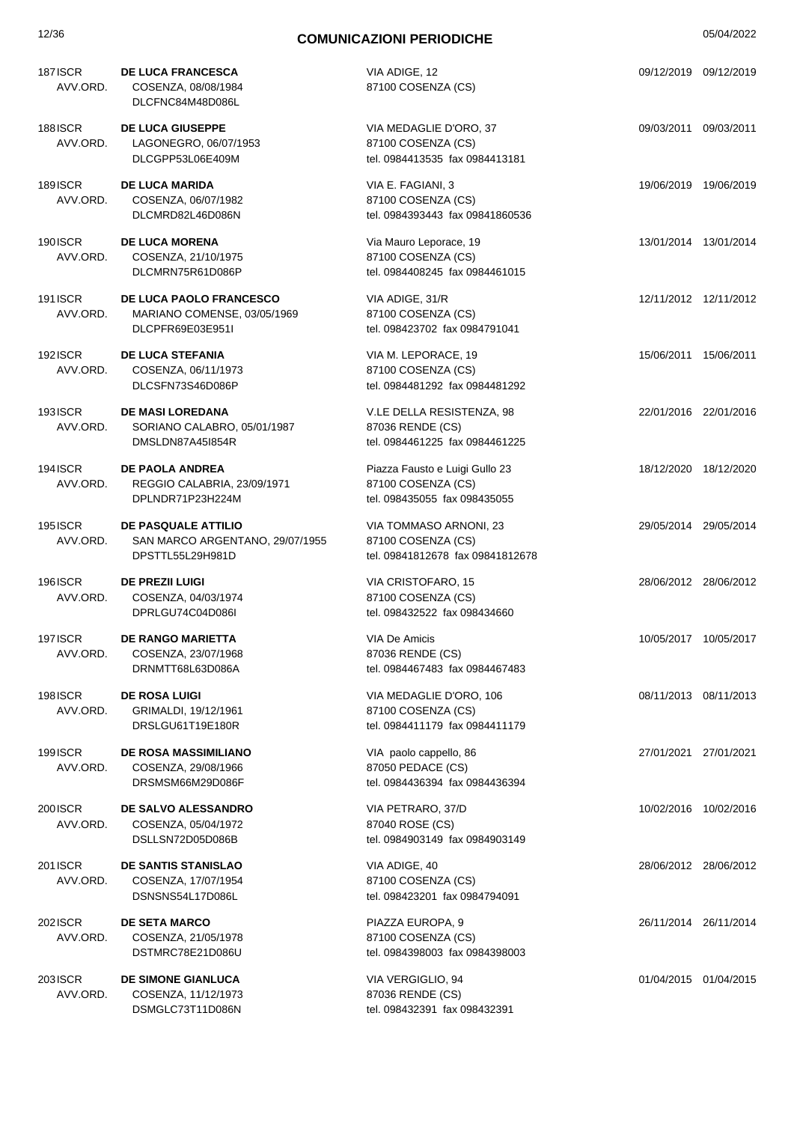| 12/36                      | <b>COMUNICAZIONI PERIODICHE</b>                                                   |                                                                                      |                       | 05/04/2022 |
|----------------------------|-----------------------------------------------------------------------------------|--------------------------------------------------------------------------------------|-----------------------|------------|
| <b>187ISCR</b><br>AVV.ORD. | <b>DE LUCA FRANCESCA</b><br>COSENZA, 08/08/1984<br>DLCFNC84M48D086L               | VIA ADIGE, 12<br>87100 COSENZA (CS)                                                  | 09/12/2019 09/12/2019 |            |
| <b>188ISCR</b><br>AVV.ORD. | <b>DE LUCA GIUSEPPE</b><br>LAGONEGRO, 06/07/1953<br>DLCGPP53L06E409M              | VIA MEDAGLIE D'ORO, 37<br>87100 COSENZA (CS)<br>tel. 0984413535 fax 0984413181       | 09/03/2011 09/03/2011 |            |
| <b>189ISCR</b><br>AVV.ORD. | <b>DE LUCA MARIDA</b><br>COSENZA, 06/07/1982<br>DLCMRD82L46D086N                  | VIA E. FAGIANI, 3<br>87100 COSENZA (CS)<br>tel. 0984393443 fax 09841860536           | 19/06/2019 19/06/2019 |            |
| 190ISCR<br>AVV.ORD.        | <b>DE LUCA MORENA</b><br>COSENZA, 21/10/1975<br>DLCMRN75R61D086P                  | Via Mauro Leporace, 19<br>87100 COSENZA (CS)<br>tel. 0984408245 fax 0984461015       | 13/01/2014 13/01/2014 |            |
| 191 ISCR<br>AVV.ORD.       | <b>DE LUCA PAOLO FRANCESCO</b><br>MARIANO COMENSE, 03/05/1969<br>DLCPFR69E03E951I | VIA ADIGE, 31/R<br>87100 COSENZA (CS)<br>tel. 098423702 fax 0984791041               | 12/11/2012 12/11/2012 |            |
| 192ISCR<br>AVV.ORD.        | <b>DE LUCA STEFANIA</b><br>COSENZA, 06/11/1973<br>DLCSFN73S46D086P                | VIA M. LEPORACE, 19<br>87100 COSENZA (CS)<br>tel. 0984481292 fax 0984481292          | 15/06/2011 15/06/2011 |            |
| <b>193ISCR</b><br>AVV.ORD. | <b>DE MASI LOREDANA</b><br>SORIANO CALABRO, 05/01/1987<br>DMSLDN87A45I854R        | V.LE DELLA RESISTENZA, 98<br>87036 RENDE (CS)<br>tel. 0984461225 fax 0984461225      | 22/01/2016 22/01/2016 |            |
| 194 ISCR<br>AVV.ORD.       | <b>DE PAOLA ANDREA</b><br>REGGIO CALABRIA, 23/09/1971<br>DPLNDR71P23H224M         | Piazza Fausto e Luigi Gullo 23<br>87100 COSENZA (CS)<br>tel. 098435055 fax 098435055 | 18/12/2020 18/12/2020 |            |
| <b>195ISCR</b><br>AVV.ORD. | DE PASQUALE ATTILIO<br>SAN MARCO ARGENTANO, 29/07/1955<br>DPSTTL55L29H981D        | VIA TOMMASO ARNONI, 23<br>87100 COSENZA (CS)<br>tel. 09841812678 fax 09841812678     | 29/05/2014 29/05/2014 |            |
| <b>196ISCR</b><br>AVV.ORD. | <b>DE PREZII LUIGI</b><br>COSENZA, 04/03/1974<br>DPRLGU74C04D086I                 | VIA CRISTOFARO, 15<br>87100 COSENZA (CS)<br>tel. 098432522 fax 098434660             | 28/06/2012 28/06/2012 |            |
| <b>197ISCR</b><br>AVV.ORD. | <b>DE RANGO MARIETTA</b><br>COSENZA, 23/07/1968<br>DRNMTT68L63D086A               | VIA De Amicis<br>87036 RENDE (CS)<br>tel. 0984467483 fax 0984467483                  | 10/05/2017 10/05/2017 |            |
| <b>198ISCR</b><br>AVV.ORD. | <b>DE ROSA LUIGI</b><br>GRIMALDI, 19/12/1961<br>DRSLGU61T19E180R                  | VIA MEDAGLIE D'ORO, 106<br>87100 COSENZA (CS)<br>tel. 0984411179 fax 0984411179      | 08/11/2013 08/11/2013 |            |
| <b>199ISCR</b><br>AVV.ORD. | <b>DE ROSA MASSIMILIANO</b><br>COSENZA, 29/08/1966<br>DRSMSM66M29D086F            | VIA paolo cappello, 86<br>87050 PEDACE (CS)<br>tel. 0984436394 fax 0984436394        | 27/01/2021 27/01/2021 |            |
| 200 ISCR<br>AVV.ORD.       | DE SALVO ALESSANDRO<br>COSENZA, 05/04/1972<br>DSLLSN72D05D086B                    | VIA PETRARO, 37/D<br>87040 ROSE (CS)<br>tel. 0984903149 fax 0984903149               | 10/02/2016 10/02/2016 |            |
| 201ISCR<br>AVV.ORD.        | <b>DE SANTIS STANISLAO</b><br>COSENZA, 17/07/1954<br>DSNSNS54L17D086L             | VIA ADIGE, 40<br>87100 COSENZA (CS)<br>tel. 098423201 fax 0984794091                 | 28/06/2012 28/06/2012 |            |
| 2021SCR<br>AVV.ORD.        | <b>DE SETA MARCO</b><br>COSENZA, 21/05/1978<br>DSTMRC78E21D086U                   | PIAZZA EUROPA, 9<br>87100 COSENZA (CS)<br>tel. 0984398003 fax 0984398003             | 26/11/2014 26/11/2014 |            |
| 203ISCR<br>AVV.ORD.        | <b>DE SIMONE GIANLUCA</b><br>COSENZA, 11/12/1973                                  | VIA VERGIGLIO, 94<br>87036 RENDE (CS)                                                | 01/04/2015 01/04/2015 |            |

tel. 098432391 fax 098432391

DSMGLC73T11D086N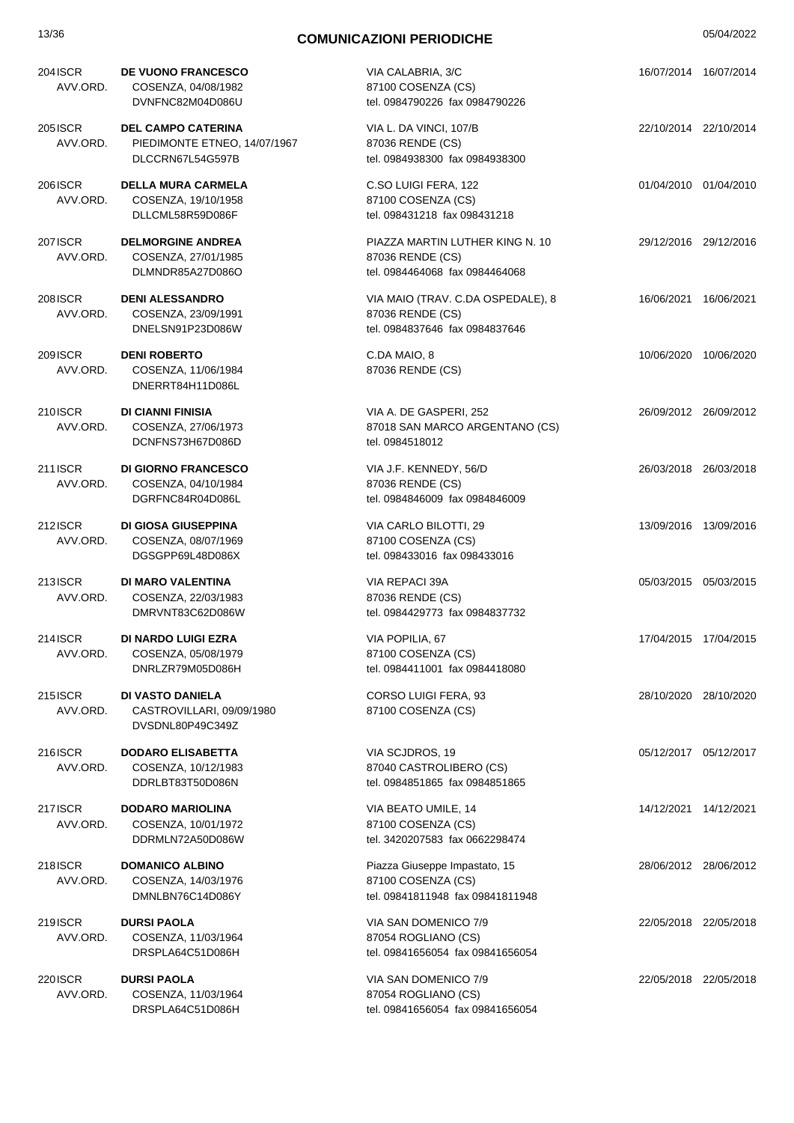| 13/36                      | <b>COMUNICAZIONI PERIODICHE</b>                                               |                                                                                         |                       | 05/04/2022            |
|----------------------------|-------------------------------------------------------------------------------|-----------------------------------------------------------------------------------------|-----------------------|-----------------------|
| 204ISCR<br>AVV.ORD.        | <b>DE VUONO FRANCESCO</b><br>COSENZA, 04/08/1982<br>DVNFNC82M04D086U          | VIA CALABRIA, 3/C<br>87100 COSENZA (CS)<br>tel. 0984790226 fax 0984790226               |                       | 16/07/2014 16/07/2014 |
| 205 ISCR<br>AVV.ORD.       | <b>DEL CAMPO CATERINA</b><br>PIEDIMONTE ETNEO, 14/07/1967<br>DLCCRN67L54G597B | VIA L. DA VINCI, 107/B<br>87036 RENDE (CS)<br>tel. 0984938300 fax 0984938300            |                       | 22/10/2014 22/10/2014 |
| 206 ISCR<br>AVV.ORD.       | <b>DELLA MURA CARMELA</b><br>COSENZA, 19/10/1958<br>DLLCML58R59D086F          | C.SO LUIGI FERA, 122<br>87100 COSENZA (CS)<br>tel. 098431218 fax 098431218              | 01/04/2010 01/04/2010 |                       |
| <b>207ISCR</b><br>AVV.ORD. | <b>DELMORGINE ANDREA</b><br>COSENZA, 27/01/1985<br>DLMNDR85A27D086O           | PIAZZA MARTIN LUTHER KING N. 10<br>87036 RENDE (CS)<br>tel. 0984464068 fax 0984464068   | 29/12/2016 29/12/2016 |                       |
| 208 ISCR<br>AVV.ORD.       | <b>DENI ALESSANDRO</b><br>COSENZA, 23/09/1991<br>DNELSN91P23D086W             | VIA MAIO (TRAV. C.DA OSPEDALE), 8<br>87036 RENDE (CS)<br>tel. 0984837646 fax 0984837646 |                       | 16/06/2021 16/06/2021 |
| 209 ISCR<br>AVV.ORD.       | <b>DENI ROBERTO</b><br>COSENZA, 11/06/1984<br>DNERRT84H11D086L                | C.DA MAIO, 8<br>87036 RENDE (CS)                                                        |                       | 10/06/2020 10/06/2020 |
| 210 ISCR<br>AVV.ORD.       | DI CIANNI FINISIA<br>COSENZA, 27/06/1973<br>DCNFNS73H67D086D                  | VIA A. DE GASPERI, 252<br>87018 SAN MARCO ARGENTANO (CS)<br>tel. 0984518012             |                       | 26/09/2012 26/09/2012 |
| 211 ISCR<br>AVV.ORD.       | <b>DI GIORNO FRANCESCO</b><br>COSENZA, 04/10/1984<br>DGRFNC84R04D086L         | VIA J.F. KENNEDY, 56/D<br>87036 RENDE (CS)<br>tel. 0984846009 fax 0984846009            |                       | 26/03/2018 26/03/2018 |
| 212 <b>SCR</b><br>AVV.ORD. | DI GIOSA GIUSEPPINA<br>COSENZA, 08/07/1969<br>DGSGPP69L48D086X                | VIA CARLO BILOTTI, 29<br>87100 COSENZA (CS)<br>tel. 098433016 fax 098433016             |                       | 13/09/2016 13/09/2016 |
| 213ISCR<br>AVV.ORD.        | DI MARO VALENTINA<br>COSENZA, 22/03/1983<br>DMRVNT83C62D086W                  | VIA REPACI 39A<br>87036 RENDE (CS)<br>tel. 0984429773 fax 0984837732                    | 05/03/2015 05/03/2015 |                       |
| 214 ISCR<br>AVV.ORD.       | <b>DI NARDO LUIGI EZRA</b><br>COSENZA, 05/08/1979<br>DNRLZR79M05D086H         | VIA POPILIA, 67<br>87100 COSENZA (CS)<br>tel. 0984411001 fax 0984418080                 |                       | 17/04/2015 17/04/2015 |
| 215ISCR<br>AVV.ORD.        | DI VASTO DANIELA<br>CASTROVILLARI, 09/09/1980<br>DVSDNL80P49C349Z             | CORSO LUIGI FERA, 93<br>87100 COSENZA (CS)                                              |                       | 28/10/2020 28/10/2020 |
| 216ISCR<br>AVV.ORD.        | <b>DODARO ELISABETTA</b><br>COSENZA, 10/12/1983<br>DDRLBT83T50D086N           | VIA SCJDROS, 19<br>87040 CASTROLIBERO (CS)<br>tel. 0984851865 fax 0984851865            |                       | 05/12/2017 05/12/2017 |
| 217ISCR<br>AVV.ORD.        | <b>DODARO MARIOLINA</b><br>COSENZA, 10/01/1972<br>DDRMLN72A50D086W            | VIA BEATO UMILE, 14<br>87100 COSENZA (CS)<br>tel. 3420207583 fax 0662298474             |                       | 14/12/2021 14/12/2021 |
| 218ISCR<br>AVV.ORD.        | <b>DOMANICO ALBINO</b><br>COSENZA, 14/03/1976<br>DMNLBN76C14D086Y             | Piazza Giuseppe Impastato, 15<br>87100 COSENZA (CS)<br>tel. 09841811948 fax 09841811948 |                       | 28/06/2012 28/06/2012 |
| 219 ISCR<br>AVV.ORD.       | <b>DURSI PAOLA</b><br>COSENZA, 11/03/1964<br>DRSPLA64C51D086H                 | VIA SAN DOMENICO 7/9<br>87054 ROGLIANO (CS)<br>tel. 09841656054 fax 09841656054         |                       | 22/05/2018 22/05/2018 |
| 220 ISCR<br>AVV.ORD.       | <b>DURSI PAOLA</b><br>COSENZA, 11/03/1964                                     | VIA SAN DOMENICO 7/9<br>87054 ROGLIANO (CS)                                             |                       | 22/05/2018 22/05/2018 |

tel. 09841656054 fax 09841656054

DRSPLA64C51D086H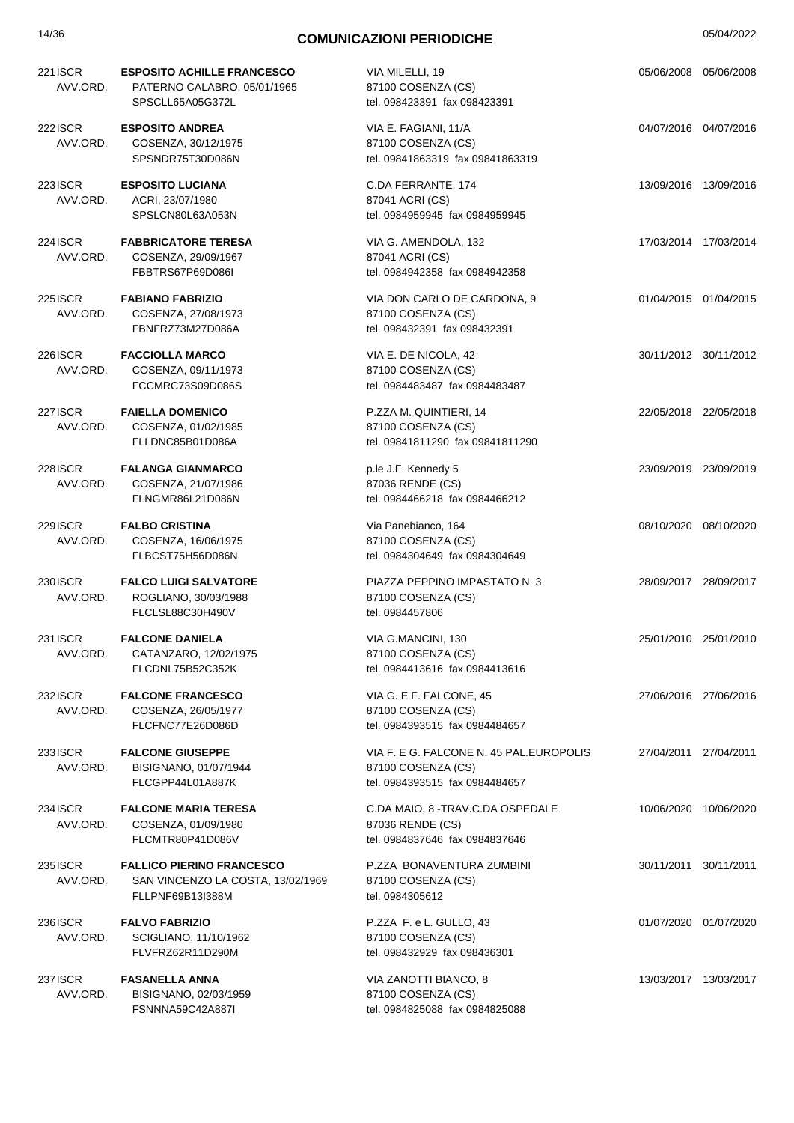| 14/36                       | <b>COMUNICAZIONI PERIODICHE</b>                                                           |                                                                                                 | 05/04/2022 |                       |
|-----------------------------|-------------------------------------------------------------------------------------------|-------------------------------------------------------------------------------------------------|------------|-----------------------|
| 221 ISCR<br>AVV.ORD.        | <b>ESPOSITO ACHILLE FRANCESCO</b><br>PATERNO CALABRO, 05/01/1965<br>SPSCLL65A05G372L      | VIA MILELLI, 19<br>87100 COSENZA (CS)<br>tel. 098423391 fax 098423391                           |            | 05/06/2008 05/06/2008 |
| 222 ISCR<br>AVV.ORD.        | <b>ESPOSITO ANDREA</b><br>COSENZA, 30/12/1975<br>SPSNDR75T30D086N                         | VIA E. FAGIANI, 11/A<br>87100 COSENZA (CS)<br>tel. 09841863319 fax 09841863319                  |            | 04/07/2016 04/07/2016 |
| 223 ISCR<br>AVV.ORD.        | <b>ESPOSITO LUCIANA</b><br>ACRI, 23/07/1980<br>SPSLCN80L63A053N                           | C.DA FERRANTE, 174<br>87041 ACRI (CS)<br>tel. 0984959945 fax 0984959945                         |            | 13/09/2016 13/09/2016 |
| 224 ISCR<br>AVV.ORD.        | <b>FABBRICATORE TERESA</b><br>COSENZA, 29/09/1967<br>FBBTRS67P69D086I                     | VIA G. AMENDOLA, 132<br>87041 ACRI (CS)<br>tel. 0984942358 fax 0984942358                       |            | 17/03/2014 17/03/2014 |
| <b>225 ISCR</b><br>AVV.ORD. | <b>FABIANO FABRIZIO</b><br>COSENZA, 27/08/1973<br>FBNFRZ73M27D086A                        | VIA DON CARLO DE CARDONA, 9<br>87100 COSENZA (CS)<br>tel. 098432391 fax 098432391               |            | 01/04/2015 01/04/2015 |
| 226 ISCR<br>AVV.ORD.        | <b>FACCIOLLA MARCO</b><br>COSENZA, 09/11/1973<br>FCCMRC73S09D086S                         | VIA E. DE NICOLA, 42<br>87100 COSENZA (CS)<br>tel. 0984483487 fax 0984483487                    |            | 30/11/2012 30/11/2012 |
| <b>227ISCR</b><br>AVV.ORD.  | <b>FAIELLA DOMENICO</b><br>COSENZA, 01/02/1985<br>FLLDNC85B01D086A                        | P.ZZA M. QUINTIERI, 14<br>87100 COSENZA (CS)<br>tel. 09841811290 fax 09841811290                |            | 22/05/2018 22/05/2018 |
| 228 ISCR<br>AVV.ORD.        | <b>FALANGA GIANMARCO</b><br>COSENZA, 21/07/1986<br>FLNGMR86L21D086N                       | p.le J.F. Kennedy 5<br>87036 RENDE (CS)<br>tel. 0984466218 fax 0984466212                       |            | 23/09/2019 23/09/2019 |
| 229 ISCR<br>AVV.ORD.        | <b>FALBO CRISTINA</b><br>COSENZA, 16/06/1975<br>FLBCST75H56D086N                          | Via Panebianco, 164<br>87100 COSENZA (CS)<br>tel. 0984304649 fax 0984304649                     |            | 08/10/2020 08/10/2020 |
| 230 ISCR<br>AVV.ORD.        | <b>FALCO LUIGI SALVATORE</b><br>ROGLIANO, 30/03/1988<br>FLCLSL88C30H490V                  | PIAZZA PEPPINO IMPASTATO N. 3<br>87100 COSENZA (CS)<br>tel. 0984457806                          |            | 28/09/2017 28/09/2017 |
| 231 ISCR<br>AVV.ORD.        | <b>FALCONE DANIELA</b><br>CATANZARO, 12/02/1975<br>FLCDNL75B52C352K                       | VIA G.MANCINI, 130<br>87100 COSENZA (CS)<br>tel. 0984413616 fax 0984413616                      |            | 25/01/2010 25/01/2010 |
| 232 ISCR<br>AVV.ORD.        | <b>FALCONE FRANCESCO</b><br>COSENZA, 26/05/1977<br>FLCFNC77E26D086D                       | VIA G. E F. FALCONE, 45<br>87100 COSENZA (CS)<br>tel. 0984393515 fax 0984484657                 |            | 27/06/2016 27/06/2016 |
| 233 ISCR<br>AVV.ORD.        | <b>FALCONE GIUSEPPE</b><br>BISIGNANO, 01/07/1944<br>FLCGPP44L01A887K                      | VIA F. E G. FALCONE N. 45 PAL.EUROPOLIS<br>87100 COSENZA (CS)<br>tel. 0984393515 fax 0984484657 |            | 27/04/2011 27/04/2011 |
| 234 ISCR<br>AVV.ORD.        | <b>FALCONE MARIA TERESA</b><br>COSENZA, 01/09/1980<br>FLCMTR80P41D086V                    | C.DA MAIO, 8 - TRAV.C.DA OSPEDALE<br>87036 RENDE (CS)<br>tel. 0984837646 fax 0984837646         |            | 10/06/2020 10/06/2020 |
| 235 ISCR<br>AVV.ORD.        | <b>FALLICO PIERINO FRANCESCO</b><br>SAN VINCENZO LA COSTA, 13/02/1969<br>FLLPNF69B13I388M | P.ZZA BONAVENTURA ZUMBINI<br>87100 COSENZA (CS)<br>tel. 0984305612                              |            | 30/11/2011 30/11/2011 |
| 236 ISCR<br>AVV.ORD.        | <b>FALVO FABRIZIO</b><br>SCIGLIANO, 11/10/1962<br>FLVFRZ62R11D290M                        | P.ZZA F. e L. GULLO, 43<br>87100 COSENZA (CS)<br>tel. 098432929 fax 098436301                   |            | 01/07/2020 01/07/2020 |
| 237 ISCR<br>AVV.ORD.        | <b>FASANELLA ANNA</b><br>BISIGNANO, 02/03/1959<br>FSNNNA59C42A887I                        | VIA ZANOTTI BIANCO, 8<br>87100 COSENZA (CS)<br>tel. 0984825088 fax 0984825088                   |            | 13/03/2017 13/03/2017 |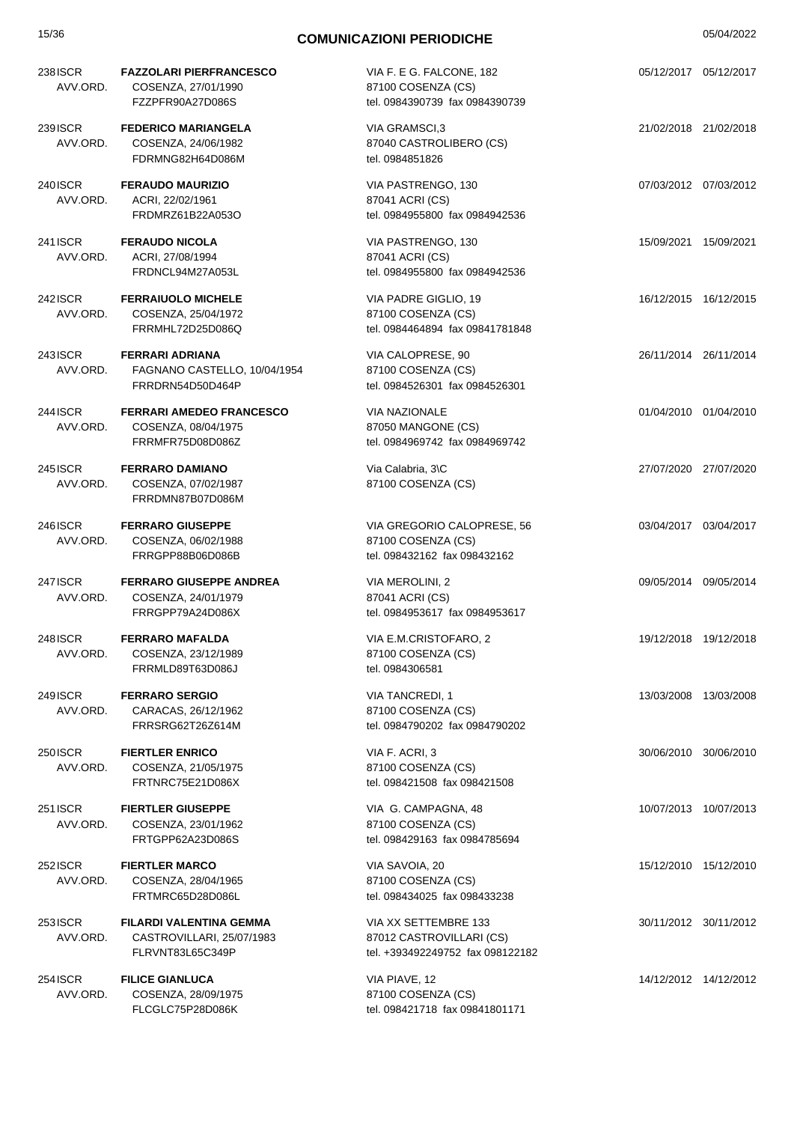| 15/36                | <b>COMUNICAZIONI PERIODICHE</b>                                            |                                                                                      |                       | 05/04/2022 |
|----------------------|----------------------------------------------------------------------------|--------------------------------------------------------------------------------------|-----------------------|------------|
| 238ISCR<br>AVV.ORD.  | <b>FAZZOLARI PIERFRANCESCO</b><br>COSENZA, 27/01/1990<br>FZZPFR90A27D086S  | VIA F. E G. FALCONE, 182<br>87100 COSENZA (CS)<br>tel. 0984390739 fax 0984390739     | 05/12/2017 05/12/2017 |            |
| 239 ISCR<br>AVV.ORD. | <b>FEDERICO MARIANGELA</b><br>COSENZA, 24/06/1982<br>FDRMNG82H64D086M      | VIA GRAMSCI,3<br>87040 CASTROLIBERO (CS)<br>tel. 0984851826                          | 21/02/2018 21/02/2018 |            |
| 240 ISCR<br>AVV.ORD. | <b>FERAUDO MAURIZIO</b><br>ACRI, 22/02/1961<br>FRDMRZ61B22A053O            | VIA PASTRENGO, 130<br>87041 ACRI (CS)<br>tel. 0984955800 fax 0984942536              | 07/03/2012 07/03/2012 |            |
| 241 ISCR<br>AVV.ORD. | <b>FERAUDO NICOLA</b><br>ACRI, 27/08/1994<br>FRDNCL94M27A053L              | VIA PASTRENGO, 130<br>87041 ACRI (CS)<br>tel. 0984955800 fax 0984942536              | 15/09/2021 15/09/2021 |            |
| 242 ISCR<br>AVV.ORD. | <b>FERRAIUOLO MICHELE</b><br>COSENZA, 25/04/1972<br>FRRMHL72D25D086Q       | VIA PADRE GIGLIO, 19<br>87100 COSENZA (CS)<br>tel. 0984464894 fax 09841781848        | 16/12/2015 16/12/2015 |            |
| 243 ISCR<br>AVV.ORD. | <b>FERRARI ADRIANA</b><br>FAGNANO CASTELLO, 10/04/1954<br>FRRDRN54D50D464P | VIA CALOPRESE, 90<br>87100 COSENZA (CS)<br>tel. 0984526301 fax 0984526301            | 26/11/2014 26/11/2014 |            |
| 244 ISCR<br>AVV.ORD. | <b>FERRARI AMEDEO FRANCESCO</b><br>COSENZA, 08/04/1975<br>FRRMFR75D08D086Z | <b>VIA NAZIONALE</b><br>87050 MANGONE (CS)<br>tel. 0984969742 fax 0984969742         | 01/04/2010 01/04/2010 |            |
| 245 ISCR<br>AVV.ORD. | <b>FERRARO DAMIANO</b><br>COSENZA, 07/02/1987<br>FRRDMN87B07D086M          | Via Calabria, 3\C<br>87100 COSENZA (CS)                                              | 27/07/2020 27/07/2020 |            |
| 246 ISCR<br>AVV.ORD. | <b>FERRARO GIUSEPPE</b><br>COSENZA, 06/02/1988<br>FRRGPP88B06D086B         | VIA GREGORIO CALOPRESE, 56<br>87100 COSENZA (CS)<br>tel. 098432162 fax 098432162     | 03/04/2017 03/04/2017 |            |
| 247 ISCR<br>AVV.ORD. | <b>FERRARO GIUSEPPE ANDREA</b><br>COSENZA, 24/01/1979<br>FRRGPP79A24D086X  | VIA MEROLINI, 2<br>87041 ACRI (CS)<br>tel. 0984953617 fax 0984953617                 | 09/05/2014 09/05/2014 |            |
| 248 ISCR<br>AVV.ORD. | <b>FERRARO MAFALDA</b><br>COSENZA, 23/12/1989<br>FRRMLD89T63D086J          | VIA E.M.CRISTOFARO, 2<br>87100 COSENZA (CS)<br>tel. 0984306581                       | 19/12/2018 19/12/2018 |            |
| 249 ISCR<br>AVV.ORD. | <b>FERRARO SERGIO</b><br>CARACAS, 26/12/1962<br>FRRSRG62T26Z614M           | <b>VIA TANCREDI, 1</b><br>87100 COSENZA (CS)<br>tel. 0984790202 fax 0984790202       | 13/03/2008 13/03/2008 |            |
| 250 ISCR<br>AVV.ORD. | <b>FIERTLER ENRICO</b><br>COSENZA, 21/05/1975<br>FRTNRC75E21D086X          | VIA F. ACRI, 3<br>87100 COSENZA (CS)<br>tel. 098421508 fax 098421508                 | 30/06/2010 30/06/2010 |            |
| 251 ISCR<br>AVV.ORD. | <b>FIERTLER GIUSEPPE</b><br>COSENZA, 23/01/1962<br>FRTGPP62A23D086S        | VIA G. CAMPAGNA, 48<br>87100 COSENZA (CS)<br>tel. 098429163 fax 0984785694           | 10/07/2013 10/07/2013 |            |
| 252 ISCR<br>AVV.ORD. | <b>FIERTLER MARCO</b><br>COSENZA, 28/04/1965<br>FRTMRC65D28D086L           | VIA SAVOIA, 20<br>87100 COSENZA (CS)<br>tel. 098434025 fax 098433238                 | 15/12/2010 15/12/2010 |            |
| 253 ISCR<br>AVV.ORD. | FILARDI VALENTINA GEMMA<br>CASTROVILLARI, 25/07/1983<br>FLRVNT83L65C349P   | VIA XX SETTEMBRE 133<br>87012 CASTROVILLARI (CS)<br>tel. +393492249752 fax 098122182 | 30/11/2012 30/11/2012 |            |
| 254 ISCR<br>AVV.ORD. | <b>FILICE GIANLUCA</b><br>COSENZA, 28/09/1975<br>FLCGLC75P28D086K          | VIA PIAVE, 12<br>87100 COSENZA (CS)<br>tel. 098421718 fax 09841801171                | 14/12/2012 14/12/2012 |            |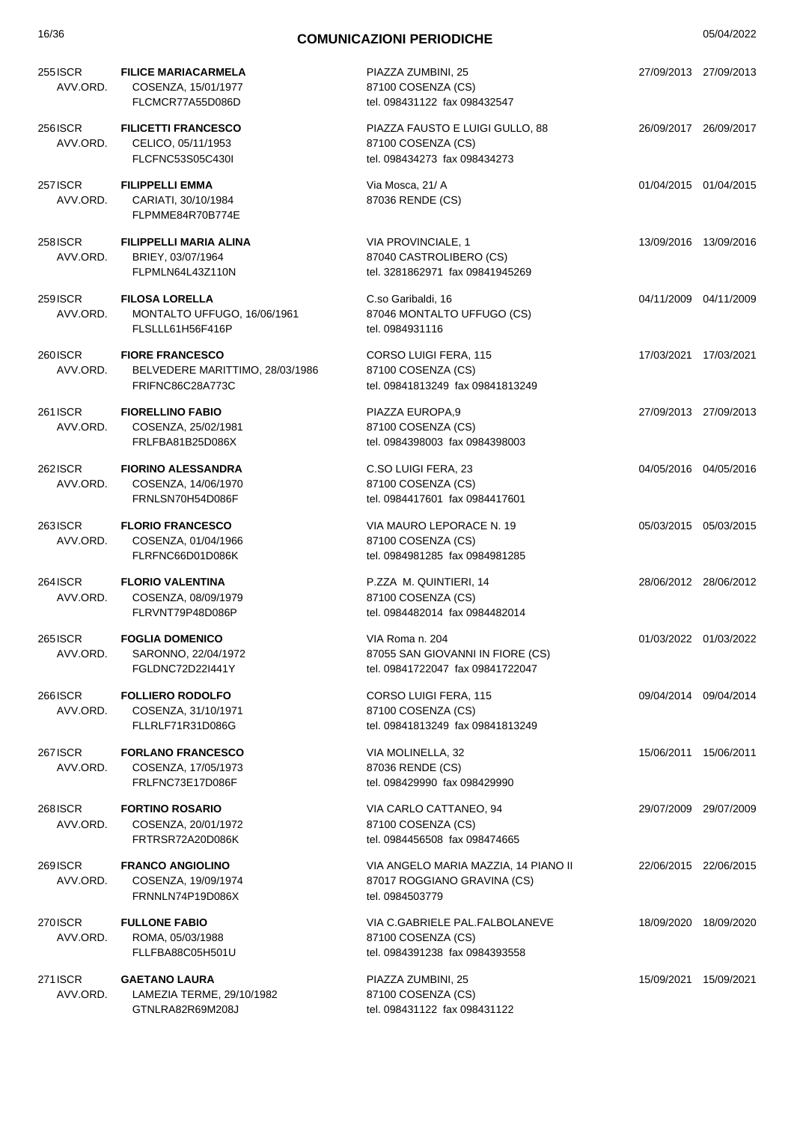| 16/36                      | <b>COMUNICAZIONI PERIODICHE</b>                                               |                                                                                         | 05/04/2022 |                       |
|----------------------------|-------------------------------------------------------------------------------|-----------------------------------------------------------------------------------------|------------|-----------------------|
| 255 ISCR<br>AVV.ORD.       | <b>FILICE MARIACARMELA</b><br>COSENZA, 15/01/1977<br>FLCMCR77A55D086D         | PIAZZA ZUMBINI, 25<br>87100 COSENZA (CS)<br>tel. 098431122 fax 098432547                |            | 27/09/2013 27/09/2013 |
| 256 ISCR<br>AVV.ORD.       | <b>FILICETTI FRANCESCO</b><br>CELICO, 05/11/1953<br>FLCFNC53S05C430I          | PIAZZA FAUSTO E LUIGI GULLO, 88<br>87100 COSENZA (CS)<br>tel. 098434273 fax 098434273   |            | 26/09/2017 26/09/2017 |
| <b>257ISCR</b><br>AVV.ORD. | <b>FILIPPELLI EMMA</b><br>CARIATI, 30/10/1984<br>FLPMME84R70B774E             | Via Mosca, 21/ A<br>87036 RENDE (CS)                                                    |            | 01/04/2015 01/04/2015 |
| 258 ISCR<br>AVV.ORD.       | <b>FILIPPELLI MARIA ALINA</b><br>BRIEY, 03/07/1964<br>FLPMLN64L43Z110N        | VIA PROVINCIALE, 1<br>87040 CASTROLIBERO (CS)<br>tel. 3281862971 fax 09841945269        |            | 13/09/2016 13/09/2016 |
| 259 ISCR<br>AVV.ORD.       | <b>FILOSA LORELLA</b><br>MONTALTO UFFUGO, 16/06/1961<br>FLSLLL61H56F416P      | C.so Garibaldi, 16<br>87046 MONTALTO UFFUGO (CS)<br>tel. 0984931116                     |            | 04/11/2009 04/11/2009 |
| 260 ISCR<br>AVV.ORD.       | <b>FIORE FRANCESCO</b><br>BELVEDERE MARITTIMO, 28/03/1986<br>FRIFNC86C28A773C | CORSO LUIGI FERA, 115<br>87100 COSENZA (CS)<br>tel. 09841813249 fax 09841813249         |            | 17/03/2021 17/03/2021 |
| 261 ISCR<br>AVV.ORD.       | <b>FIORELLINO FABIO</b><br>COSENZA, 25/02/1981<br>FRLFBA81B25D086X            | PIAZZA EUROPA,9<br>87100 COSENZA (CS)<br>tel. 0984398003 fax 0984398003                 |            | 27/09/2013 27/09/2013 |
| 262 ISCR<br>AVV.ORD.       | <b>FIORINO ALESSANDRA</b><br>COSENZA, 14/06/1970<br>FRNLSN70H54D086F          | C.SO LUIGI FERA, 23<br>87100 COSENZA (CS)<br>tel. 0984417601 fax 0984417601             |            | 04/05/2016 04/05/2016 |
| 263ISCR<br>AVV.ORD.        | <b>FLORIO FRANCESCO</b><br>COSENZA, 01/04/1966<br>FLRFNC66D01D086K            | VIA MAURO LEPORACE N. 19<br>87100 COSENZA (CS)<br>tel. 0984981285 fax 0984981285        |            | 05/03/2015 05/03/2015 |
| 264 ISCR<br>AVV.ORD.       | <b>FLORIO VALENTINA</b><br>COSENZA, 08/09/1979<br>FLRVNT79P48D086P            | P.ZZA M. QUINTIERI, 14<br>87100 COSENZA (CS)<br>tel. 0984482014 fax 0984482014          |            | 28/06/2012 28/06/2012 |
| 265 ISCR<br>AVV.ORD.       | <b>FOGLIA DOMENICO</b><br>SARONNO, 22/04/1972<br>FGLDNC72D22I441Y             | VIA Roma n. 204<br>87055 SAN GIOVANNI IN FIORE (CS)<br>tel. 09841722047 fax 09841722047 |            | 01/03/2022 01/03/2022 |
| 266 ISCR<br>AVV.ORD.       | <b>FOLLIERO RODOLFO</b><br>COSENZA, 31/10/1971<br>FLLRLF71R31D086G            | CORSO LUIGI FERA, 115<br>87100 COSENZA (CS)<br>tel. 09841813249 fax 09841813249         |            | 09/04/2014 09/04/2014 |
| 267 ISCR<br>AVV.ORD.       | <b>FORLANO FRANCESCO</b><br>COSENZA, 17/05/1973<br>FRLFNC73E17D086F           | VIA MOLINELLA, 32<br>87036 RENDE (CS)<br>tel. 098429990 fax 098429990                   |            | 15/06/2011 15/06/2011 |
| 268 ISCR<br>AVV.ORD.       | <b>FORTINO ROSARIO</b><br>COSENZA, 20/01/1972<br>FRTRSR72A20D086K             | VIA CARLO CATTANEO, 94<br>87100 COSENZA (CS)<br>tel. 0984456508 fax 098474665           |            | 29/07/2009 29/07/2009 |
| 269ISCR<br>AVV.ORD.        | <b>FRANCO ANGIOLINO</b><br>COSENZA, 19/09/1974<br>FRNNLN74P19D086X            | VIA ANGELO MARIA MAZZIA, 14 PIANO II<br>87017 ROGGIANO GRAVINA (CS)<br>tel. 0984503779  |            | 22/06/2015 22/06/2015 |
| 270 ISCR<br>AVV.ORD.       | <b>FULLONE FABIO</b><br>ROMA, 05/03/1988<br>FLLFBA88C05H501U                  | VIA C.GABRIELE PAL.FALBOLANEVE<br>87100 COSENZA (CS)<br>tel. 0984391238 fax 0984393558  |            | 18/09/2020 18/09/2020 |
| 271 ISCR<br>AVV.ORD.       | <b>GAETANO LAURA</b><br>LAMEZIA TERME, 29/10/1982<br>GTNLRA82R69M208J         | PIAZZA ZUMBINI, 25<br>87100 COSENZA (CS)<br>tel. 098431122 fax 098431122                |            | 15/09/2021 15/09/2021 |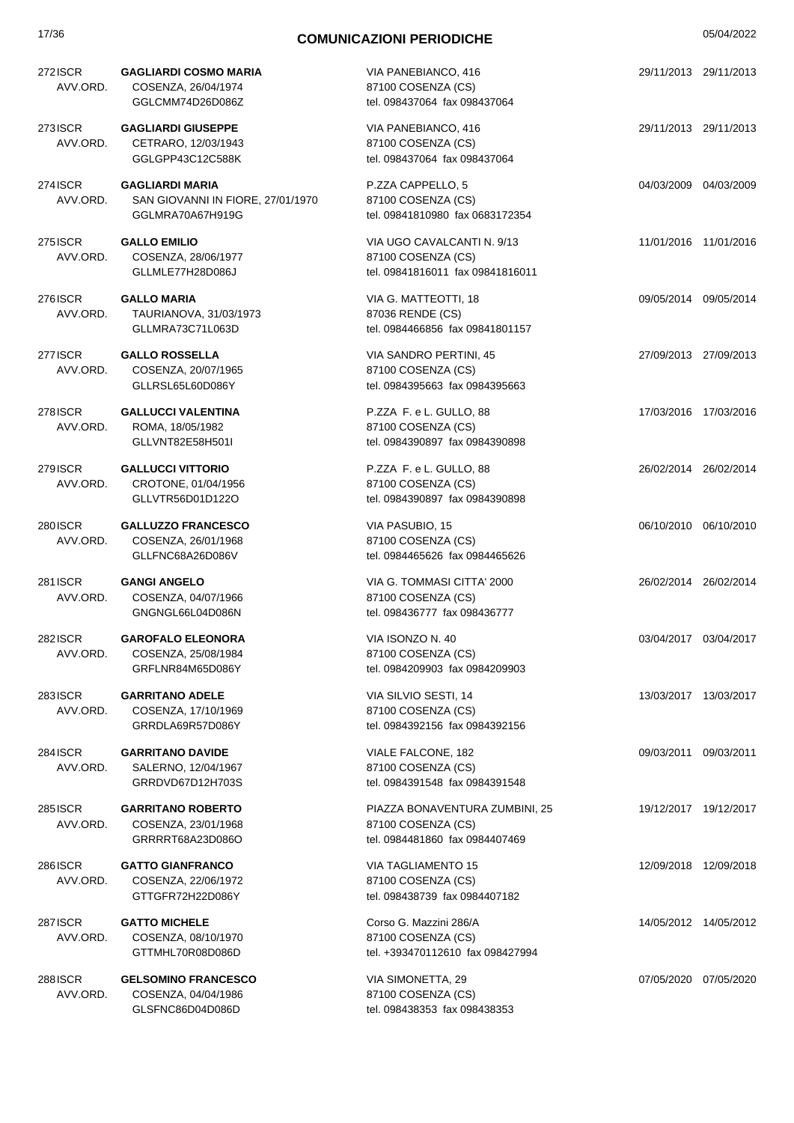| 272ISCR<br>AVV.ORD.        | <b>GAGLIARDI COSMO MARIA</b><br>COSENZA, 26/04/1974<br>GGLCMM74D26D086Z         | VIA PANEBIANCO, 416<br>87100 COSENZA (CS)<br>tel. 098437064 fax 098437064              |            | 29/11/2013 29/11/2013 |
|----------------------------|---------------------------------------------------------------------------------|----------------------------------------------------------------------------------------|------------|-----------------------|
| 273ISCR<br>AVV.ORD.        | <b>GAGLIARDI GIUSEPPE</b><br>CETRARO, 12/03/1943<br>GGLGPP43C12C588K            | VIA PANEBIANCO, 416<br>87100 COSENZA (CS)<br>tel. 098437064 fax 098437064              |            | 29/11/2013 29/11/2013 |
| 274 ISCR<br>AVV.ORD.       | <b>GAGLIARDI MARIA</b><br>SAN GIOVANNI IN FIORE, 27/01/1970<br>GGLMRA70A67H919G | P.ZZA CAPPELLO, 5<br>87100 COSENZA (CS)<br>tel. 09841810980 fax 0683172354             |            | 04/03/2009 04/03/2009 |
| 275 ISCR<br>AVV.ORD.       | <b>GALLO EMILIO</b><br>COSENZA, 28/06/1977<br>GLLMLE77H28D086J                  | VIA UGO CAVALCANTI N. 9/13<br>87100 COSENZA (CS)<br>tel. 09841816011 fax 09841816011   |            | 11/01/2016 11/01/2016 |
| 276ISCR<br>AVV.ORD.        | <b>GALLO MARIA</b><br>TAURIANOVA, 31/03/1973<br>GLLMRA73C71L063D                | VIA G. MATTEOTTI, 18<br>87036 RENDE (CS)<br>tel. 0984466856 fax 09841801157            |            | 09/05/2014 09/05/2014 |
| 277 ISCR<br>AVV.ORD.       | <b>GALLO ROSSELLA</b><br>COSENZA, 20/07/1965<br>GLLRSL65L60D086Y                | VIA SANDRO PERTINI, 45<br>87100 COSENZA (CS)<br>tel. 0984395663 fax 0984395663         |            | 27/09/2013 27/09/2013 |
| 278 ISCR<br>AVV.ORD.       | <b>GALLUCCI VALENTINA</b><br>ROMA, 18/05/1982<br>GLLVNT82E58H501I               | P.ZZA F. e L. GULLO, 88<br>87100 COSENZA (CS)<br>tel. 0984390897 fax 0984390898        |            | 17/03/2016 17/03/2016 |
| 279 ISCR<br>AVV.ORD.       | <b>GALLUCCI VITTORIO</b><br>CROTONE, 01/04/1956<br>GLLVTR56D01D122O             | P.ZZA F. e L. GULLO, 88<br>87100 COSENZA (CS)<br>tel. 0984390897 fax 0984390898        |            | 26/02/2014 26/02/2014 |
| 280ISCR<br>AVV.ORD.        | <b>GALLUZZO FRANCESCO</b><br>COSENZA, 26/01/1968<br>GLLFNC68A26D086V            | VIA PASUBIO, 15<br>87100 COSENZA (CS)<br>tel. 0984465626 fax 0984465626                |            | 06/10/2010 06/10/2010 |
| 281 ISCR<br>AVV.ORD.       | <b>GANGI ANGELO</b><br>COSENZA, 04/07/1966<br>GNGNGL66L04D086N                  | VIA G. TOMMASI CITTA' 2000<br>87100 COSENZA (CS)<br>tel. 098436777 fax 098436777       |            | 26/02/2014 26/02/2014 |
| 282ISCR<br>AVV.ORD.        | <b>GAROFALO ELEONORA</b><br>COSENZA, 25/08/1984<br>GRFLNR84M65D086Y             | VIA ISONZO N. 40<br>87100 COSENZA (CS)<br>tel. 0984209903 fax 0984209903               |            | 03/04/2017 03/04/2017 |
| 283ISCR<br>AVV.ORD.        | <b>GARRITANO ADELE</b><br>COSENZA, 17/10/1969<br>GRRDLA69R57D086Y               | VIA SILVIO SESTI, 14<br>87100 COSENZA (CS)<br>tel. 0984392156 fax 0984392156           |            | 13/03/2017 13/03/2017 |
| 284 ISCR<br>AVV.ORD.       | <b>GARRITANO DAVIDE</b><br>SALERNO, 12/04/1967<br>GRRDVD67D12H703S              | VIALE FALCONE, 182<br>87100 COSENZA (CS)<br>tel. 0984391548 fax 0984391548             | 09/03/2011 | 09/03/2011            |
| 285 ISCR<br>AVV.ORD.       | <b>GARRITANO ROBERTO</b><br>COSENZA, 23/01/1968<br>GRRRRT68A23D086O             | PIAZZA BONAVENTURA ZUMBINI, 25<br>87100 COSENZA (CS)<br>tel. 0984481860 fax 0984407469 |            | 19/12/2017 19/12/2017 |
| 286ISCR<br>AVV.ORD.        | <b>GATTO GIANFRANCO</b><br>COSENZA, 22/06/1972<br>GTTGFR72H22D086Y              | <b>VIA TAGLIAMENTO 15</b><br>87100 COSENZA (CS)<br>tel. 098438739 fax 0984407182       |            | 12/09/2018 12/09/2018 |
| <b>287ISCR</b><br>AVV.ORD. | <b>GATTO MICHELE</b><br>COSENZA, 08/10/1970<br>GTTMHL70R08D086D                 | Corso G. Mazzini 286/A<br>87100 COSENZA (CS)<br>tel. +393470112610 fax 098427994       |            | 14/05/2012 14/05/2012 |
| 288ISCR<br>AVV.ORD.        | <b>GELSOMINO FRANCESCO</b><br>COSENZA, 04/04/1986<br>GLSFNC86D04D086D           | VIA SIMONETTA, 29<br>87100 COSENZA (CS)<br>tel. 098438353 fax 098438353                |            | 07/05/2020 07/05/2020 |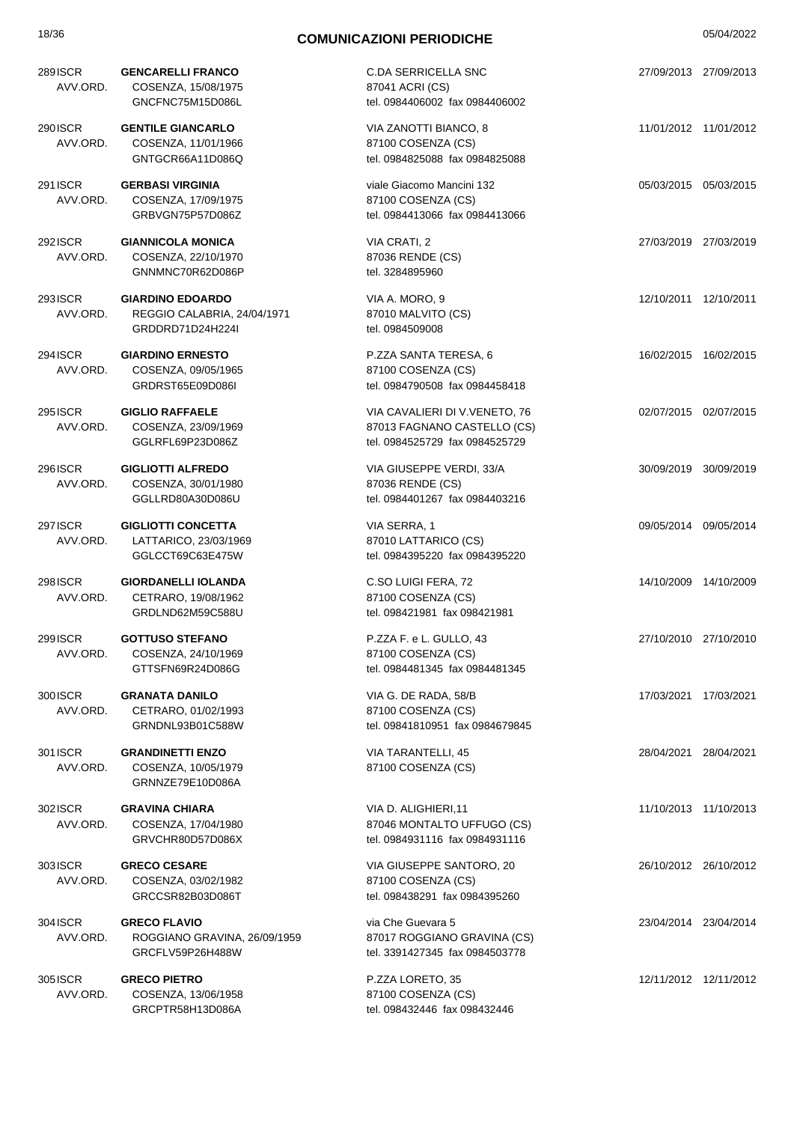| 289 ISCR<br>AVV.ORD. | <b>GENCARELLI FRANCO</b><br>COSENZA, 15/08/1975<br>GNCFNC75M15D086L        | <b>C.DA SERRICELLA SNC</b><br>87041 ACRI (CS)<br>tel. 0984406002 fax 0984406002                | 27/09/2013 27/09/2013 |
|----------------------|----------------------------------------------------------------------------|------------------------------------------------------------------------------------------------|-----------------------|
| 290 ISCR<br>AVV.ORD. | <b>GENTILE GIANCARLO</b><br>COSENZA, 11/01/1966<br>GNTGCR66A11D086Q        | VIA ZANOTTI BIANCO, 8<br>87100 COSENZA (CS)<br>tel. 0984825088 fax 0984825088                  | 11/01/2012 11/01/2012 |
| 291 ISCR<br>AVV.ORD. | <b>GERBASI VIRGINIA</b><br>COSENZA, 17/09/1975<br>GRBVGN75P57D086Z         | viale Giacomo Mancini 132<br>87100 COSENZA (CS)<br>tel. 0984413066 fax 0984413066              | 05/03/2015 05/03/2015 |
| 292 ISCR<br>AVV.ORD. | <b>GIANNICOLA MONICA</b><br>COSENZA, 22/10/1970<br>GNNMNC70R62D086P        | VIA CRATI, 2<br>87036 RENDE (CS)<br>tel. 3284895960                                            | 27/03/2019 27/03/2019 |
| 293 ISCR<br>AVV.ORD. | <b>GIARDINO EDOARDO</b><br>REGGIO CALABRIA, 24/04/1971<br>GRDDRD71D24H224I | VIA A. MORO, 9<br>87010 MALVITO (CS)<br>tel. 0984509008                                        | 12/10/2011 12/10/2011 |
| 294 ISCR<br>AVV.ORD. | <b>GIARDINO ERNESTO</b><br>COSENZA, 09/05/1965<br>GRDRST65E09D086I         | P.ZZA SANTA TERESA, 6<br>87100 COSENZA (CS)<br>tel. 0984790508 fax 0984458418                  | 16/02/2015 16/02/2015 |
| 295 ISCR<br>AVV.ORD. | <b>GIGLIO RAFFAELE</b><br>COSENZA, 23/09/1969<br>GGLRFL69P23D086Z          | VIA CAVALIERI DI V.VENETO, 76<br>87013 FAGNANO CASTELLO (CS)<br>tel. 0984525729 fax 0984525729 | 02/07/2015 02/07/2015 |
| 296 ISCR<br>AVV.ORD. | <b>GIGLIOTTI ALFREDO</b><br>COSENZA, 30/01/1980<br>GGLLRD80A30D086U        | VIA GIUSEPPE VERDI, 33/A<br>87036 RENDE (CS)<br>tel. 0984401267 fax 0984403216                 | 30/09/2019 30/09/2019 |
| 297 ISCR<br>AVV.ORD. | <b>GIGLIOTTI CONCETTA</b><br>LATTARICO, 23/03/1969<br>GGLCCT69C63E475W     | VIA SERRA, 1<br>87010 LATTARICO (CS)<br>tel. 0984395220 fax 0984395220                         | 09/05/2014 09/05/2014 |
| 298 ISCR<br>AVV.ORD. | <b>GIORDANELLI IOLANDA</b><br>CETRARO, 19/08/1962<br>GRDLND62M59C588U      | C.SO LUIGI FERA, 72<br>87100 COSENZA (CS)<br>tel. 098421981 fax 098421981                      | 14/10/2009 14/10/2009 |
| 299 ISCR<br>AVV.ORD. | <b>GOTTUSO STEFANO</b><br>COSENZA, 24/10/1969<br>GTTSFN69R24D086G          | P.ZZA F. e L. GULLO, 43<br>87100 COSENZA (CS)<br>tel. 0984481345 fax 0984481345                | 27/10/2010 27/10/2010 |
| 300 ISCR<br>AVV.ORD. | <b>GRANATA DANILO</b><br>CETRARO, 01/02/1993<br>GRNDNL93B01C588W           | VIA G. DE RADA, 58/B<br>87100 COSENZA (CS)<br>tel. 09841810951 fax 0984679845                  | 17/03/2021 17/03/2021 |
| 301 ISCR<br>AVV.ORD. | <b>GRANDINETTI ENZO</b><br>COSENZA, 10/05/1979<br>GRNNZE79E10D086A         | VIA TARANTELLI, 45<br>87100 COSENZA (CS)                                                       | 28/04/2021 28/04/2021 |
| 302ISCR<br>AVV.ORD.  | <b>GRAVINA CHIARA</b><br>COSENZA, 17/04/1980<br>GRVCHR80D57D086X           | VIA D. ALIGHIERI,11<br>87046 MONTALTO UFFUGO (CS)<br>tel. 0984931116 fax 0984931116            | 11/10/2013 11/10/2013 |
| 303ISCR<br>AVV.ORD.  | <b>GRECO CESARE</b><br>COSENZA, 03/02/1982<br>GRCCSR82B03D086T             | VIA GIUSEPPE SANTORO, 20<br>87100 COSENZA (CS)<br>tel. 098438291 fax 0984395260                | 26/10/2012 26/10/2012 |
| 304 ISCR<br>AVV.ORD. | <b>GRECO FLAVIO</b><br>ROGGIANO GRAVINA, 26/09/1959<br>GRCFLV59P26H488W    | via Che Guevara 5<br>87017 ROGGIANO GRAVINA (CS)<br>tel. 3391427345 fax 0984503778             | 23/04/2014 23/04/2014 |
| 305 ISCR<br>AVV.ORD. | <b>GRECO PIETRO</b><br>COSENZA, 13/06/1958<br>GRCPTR58H13D086A             | P.ZZA LORETO, 35<br>87100 COSENZA (CS)<br>tel. 098432446 fax 098432446                         | 12/11/2012 12/11/2012 |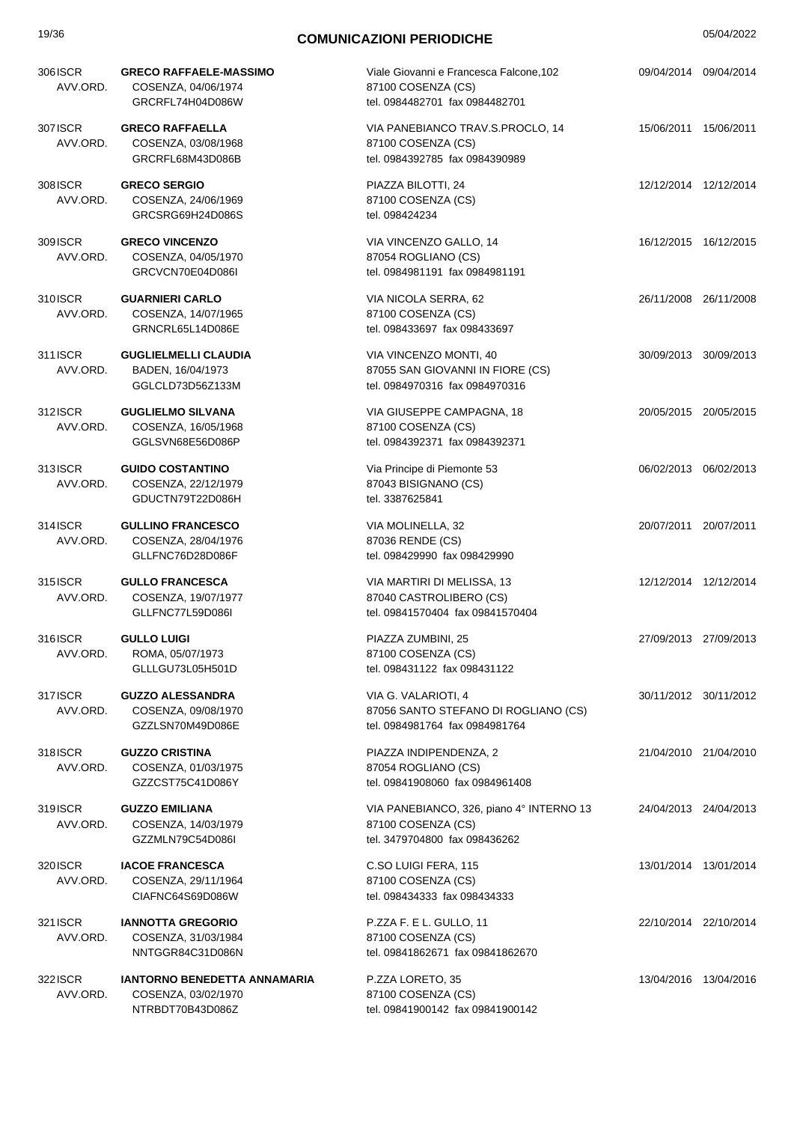| 19/36                       | <b>COMUNICAZIONI PERIODICHE</b>                                          |                                                                                                 |  | 05/04/2022            |  |
|-----------------------------|--------------------------------------------------------------------------|-------------------------------------------------------------------------------------------------|--|-----------------------|--|
| 306 ISCR<br>AVV.ORD.        | <b>GRECO RAFFAELE-MASSIMO</b><br>COSENZA, 04/06/1974<br>GRCRFL74H04D086W | Viale Giovanni e Francesca Falcone, 102<br>87100 COSENZA (CS)<br>tel. 0984482701 fax 0984482701 |  | 09/04/2014 09/04/2014 |  |
| 307 ISCR<br>AVV.ORD.        | <b>GRECO RAFFAELLA</b><br>COSENZA, 03/08/1968<br>GRCRFL68M43D086B        | VIA PANEBIANCO TRAV.S.PROCLO, 14<br>87100 COSENZA (CS)<br>tel. 0984392785 fax 0984390989        |  | 15/06/2011 15/06/2011 |  |
| 308 ISCR<br>AVV.ORD.        | <b>GRECO SERGIO</b><br>COSENZA, 24/06/1969<br>GRCSRG69H24D086S           | PIAZZA BILOTTI, 24<br>87100 COSENZA (CS)<br>tel. 098424234                                      |  | 12/12/2014 12/12/2014 |  |
| 309 ISCR<br>AVV.ORD.        | <b>GRECO VINCENZO</b><br>COSENZA, 04/05/1970<br>GRCVCN70E04D086I         | VIA VINCENZO GALLO, 14<br>87054 ROGLIANO (CS)<br>tel. 0984981191 fax 0984981191                 |  | 16/12/2015 16/12/2015 |  |
| 310 ISCR<br>AVV.ORD.        | <b>GUARNIERI CARLO</b><br>COSENZA, 14/07/1965<br>GRNCRL65L14D086E        | VIA NICOLA SERRA, 62<br>87100 COSENZA (CS)<br>tel. 098433697 fax 098433697                      |  | 26/11/2008 26/11/2008 |  |
| 311 <b>ISCR</b><br>AVV.ORD. | <b>GUGLIELMELLI CLAUDIA</b><br>BADEN, 16/04/1973<br>GGLCLD73D56Z133M     | VIA VINCENZO MONTI, 40<br>87055 SAN GIOVANNI IN FIORE (CS)<br>tel. 0984970316 fax 0984970316    |  | 30/09/2013 30/09/2013 |  |
| 312ISCR<br>AVV.ORD.         | <b>GUGLIELMO SILVANA</b><br>COSENZA, 16/05/1968<br>GGLSVN68E56D086P      | VIA GIUSEPPE CAMPAGNA, 18<br>87100 COSENZA (CS)<br>tel. 0984392371 fax 0984392371               |  | 20/05/2015 20/05/2015 |  |
| 313ISCR<br>AVV.ORD.         | <b>GUIDO COSTANTINO</b><br>COSENZA, 22/12/1979<br>GDUCTN79T22D086H       | Via Principe di Piemonte 53<br>87043 BISIGNANO (CS)<br>tel. 3387625841                          |  | 06/02/2013 06/02/2013 |  |
| 314 <b>SCR</b><br>AVV.ORD.  | <b>GULLINO FRANCESCO</b><br>COSENZA, 28/04/1976<br>GLLFNC76D28D086F      | VIA MOLINELLA, 32<br>87036 RENDE (CS)<br>tel. 098429990 fax 098429990                           |  | 20/07/2011 20/07/2011 |  |
| 315 ISCR<br>AVV.ORD.        | <b>GULLO FRANCESCA</b><br>COSENZA, 19/07/1977<br>GLLFNC77L59D086I        | VIA MARTIRI DI MELISSA, 13<br>87040 CASTROLIBERO (CS)<br>tel. 09841570404 fax 09841570404       |  | 12/12/2014 12/12/2014 |  |
| 316ISCR<br>AVV.ORD.         | <b>GULLO LUIGI</b><br>ROMA, 05/07/1973<br>GLLLGU73L05H501D               | PIAZZA ZUMBINI, 25<br>87100 COSENZA (CS)<br>tel. 098431122 fax 098431122                        |  | 27/09/2013 27/09/2013 |  |
| 317ISCR<br>AVV.ORD.         | <b>GUZZO ALESSANDRA</b><br>COSENZA, 09/08/1970<br>GZZLSN70M49D086E       | VIA G. VALARIOTI, 4<br>87056 SANTO STEFANO DI ROGLIANO (CS)<br>tel. 0984981764 fax 0984981764   |  | 30/11/2012 30/11/2012 |  |
| 318ISCR<br>AVV.ORD.         | <b>GUZZO CRISTINA</b><br>COSENZA, 01/03/1975<br>GZZCST75C41D086Y         | PIAZZA INDIPENDENZA, 2<br>87054 ROGLIANO (CS)<br>tel. 09841908060 fax 0984961408                |  | 21/04/2010 21/04/2010 |  |
| 319 <b>SCR</b><br>AVV.ORD.  | <b>GUZZO EMILIANA</b><br>COSENZA, 14/03/1979<br>GZZMLN79C54D086I         | VIA PANEBIANCO, 326, piano 4° INTERNO 13<br>87100 COSENZA (CS)<br>tel. 3479704800 fax 098436262 |  | 24/04/2013 24/04/2013 |  |
| 320 ISCR<br>AVV.ORD.        | <b>IACOE FRANCESCA</b><br>COSENZA, 29/11/1964<br>CIAFNC64S69D086W        | C.SO LUIGI FERA, 115<br>87100 COSENZA (CS)<br>tel. 098434333 fax 098434333                      |  | 13/01/2014 13/01/2014 |  |
| 321 ISCR<br>AVV.ORD.        | <b>IANNOTTA GREGORIO</b><br>COSENZA, 31/03/1984<br>NNTGGR84C31D086N      | P.ZZA F. E L. GULLO, 11<br>87100 COSENZA (CS)<br>tel. 09841862671 fax 09841862670               |  | 22/10/2014 22/10/2014 |  |
| 322 ISCR<br>AVV.ORD.        | IANTORNO BENEDETTA ANNAMARIA<br>COSENZA, 03/02/1970<br>NTRBDT70B43D086Z  | P.ZZA LORETO, 35<br>87100 COSENZA (CS)<br>tel. 09841900142 fax 09841900142                      |  | 13/04/2016 13/04/2016 |  |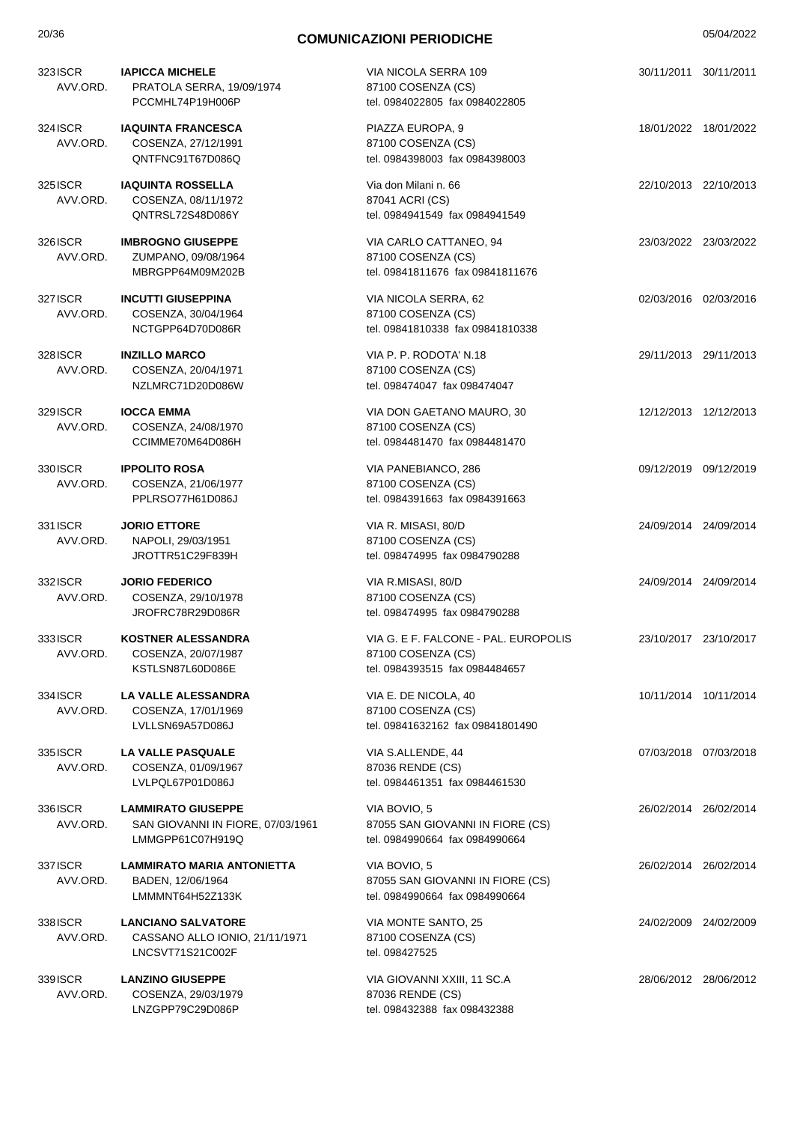| 323ISCR<br>AVV.ORD.  | <b>IAPICCA MICHELE</b><br>PRATOLA SERRA, 19/09/1974<br>PCCMHL74P19H006P            | VIA NICOLA SERRA 109<br>87100 COSENZA (CS)<br>tel. 0984022805 fax 0984022805                 |                       | 30/11/2011 30/11/2011 |
|----------------------|------------------------------------------------------------------------------------|----------------------------------------------------------------------------------------------|-----------------------|-----------------------|
| 324 ISCR<br>AVV.ORD. | <b>IAQUINTA FRANCESCA</b><br>COSENZA, 27/12/1991<br>QNTFNC91T67D086Q               | PIAZZA EUROPA, 9<br>87100 COSENZA (CS)<br>tel. 0984398003 fax 0984398003                     |                       | 18/01/2022 18/01/2022 |
| 325 ISCR<br>AVV.ORD. | <b>IAQUINTA ROSSELLA</b><br>COSENZA, 08/11/1972<br>QNTRSL72S48D086Y                | Via don Milani n. 66<br>87041 ACRI (CS)<br>tel. 0984941549 fax 0984941549                    |                       | 22/10/2013 22/10/2013 |
| 326 ISCR<br>AVV.ORD. | <b>IMBROGNO GIUSEPPE</b><br>ZUMPANO, 09/08/1964<br>MBRGPP64M09M202B                | VIA CARLO CATTANEO, 94<br>87100 COSENZA (CS)<br>tel. 09841811676 fax 09841811676             |                       | 23/03/2022 23/03/2022 |
| 327 ISCR<br>AVV.ORD. | <b>INCUTTI GIUSEPPINA</b><br>COSENZA, 30/04/1964<br>NCTGPP64D70D086R               | VIA NICOLA SERRA, 62<br>87100 COSENZA (CS)<br>tel. 09841810338 fax 09841810338               |                       | 02/03/2016 02/03/2016 |
| 328 ISCR<br>AVV.ORD. | <b>INZILLO MARCO</b><br>COSENZA, 20/04/1971<br>NZLMRC71D20D086W                    | VIA P. P. RODOTA' N.18<br>87100 COSENZA (CS)<br>tel. 098474047 fax 098474047                 |                       | 29/11/2013 29/11/2013 |
| 329 ISCR<br>AVV.ORD. | <b>IOCCA EMMA</b><br>COSENZA, 24/08/1970<br>CCIMME70M64D086H                       | VIA DON GAETANO MAURO, 30<br>87100 COSENZA (CS)<br>tel. 0984481470 fax 0984481470            |                       | 12/12/2013 12/12/2013 |
| 330 ISCR<br>AVV.ORD. | <b>IPPOLITO ROSA</b><br>COSENZA, 21/06/1977<br>PPLRSO77H61D086J                    | VIA PANEBIANCO, 286<br>87100 COSENZA (CS)<br>tel. 0984391663 fax 0984391663                  | 09/12/2019 09/12/2019 |                       |
| 331 ISCR<br>AVV.ORD. | <b>JORIO ETTORE</b><br>NAPOLI, 29/03/1951<br>JROTTR51C29F839H                      | VIA R. MISASI, 80/D<br>87100 COSENZA (CS)<br>tel. 098474995 fax 0984790288                   |                       | 24/09/2014 24/09/2014 |
| 332 ISCR<br>AVV.ORD. | <b>JORIO FEDERICO</b><br>COSENZA, 29/10/1978<br>JROFRC78R29D086R                   | VIA R.MISASI, 80/D<br>87100 COSENZA (CS)<br>tel. 098474995 fax 0984790288                    |                       | 24/09/2014 24/09/2014 |
| 3331SCR<br>AVV.ORD.  | <b>KOSTNER ALESSANDRA</b><br>COSENZA, 20/07/1987<br>KSTLSN87L60D086E               | VIA G. E F. FALCONE - PAL. EUROPOLIS<br>87100 COSENZA (CS)<br>tel. 0984393515 fax 0984484657 |                       | 23/10/2017 23/10/2017 |
| 334 ISCR<br>AVV.ORD. | LA VALLE ALESSANDRA<br>COSENZA, 17/01/1969<br>LVLLSN69A57D086J                     | VIA E. DE NICOLA, 40<br>87100 COSENZA (CS)<br>tel. 09841632162 fax 09841801490               |                       | 10/11/2014 10/11/2014 |
| 335 ISCR<br>AVV.ORD. | LA VALLE PASQUALE<br>COSENZA, 01/09/1967<br>LVLPQL67P01D086J                       | VIA S.ALLENDE, 44<br>87036 RENDE (CS)<br>tel. 0984461351 fax 0984461530                      |                       | 07/03/2018 07/03/2018 |
| 336 ISCR<br>AVV.ORD. | <b>LAMMIRATO GIUSEPPE</b><br>SAN GIOVANNI IN FIORE, 07/03/1961<br>LMMGPP61C07H919Q | VIA BOVIO, 5<br>87055 SAN GIOVANNI IN FIORE (CS)<br>tel. 0984990664 fax 0984990664           |                       | 26/02/2014 26/02/2014 |
| 337 ISCR<br>AVV.ORD. | <b>LAMMIRATO MARIA ANTONIETTA</b><br>BADEN, 12/06/1964<br>LMMMNT64H52Z133K         | VIA BOVIO, 5<br>87055 SAN GIOVANNI IN FIORE (CS)<br>tel. 0984990664 fax 0984990664           |                       | 26/02/2014 26/02/2014 |
| 338 ISCR<br>AVV.ORD. | <b>LANCIANO SALVATORE</b><br>CASSANO ALLO IONIO, 21/11/1971<br>LNCSVT71S21C002F    | VIA MONTE SANTO, 25<br>87100 COSENZA (CS)<br>tel. 098427525                                  |                       | 24/02/2009 24/02/2009 |
| 339 ISCR<br>AVV.ORD. | <b>LANZINO GIUSEPPE</b><br>COSENZA, 29/03/1979<br>LNZGPP79C29D086P                 | VIA GIOVANNI XXIII, 11 SC.A<br>87036 RENDE (CS)<br>tel. 098432388 fax 098432388              |                       | 28/06/2012 28/06/2012 |
|                      |                                                                                    |                                                                                              |                       |                       |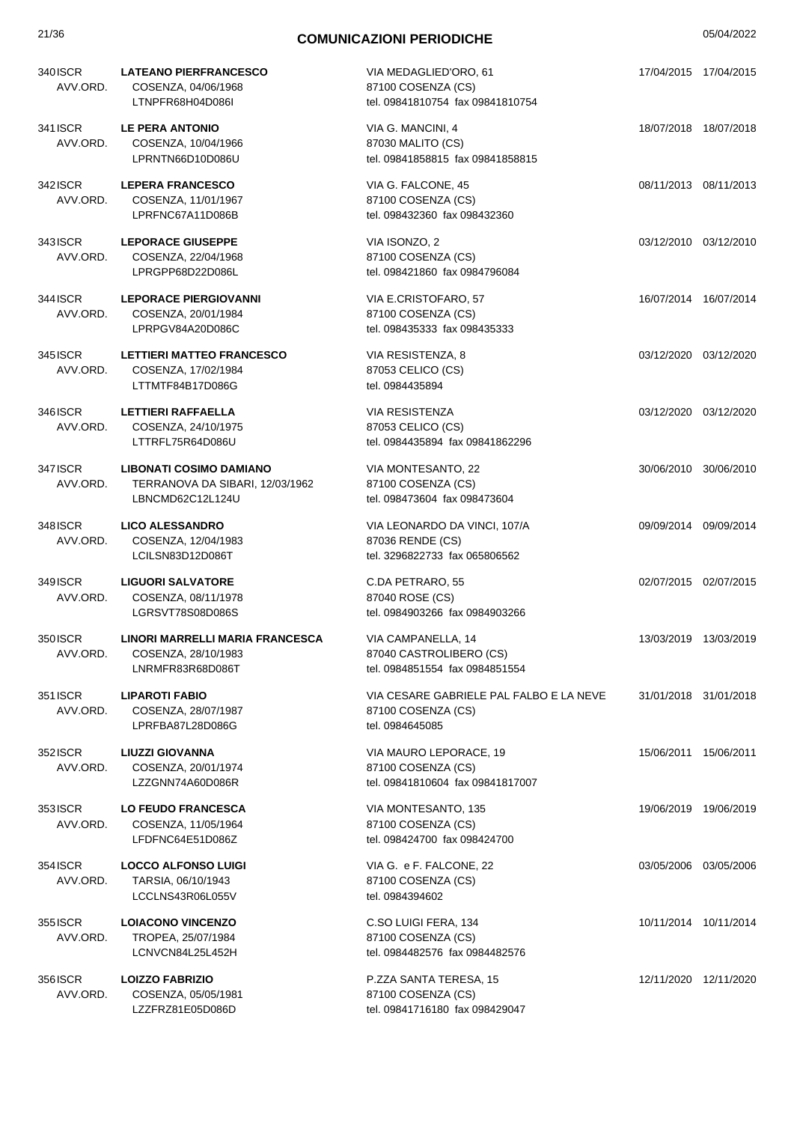| 21/36                |                                                                                       | <b>COMUNICAZIONI PERIODICHE</b>                                                   | 05/04/2022            |
|----------------------|---------------------------------------------------------------------------------------|-----------------------------------------------------------------------------------|-----------------------|
| 340 ISCR<br>AVV.ORD. | <b>LATEANO PIERFRANCESCO</b><br>COSENZA, 04/06/1968<br>LTNPFR68H04D086I               | VIA MEDAGLIED'ORO, 61<br>87100 COSENZA (CS)<br>tel. 09841810754 fax 09841810754   | 17/04/2015 17/04/2015 |
| 341 ISCR<br>AVV.ORD. | <b>LE PERA ANTONIO</b><br>COSENZA, 10/04/1966<br>LPRNTN66D10D086U                     | VIA G. MANCINI, 4<br>87030 MALITO (CS)<br>tel. 09841858815 fax 09841858815        | 18/07/2018 18/07/2018 |
| 342 ISCR<br>AVV.ORD. | <b>LEPERA FRANCESCO</b><br>COSENZA, 11/01/1967<br>LPRFNC67A11D086B                    | VIA G. FALCONE, 45<br>87100 COSENZA (CS)<br>tel. 098432360 fax 098432360          | 08/11/2013 08/11/2013 |
| 343 ISCR<br>AVV.ORD. | <b>LEPORACE GIUSEPPE</b><br>COSENZA, 22/04/1968<br>LPRGPP68D22D086L                   | VIA ISONZO, 2<br>87100 COSENZA (CS)<br>tel. 098421860 fax 0984796084              | 03/12/2010 03/12/2010 |
| 344 ISCR<br>AVV.ORD. | <b>LEPORACE PIERGIOVANNI</b><br>COSENZA, 20/01/1984<br>LPRPGV84A20D086C               | VIA E.CRISTOFARO, 57<br>87100 COSENZA (CS)<br>tel. 098435333 fax 098435333        | 16/07/2014 16/07/2014 |
| 345 ISCR<br>AVV.ORD. | <b>LETTIERI MATTEO FRANCESCO</b><br>COSENZA, 17/02/1984<br>LTTMTF84B17D086G           | VIA RESISTENZA, 8<br>87053 CELICO (CS)<br>tel. 0984435894                         | 03/12/2020 03/12/2020 |
| 346 ISCR<br>AVV.ORD. | LETTIERI RAFFAELLA<br>COSENZA, 24/10/1975<br>LTTRFL75R64D086U                         | <b>VIA RESISTENZA</b><br>87053 CELICO (CS)<br>tel. 0984435894 fax 09841862296     | 03/12/2020 03/12/2020 |
| 347 ISCR<br>AVV.ORD. | <b>LIBONATI COSIMO DAMIANO</b><br>TERRANOVA DA SIBARI, 12/03/1962<br>LBNCMD62C12L124U | VIA MONTESANTO, 22<br>87100 COSENZA (CS)<br>tel. 098473604 fax 098473604          | 30/06/2010 30/06/2010 |
| 348ISCR<br>AVV.ORD.  | <b>LICO ALESSANDRO</b><br>COSENZA, 12/04/1983<br>LCILSN83D12D086T                     | VIA LEONARDO DA VINCI, 107/A<br>87036 RENDE (CS)<br>tel. 3296822733 fax 065806562 | 09/09/2014 09/09/2014 |
| 349ISCR<br>AVV.ORD.  | <b>LIGUORI SALVATORE</b><br>COSENZA, 08/11/1978<br>LGRSVT78S08D086S                   | C.DA PETRARO, 55<br>87040 ROSE (CS)<br>tel. 0984903266 fax 0984903266             | 02/07/2015 02/07/2015 |
| 350 ISCR<br>AVV.ORD. | LINORI MARRELLI MARIA FRANCESCA<br>COSENZA, 28/10/1983<br>LNRMFR83R68D086T            | VIA CAMPANELLA, 14<br>87040 CASTROLIBERO (CS)<br>tel. 0984851554 fax 0984851554   | 13/03/2019 13/03/2019 |

351ISCR **LIPAROTI FABIO** AVV.ORD. COSENZA, 28/07/1987 LPRFBA87L28D086G

352ISCR **LIUZZI GIOVANNA** AVV.ORD. COSENZA, 20/01/1974 LZZGNN74A60D086R

353ISCR **LO FEUDO FRANCESCA** AVV.ORD. COSENZA, 11/05/1964 LFDFNC64E51D086Z

354ISCR **LOCCO ALFONSO LUIGI** AVV.ORD. TARSIA, 06/10/1943 LCCLNS43R06L055V

355ISCR **LOIACONO VINCENZO** AVV.ORD. TROPEA, 25/07/1984 LCNVCN84L25L452H

356ISCR **LOIZZO FABRIZIO** AVV.ORD. COSENZA, 05/05/1981 LZZFRZ81E05D086D

VIA CESARE GABRIELE PAL FALBO E LA NEVE 87100 COSENZA (CS) tel. 0984645085 31/01/2018 31/01/2018

VIA MAURO LEPORACE, 19 87100 COSENZA (CS) tel. 09841810604 fax 09841817007

VIA MONTESANTO, 135 87100 COSENZA (CS) tel. 098424700 fax 098424700

VIA G. e F. FALCONE, 22 87100 COSENZA (CS) tel. 0984394602

C.SO LUIGI FERA, 134 87100 COSENZA (CS) tel. 0984482576 fax 0984482576

P.ZZA SANTA TERESA, 15 87100 COSENZA (CS) tel. 09841716180 fax 098429047

03/05/2006 03/05/2006

15/06/2011 15/06/2011

19/06/2019 19/06/2019

10/11/2014 10/11/2014

12/11/2020 12/11/2020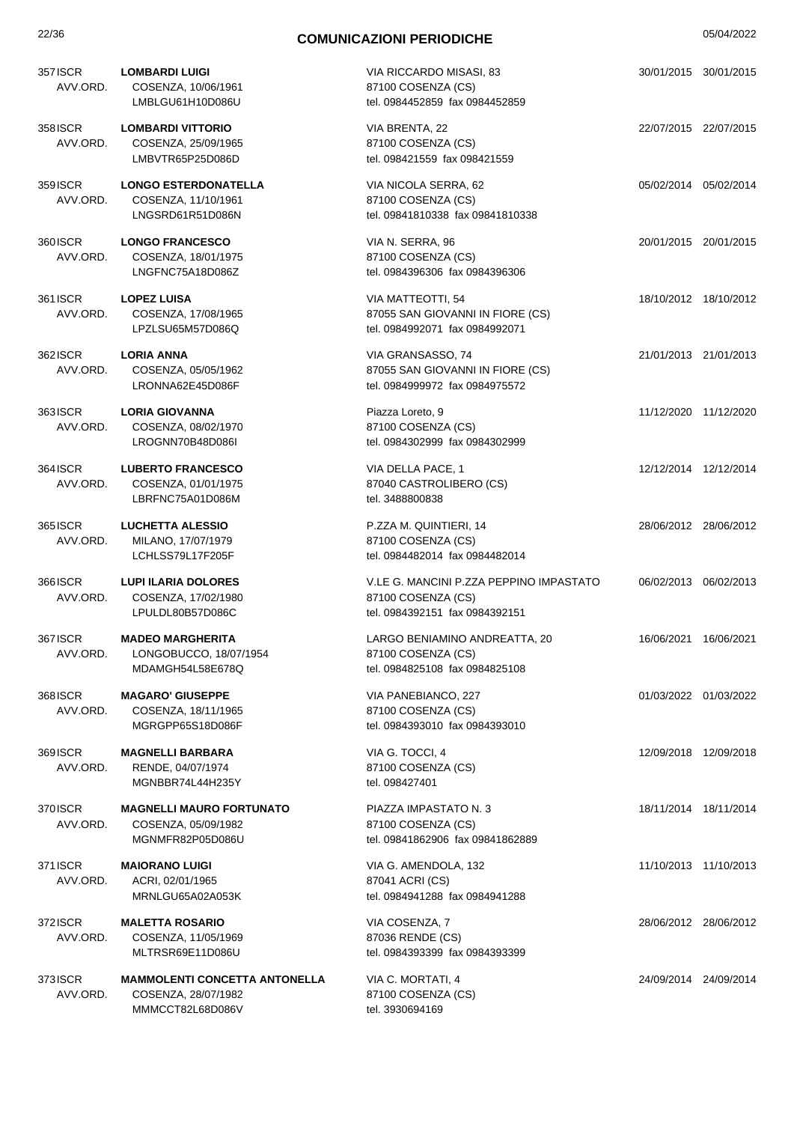| 357 ISCR<br>AVV.ORD. | <b>LOMBARDI LUIGI</b><br>COSENZA, 10/06/1961<br>LMBLGU61H10D086U                | VIA RICCARDO MISASI, 83<br>87100 COSENZA (CS)<br>tel. 0984452859 fax 0984452859                 | 30/01/2015 30/01/2015 |  |
|----------------------|---------------------------------------------------------------------------------|-------------------------------------------------------------------------------------------------|-----------------------|--|
| 358 ISCR<br>AVV.ORD. | <b>LOMBARDI VITTORIO</b><br>COSENZA, 25/09/1965<br>LMBVTR65P25D086D             | VIA BRENTA, 22<br>87100 COSENZA (CS)<br>tel. 098421559 fax 098421559                            | 22/07/2015 22/07/2015 |  |
| 359 ISCR<br>AVV.ORD. | <b>LONGO ESTERDONATELLA</b><br>COSENZA, 11/10/1961<br>LNGSRD61R51D086N          | VIA NICOLA SERRA, 62<br>87100 COSENZA (CS)<br>tel. 09841810338 fax 09841810338                  | 05/02/2014 05/02/2014 |  |
| 360 ISCR<br>AVV.ORD. | <b>LONGO FRANCESCO</b><br>COSENZA, 18/01/1975<br>LNGFNC75A18D086Z               | VIA N. SERRA, 96<br>87100 COSENZA (CS)<br>tel. 0984396306 fax 0984396306                        | 20/01/2015 20/01/2015 |  |
| 361 ISCR<br>AVV.ORD. | <b>LOPEZ LUISA</b><br>COSENZA, 17/08/1965<br>LPZLSU65M57D086Q                   | VIA MATTEOTTI, 54<br>87055 SAN GIOVANNI IN FIORE (CS)<br>tel. 0984992071 fax 0984992071         | 18/10/2012 18/10/2012 |  |
| 362 ISCR<br>AVV.ORD. | <b>LORIA ANNA</b><br>COSENZA, 05/05/1962<br>LRONNA62E45D086F                    | VIA GRANSASSO, 74<br>87055 SAN GIOVANNI IN FIORE (CS)<br>tel. 0984999972 fax 0984975572         | 21/01/2013 21/01/2013 |  |
| 363 ISCR<br>AVV.ORD. | <b>LORIA GIOVANNA</b><br>COSENZA, 08/02/1970<br>LROGNN70B48D086I                | Piazza Loreto, 9<br>87100 COSENZA (CS)<br>tel. 0984302999 fax 0984302999                        | 11/12/2020 11/12/2020 |  |
| 364 ISCR<br>AVV.ORD. | <b>LUBERTO FRANCESCO</b><br>COSENZA, 01/01/1975<br>LBRFNC75A01D086M             | VIA DELLA PACE, 1<br>87040 CASTROLIBERO (CS)<br>tel. 3488800838                                 | 12/12/2014 12/12/2014 |  |
| 3651SCR<br>AVV.ORD.  | <b>LUCHETTA ALESSIO</b><br>MILANO, 17/07/1979<br>LCHLSS79L17F205F               | P.ZZA M. QUINTIERI, 14<br>87100 COSENZA (CS)<br>tel. 0984482014 fax 0984482014                  | 28/06/2012 28/06/2012 |  |
| 366ISCR<br>AVV.ORD.  | <b>LUPI ILARIA DOLORES</b><br>COSENZA, 17/02/1980<br>LPULDL80B57D086C           | V.LE G. MANCINI P.ZZA PEPPINO IMPASTATO<br>87100 COSENZA (CS)<br>tel. 0984392151 fax 0984392151 | 06/02/2013 06/02/2013 |  |
| 367 ISCR<br>AVV.ORD. | <b>MADEO MARGHERITA</b><br>LONGOBUCCO, 18/07/1954<br>MDAMGH54L58E678Q           | LARGO BENIAMINO ANDREATTA, 20<br>87100 COSENZA (CS)<br>tel. 0984825108 fax 0984825108           | 16/06/2021 16/06/2021 |  |
| 368 ISCR<br>AVV.ORD. | <b>MAGARO' GIUSEPPE</b><br>COSENZA, 18/11/1965<br>MGRGPP65S18D086F              | VIA PANEBIANCO, 227<br>87100 COSENZA (CS)<br>tel. 0984393010 fax 0984393010                     | 01/03/2022 01/03/2022 |  |
| 369 ISCR<br>AVV.ORD. | <b>MAGNELLI BARBARA</b><br>RENDE, 04/07/1974<br>MGNBBR74L44H235Y                | VIA G. TOCCI, 4<br>87100 COSENZA (CS)<br>tel. 098427401                                         | 12/09/2018 12/09/2018 |  |
| 370 ISCR<br>AVV.ORD. | <b>MAGNELLI MAURO FORTUNATO</b><br>COSENZA, 05/09/1982<br>MGNMFR82P05D086U      | PIAZZA IMPASTATO N. 3<br>87100 COSENZA (CS)<br>tel. 09841862906 fax 09841862889                 | 18/11/2014 18/11/2014 |  |
| 371 ISCR<br>AVV.ORD. | <b>MAIORANO LUIGI</b><br>ACRI, 02/01/1965<br>MRNLGU65A02A053K                   | VIA G. AMENDOLA, 132<br>87041 ACRI (CS)<br>tel. 0984941288 fax 0984941288                       | 11/10/2013 11/10/2013 |  |
| 372 ISCR<br>AVV.ORD. | <b>MALETTA ROSARIO</b><br>COSENZA, 11/05/1969<br>MLTRSR69E11D086U               | VIA COSENZA, 7<br>87036 RENDE (CS)<br>tel. 0984393399 fax 0984393399                            | 28/06/2012 28/06/2012 |  |
| 373 ISCR<br>AVV.ORD. | <b>MAMMOLENTI CONCETTA ANTONELLA</b><br>COSENZA, 28/07/1982<br>MMMCCT82L68D086V | VIA C. MORTATI, 4<br>87100 COSENZA (CS)<br>tel. 3930694169                                      | 24/09/2014 24/09/2014 |  |
|                      |                                                                                 |                                                                                                 |                       |  |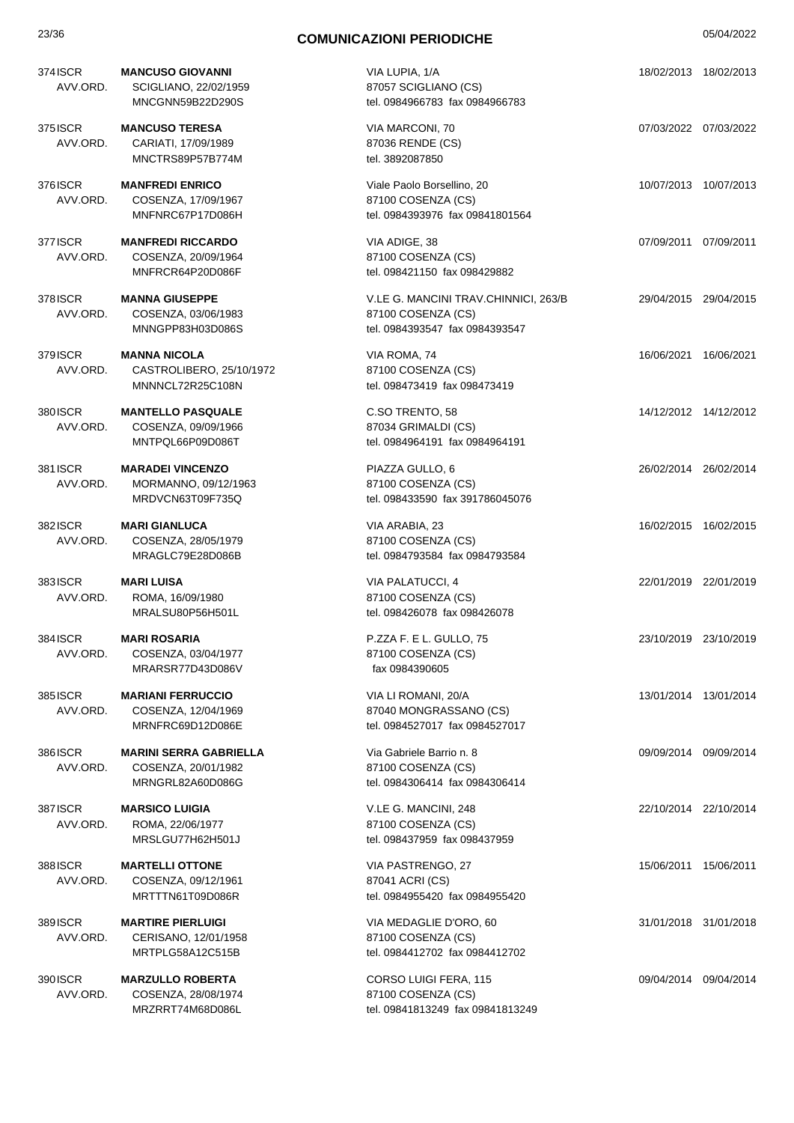| 374 ISCR<br>AVV.ORD. | <b>MANCUSO GIOVANNI</b><br>SCIGLIANO, 22/02/1959<br>MNCGNN59B22D290S     | VIA LUPIA, 1/A<br>87057 SCIGLIANO (CS)<br>tel. 0984966783 fax 0984966783                     |                       | 18/02/2013 18/02/2013 |
|----------------------|--------------------------------------------------------------------------|----------------------------------------------------------------------------------------------|-----------------------|-----------------------|
| 375 ISCR<br>AVV.ORD. | <b>MANCUSO TERESA</b><br>CARIATI, 17/09/1989<br>MNCTRS89P57B774M         | VIA MARCONI, 70<br>87036 RENDE (CS)<br>tel. 3892087850                                       | 07/03/2022 07/03/2022 |                       |
| 376 ISCR<br>AVV.ORD. | <b>MANFREDI ENRICO</b><br>COSENZA, 17/09/1967<br>MNFNRC67P17D086H        | Viale Paolo Borsellino, 20<br>87100 COSENZA (CS)<br>tel. 0984393976 fax 09841801564          |                       | 10/07/2013 10/07/2013 |
| 377 ISCR<br>AVV.ORD. | <b>MANFREDI RICCARDO</b><br>COSENZA, 20/09/1964<br>MNFRCR64P20D086F      | VIA ADIGE, 38<br>87100 COSENZA (CS)<br>tel. 098421150 fax 098429882                          | 07/09/2011 07/09/2011 |                       |
| 378ISCR<br>AVV.ORD.  | <b>MANNA GIUSEPPE</b><br>COSENZA, 03/06/1983<br>MNNGPP83H03D086S         | V.LE G. MANCINI TRAV.CHINNICI, 263/B<br>87100 COSENZA (CS)<br>tel. 0984393547 fax 0984393547 | 29/04/2015 29/04/2015 |                       |
| 379 ISCR<br>AVV.ORD. | <b>MANNA NICOLA</b><br>CASTROLIBERO, 25/10/1972<br>MNNNCL72R25C108N      | VIA ROMA, 74<br>87100 COSENZA (CS)<br>tel. 098473419 fax 098473419                           | 16/06/2021 16/06/2021 |                       |
| 380 ISCR<br>AVV.ORD. | <b>MANTELLO PASQUALE</b><br>COSENZA, 09/09/1966<br>MNTPQL66P09D086T      | C.SO TRENTO, 58<br>87034 GRIMALDI (CS)<br>tel. 0984964191 fax 0984964191                     | 14/12/2012 14/12/2012 |                       |
| 381 ISCR<br>AVV.ORD. | <b>MARADEI VINCENZO</b><br>MORMANNO, 09/12/1963<br>MRDVCN63T09F735Q      | PIAZZA GULLO, 6<br>87100 COSENZA (CS)<br>tel. 098433590 fax 391786045076                     |                       | 26/02/2014 26/02/2014 |
| 382ISCR<br>AVV.ORD.  | <b>MARI GIANLUCA</b><br>COSENZA, 28/05/1979<br>MRAGLC79E28D086B          | VIA ARABIA, 23<br>87100 COSENZA (CS)<br>tel. 0984793584 fax 0984793584                       |                       | 16/02/2015 16/02/2015 |
| 383ISCR<br>AVV.ORD.  | <b>MARI LUISA</b><br>ROMA, 16/09/1980<br>MRALSU80P56H501L                | VIA PALATUCCI, 4<br>87100 COSENZA (CS)<br>tel. 098426078 fax 098426078                       | 22/01/2019 22/01/2019 |                       |
| 384 ISCR<br>AVV.ORD. | <b>MARI ROSARIA</b><br>COSENZA, 03/04/1977<br>MRARSR77D43D086V           | P.ZZA F. E L. GULLO, 75<br>87100 COSENZA (CS)<br>fax 0984390605                              | 23/10/2019 23/10/2019 |                       |
| 385 ISCR<br>AVV.ORD. | <b>MARIANI FERRUCCIO</b><br>COSENZA, 12/04/1969<br>MRNFRC69D12D086E      | VIA LI ROMANI, 20/A<br>87040 MONGRASSANO (CS)<br>tel. 0984527017 fax 0984527017              |                       | 13/01/2014 13/01/2014 |
| 386ISCR<br>AVV.ORD.  | <b>MARINI SERRA GABRIELLA</b><br>COSENZA, 20/01/1982<br>MRNGRL82A60D086G | Via Gabriele Barrio n. 8<br>87100 COSENZA (CS)<br>tel. 0984306414 fax 0984306414             | 09/09/2014 09/09/2014 |                       |
| 387 ISCR<br>AVV.ORD. | <b>MARSICO LUIGIA</b><br>ROMA, 22/06/1977<br>MRSLGU77H62H501J            | V.LE G. MANCINI, 248<br>87100 COSENZA (CS)<br>tel. 098437959 fax 098437959                   |                       | 22/10/2014 22/10/2014 |
| 388ISCR<br>AVV.ORD.  | <b>MARTELLI OTTONE</b><br>COSENZA, 09/12/1961<br>MRTTTN61T09D086R        | VIA PASTRENGO, 27<br>87041 ACRI (CS)<br>tel. 0984955420 fax 0984955420                       |                       | 15/06/2011 15/06/2011 |
| 389 ISCR<br>AVV.ORD. | <b>MARTIRE PIERLUIGI</b><br>CERISANO, 12/01/1958<br>MRTPLG58A12C515B     | VIA MEDAGLIE D'ORO, 60<br>87100 COSENZA (CS)<br>tel. 0984412702 fax 0984412702               |                       | 31/01/2018 31/01/2018 |
| 390 ISCR<br>AVV.ORD. | <b>MARZULLO ROBERTA</b><br>COSENZA, 28/08/1974<br>MRZRRT74M68D086L       | CORSO LUIGI FERA, 115<br>87100 COSENZA (CS)<br>tel. 09841813249 fax 09841813249              |                       | 09/04/2014 09/04/2014 |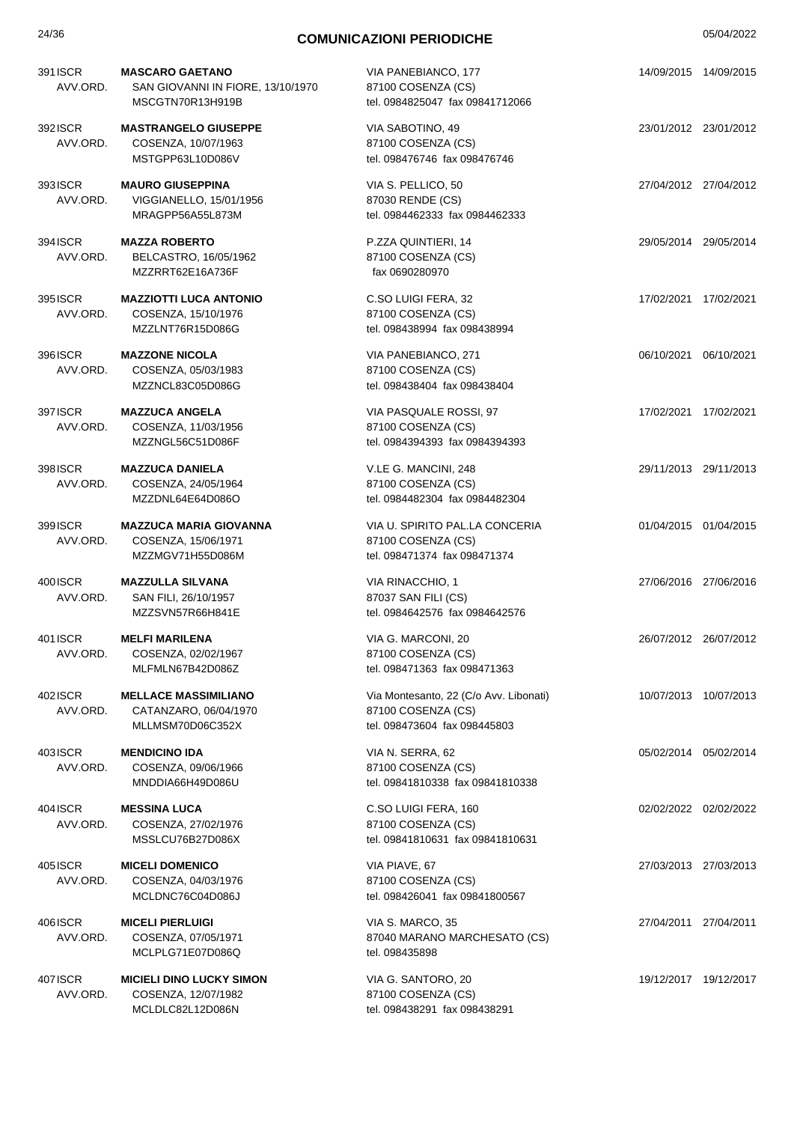| 24/36                | <b>COMUNICAZIONI PERIODICHE</b>                                                 |                                                                                              | 05/04/2022 |                       |
|----------------------|---------------------------------------------------------------------------------|----------------------------------------------------------------------------------------------|------------|-----------------------|
| 391 ISCR<br>AVV.ORD. | <b>MASCARO GAETANO</b><br>SAN GIOVANNI IN FIORE, 13/10/1970<br>MSCGTN70R13H919B | VIA PANEBIANCO, 177<br>87100 COSENZA (CS)<br>tel. 0984825047 fax 09841712066                 |            | 14/09/2015 14/09/2015 |
| 392 ISCR<br>AVV.ORD. | <b>MASTRANGELO GIUSEPPE</b><br>COSENZA, 10/07/1963<br>MSTGPP63L10D086V          | VIA SABOTINO, 49<br>87100 COSENZA (CS)<br>tel. 098476746 fax 098476746                       |            | 23/01/2012 23/01/2012 |
| 393ISCR<br>AVV.ORD.  | <b>MAURO GIUSEPPINA</b><br>VIGGIANELLO, 15/01/1956<br>MRAGPP56A55L873M          | VIA S. PELLICO, 50<br>87030 RENDE (CS)<br>tel. 0984462333 fax 0984462333                     |            | 27/04/2012 27/04/2012 |
| 394 ISCR<br>AVV.ORD. | <b>MAZZA ROBERTO</b><br>BELCASTRO, 16/05/1962<br>MZZRRT62E16A736F               | P.ZZA QUINTIERI, 14<br>87100 COSENZA (CS)<br>fax 0690280970                                  |            | 29/05/2014 29/05/2014 |
| 395 ISCR<br>AVV.ORD. | <b>MAZZIOTTI LUCA ANTONIO</b><br>COSENZA, 15/10/1976<br>MZZLNT76R15D086G        | C.SO LUIGI FERA, 32<br>87100 COSENZA (CS)<br>tel. 098438994 fax 098438994                    |            | 17/02/2021 17/02/2021 |
| 396 ISCR<br>AVV.ORD. | <b>MAZZONE NICOLA</b><br>COSENZA, 05/03/1983<br>MZZNCL83C05D086G                | VIA PANEBIANCO, 271<br>87100 COSENZA (CS)<br>tel. 098438404 fax 098438404                    |            | 06/10/2021 06/10/2021 |
| 397 ISCR<br>AVV.ORD. | <b>MAZZUCA ANGELA</b><br>COSENZA, 11/03/1956<br>MZZNGL56C51D086F                | VIA PASQUALE ROSSI, 97<br>87100 COSENZA (CS)<br>tel. 0984394393 fax 0984394393               |            | 17/02/2021 17/02/2021 |
| 398 ISCR<br>AVV.ORD. | <b>MAZZUCA DANIELA</b><br>COSENZA, 24/05/1964<br>MZZDNL64E64D086O               | V.LE G. MANCINI, 248<br>87100 COSENZA (CS)<br>tel. 0984482304 fax 0984482304                 |            | 29/11/2013 29/11/2013 |
| 399 ISCR<br>AVV.ORD. | <b>MAZZUCA MARIA GIOVANNA</b><br>COSENZA, 15/06/1971<br>MZZMGV71H55D086M        | VIA U. SPIRITO PAL.LA CONCERIA<br>87100 COSENZA (CS)<br>tel. 098471374 fax 098471374         |            | 01/04/2015 01/04/2015 |
| 400 ISCR<br>AVV.ORD. | <b>MAZZULLA SILVANA</b><br>SAN FILI, 26/10/1957<br>MZZSVN57R66H841E             | VIA RINACCHIO, 1<br>87037 SAN FILI (CS)<br>tel. 0984642576 fax 0984642576                    |            | 27/06/2016 27/06/2016 |
| 401 ISCR<br>AVV.ORD. | <b>MELFI MARILENA</b><br>COSENZA, 02/02/1967<br>MLFMLN67B42D086Z                | VIA G. MARCONI, 20<br>87100 COSENZA (CS)<br>tel. 098471363 fax 098471363                     |            | 26/07/2012 26/07/2012 |
| 402 ISCR<br>AVV.ORD. | <b>MELLACE MASSIMILIANO</b><br>CATANZARO, 06/04/1970<br>MLLMSM70D06C352X        | Via Montesanto, 22 (C/o Avv. Libonati)<br>87100 COSENZA (CS)<br>tel. 098473604 fax 098445803 |            | 10/07/2013 10/07/2013 |
| 403ISCR<br>AVV.ORD.  | <b>MENDICINO IDA</b><br>COSENZA, 09/06/1966<br>MNDDIA66H49D086U                 | VIA N. SERRA, 62<br>87100 COSENZA (CS)<br>tel. 09841810338 fax 09841810338                   |            | 05/02/2014 05/02/2014 |
| 404 ISCR<br>AVV.ORD. | <b>MESSINA LUCA</b><br>COSENZA, 27/02/1976<br>MSSLCU76B27D086X                  | C.SO LUIGI FERA, 160<br>87100 COSENZA (CS)<br>tel. 09841810631 fax 09841810631               |            | 02/02/2022 02/02/2022 |
| 4051SCR<br>AVV.ORD.  | <b>MICELI DOMENICO</b><br>COSENZA, 04/03/1976<br>MCLDNC76C04D086J               | VIA PIAVE, 67<br>87100 COSENZA (CS)<br>tel. 098426041 fax 09841800567                        |            | 27/03/2013 27/03/2013 |
| 406ISCR<br>AVV.ORD.  | <b>MICELI PIERLUIGI</b><br>COSENZA, 07/05/1971<br>MCLPLG71E07D086Q              | VIA S. MARCO, 35<br>87040 MARANO MARCHESATO (CS)<br>tel. 098435898                           |            | 27/04/2011 27/04/2011 |
| 407 ISCR<br>AVV.ORD. | <b>MICIELI DINO LUCKY SIMON</b><br>COSENZA, 12/07/1982<br>MCLDLC82L12D086N      | VIA G. SANTORO, 20<br>87100 COSENZA (CS)<br>tel. 098438291 fax 098438291                     |            | 19/12/2017 19/12/2017 |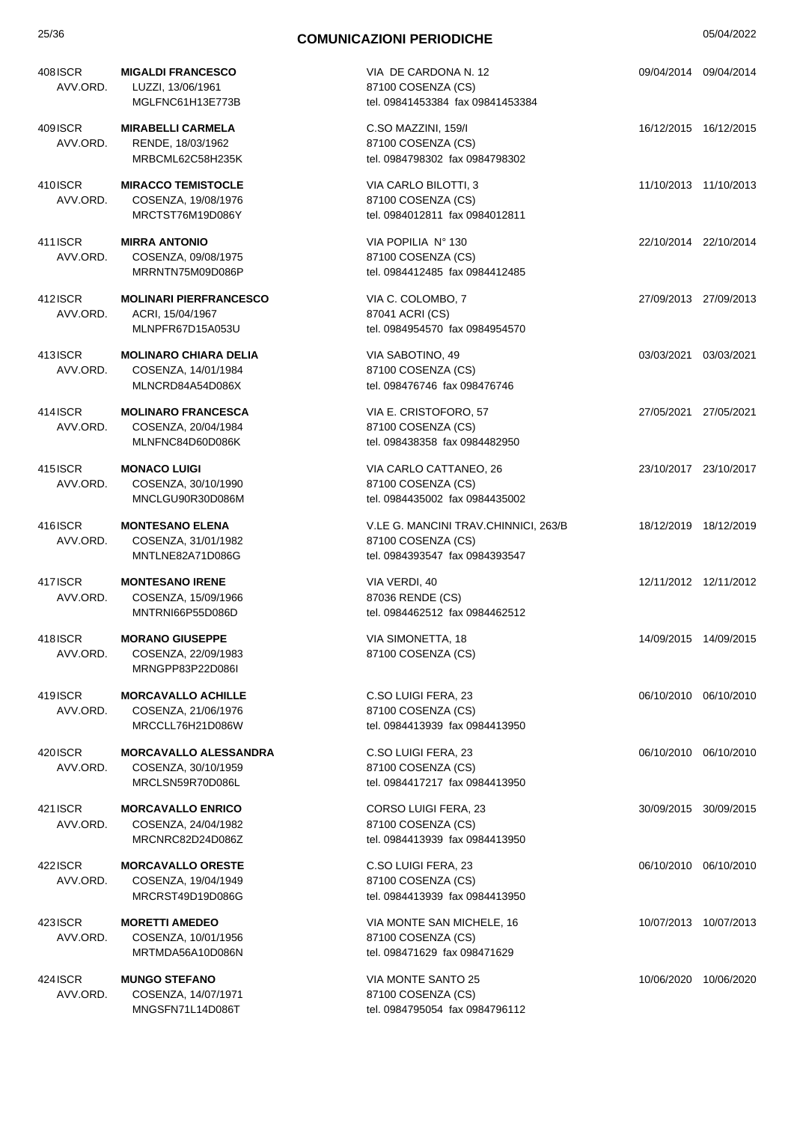| 408ISCR<br>AVV.ORD.  | <b>MIGALDI FRANCESCO</b><br>LUZZI, 13/06/1961<br>MGLFNC61H13E773B       | VIA DE CARDONA N. 12<br>87100 COSENZA (CS)<br>tel. 09841453384 fax 09841453384               | 09/04/2014 09/04/2014 |  |
|----------------------|-------------------------------------------------------------------------|----------------------------------------------------------------------------------------------|-----------------------|--|
| 409ISCR<br>AVV.ORD.  | <b>MIRABELLI CARMELA</b><br>RENDE, 18/03/1962<br>MRBCML62C58H235K       | C.SO MAZZINI, 159/I<br>87100 COSENZA (CS)<br>tel. 0984798302 fax 0984798302                  | 16/12/2015 16/12/2015 |  |
| 410ISCR<br>AVV.ORD.  | <b>MIRACCO TEMISTOCLE</b><br>COSENZA, 19/08/1976<br>MRCTST76M19D086Y    | VIA CARLO BILOTTI, 3<br>87100 COSENZA (CS)<br>tel. 0984012811 fax 0984012811                 | 11/10/2013 11/10/2013 |  |
| 411 ISCR<br>AVV.ORD. | <b>MIRRA ANTONIO</b><br>COSENZA, 09/08/1975<br>MRRNTN75M09D086P         | VIA POPILIA Nº 130<br>87100 COSENZA (CS)<br>tel. 0984412485 fax 0984412485                   | 22/10/2014 22/10/2014 |  |
| 412ISCR<br>AVV.ORD.  | <b>MOLINARI PIERFRANCESCO</b><br>ACRI, 15/04/1967<br>MLNPFR67D15A053U   | VIA C. COLOMBO, 7<br>87041 ACRI (CS)<br>tel. 0984954570 fax 0984954570                       | 27/09/2013 27/09/2013 |  |
| 413ISCR<br>AVV.ORD.  | <b>MOLINARO CHIARA DELIA</b><br>COSENZA, 14/01/1984<br>MLNCRD84A54D086X | VIA SABOTINO, 49<br>87100 COSENZA (CS)<br>tel. 098476746 fax 098476746                       | 03/03/2021 03/03/2021 |  |
| 414ISCR<br>AVV.ORD.  | <b>MOLINARO FRANCESCA</b><br>COSENZA, 20/04/1984<br>MLNFNC84D60D086K    | VIA E. CRISTOFORO, 57<br>87100 COSENZA (CS)<br>tel. 098438358 fax 0984482950                 | 27/05/2021 27/05/2021 |  |
| 415 ISCR<br>AVV.ORD. | <b>MONACO LUIGI</b><br>COSENZA, 30/10/1990<br>MNCLGU90R30D086M          | VIA CARLO CATTANEO, 26<br>87100 COSENZA (CS)<br>tel. 0984435002 fax 0984435002               | 23/10/2017 23/10/2017 |  |
| 416ISCR<br>AVV.ORD.  | <b>MONTESANO ELENA</b><br>COSENZA, 31/01/1982<br>MNTLNE82A71D086G       | V.LE G. MANCINI TRAV.CHINNICI, 263/B<br>87100 COSENZA (CS)<br>tel. 0984393547 fax 0984393547 | 18/12/2019 18/12/2019 |  |
| 417ISCR<br>AVV.ORD.  | <b>MONTESANO IRENE</b><br>COSENZA, 15/09/1966<br>MNTRNI66P55D086D       | VIA VERDI, 40<br>87036 RENDE (CS)<br>tel. 0984462512 fax 0984462512                          | 12/11/2012 12/11/2012 |  |
| 418ISCR<br>AVV.ORD.  | <b>MORANO GIUSEPPE</b><br>COSENZA, 22/09/1983<br>MRNGPP83P22D086I       | VIA SIMONETTA, 18<br>87100 COSENZA (CS)                                                      | 14/09/2015 14/09/2015 |  |
| 419ISCR<br>AVV.ORD.  | <b>MORCAVALLO ACHILLE</b><br>COSENZA, 21/06/1976<br>MRCCLL76H21D086W    | C.SO LUIGI FERA, 23<br>87100 COSENZA (CS)<br>tel. 0984413939 fax 0984413950                  | 06/10/2010 06/10/2010 |  |
| 420ISCR<br>AVV.ORD.  | <b>MORCAVALLO ALESSANDRA</b><br>COSENZA, 30/10/1959<br>MRCLSN59R70D086L | C.SO LUIGI FERA, 23<br>87100 COSENZA (CS)<br>tel. 0984417217 fax 0984413950                  | 06/10/2010 06/10/2010 |  |
| 421 ISCR<br>AVV.ORD. | <b>MORCAVALLO ENRICO</b><br>COSENZA, 24/04/1982<br>MRCNRC82D24D086Z     | CORSO LUIGI FERA, 23<br>87100 COSENZA (CS)<br>tel. 0984413939 fax 0984413950                 | 30/09/2015 30/09/2015 |  |
| 422ISCR<br>AVV.ORD.  | <b>MORCAVALLO ORESTE</b><br>COSENZA, 19/04/1949<br>MRCRST49D19D086G     | C.SO LUIGI FERA, 23<br>87100 COSENZA (CS)<br>tel. 0984413939 fax 0984413950                  | 06/10/2010 06/10/2010 |  |
| 423 ISCR<br>AVV.ORD. | <b>MORETTI AMEDEO</b><br>COSENZA, 10/01/1956<br>MRTMDA56A10D086N        | VIA MONTE SAN MICHELE, 16<br>87100 COSENZA (CS)<br>tel. 098471629 fax 098471629              | 10/07/2013 10/07/2013 |  |
| 424 ISCR<br>AVV.ORD. | <b>MUNGO STEFANO</b><br>COSENZA, 14/07/1971<br>MNGSFN71L14D086T         | VIA MONTE SANTO 25<br>87100 COSENZA (CS)<br>tel. 0984795054 fax 0984796112                   | 10/06/2020 10/06/2020 |  |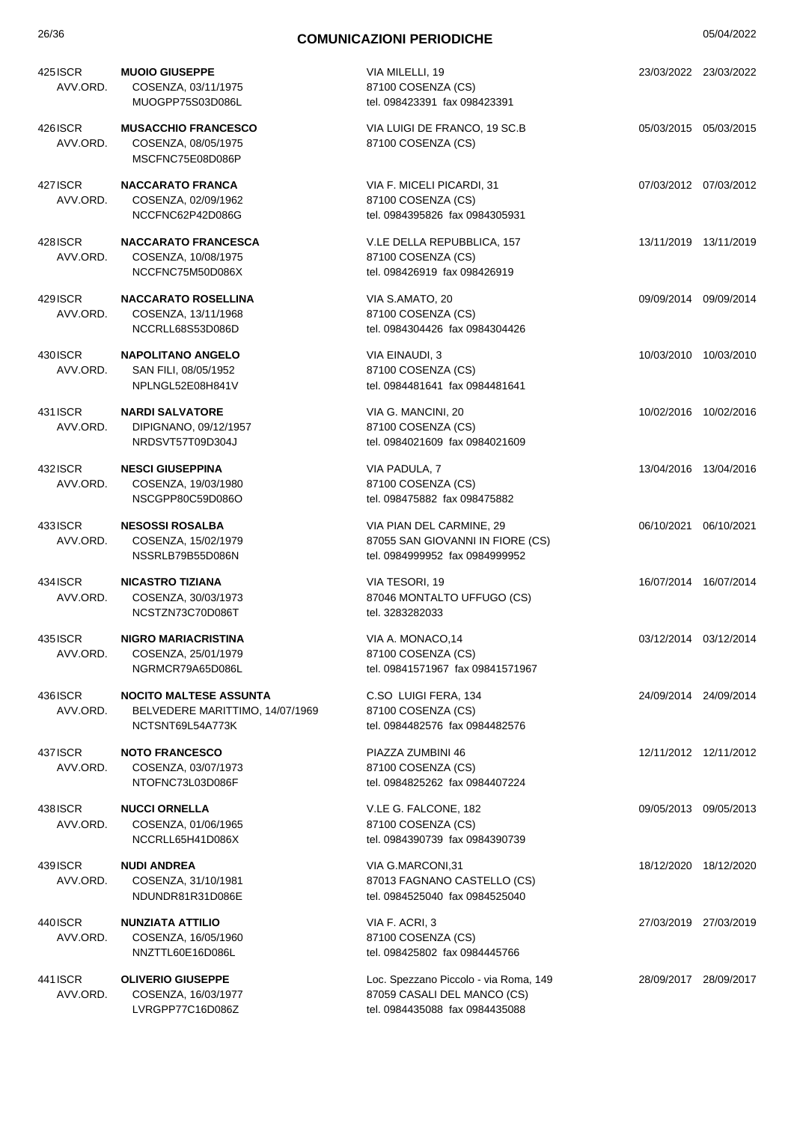| 425 ISCR<br>AVV.ORD. | <b>MUOIO GIUSEPPE</b><br>COSENZA, 03/11/1975<br>MUOGPP75S03D086L                     | VIA MILELLI, 19<br>87100 COSENZA (CS)<br>tel. 098423391 fax 098423391                                  | 23/03/2022 23/03/2022 |
|----------------------|--------------------------------------------------------------------------------------|--------------------------------------------------------------------------------------------------------|-----------------------|
| 426 ISCR<br>AVV.ORD. | <b>MUSACCHIO FRANCESCO</b><br>COSENZA, 08/05/1975<br>MSCFNC75E08D086P                | VIA LUIGI DE FRANCO, 19 SC.B<br>87100 COSENZA (CS)                                                     | 05/03/2015 05/03/2015 |
| 427 ISCR<br>AVV.ORD. | <b>NACCARATO FRANCA</b><br>COSENZA, 02/09/1962<br>NCCFNC62P42D086G                   | VIA F. MICELI PICARDI, 31<br>87100 COSENZA (CS)<br>tel. 0984395826 fax 0984305931                      | 07/03/2012 07/03/2012 |
| 428 ISCR<br>AVV.ORD. | <b>NACCARATO FRANCESCA</b><br>COSENZA, 10/08/1975<br>NCCFNC75M50D086X                | V.LE DELLA REPUBBLICA, 157<br>87100 COSENZA (CS)<br>tel. 098426919 fax 098426919                       | 13/11/2019 13/11/2019 |
| 429 ISCR<br>AVV.ORD. | <b>NACCARATO ROSELLINA</b><br>COSENZA, 13/11/1968<br>NCCRLL68S53D086D                | VIA S.AMATO, 20<br>87100 COSENZA (CS)<br>tel. 0984304426 fax 0984304426                                | 09/09/2014 09/09/2014 |
| 430 ISCR<br>AVV.ORD. | <b>NAPOLITANO ANGELO</b><br>SAN FILI, 08/05/1952<br>NPLNGL52E08H841V                 | VIA EINAUDI, 3<br>87100 COSENZA (CS)<br>tel. 0984481641 fax 0984481641                                 | 10/03/2010 10/03/2010 |
| 431 ISCR<br>AVV.ORD. | <b>NARDI SALVATORE</b><br>DIPIGNANO, 09/12/1957<br>NRDSVT57T09D304J                  | VIA G. MANCINI, 20<br>87100 COSENZA (CS)<br>tel. 0984021609 fax 0984021609                             | 10/02/2016 10/02/2016 |
| 432 ISCR<br>AVV.ORD. | <b>NESCI GIUSEPPINA</b><br>COSENZA, 19/03/1980<br>NSCGPP80C59D086O                   | VIA PADULA, 7<br>87100 COSENZA (CS)<br>tel. 098475882 fax 098475882                                    | 13/04/2016 13/04/2016 |
| 433ISCR<br>AVV.ORD.  | <b>NESOSSI ROSALBA</b><br>COSENZA, 15/02/1979<br>NSSRLB79B55D086N                    | VIA PIAN DEL CARMINE, 29<br>87055 SAN GIOVANNI IN FIORE (CS)<br>tel. 0984999952 fax 0984999952         | 06/10/2021 06/10/2021 |
| 434 ISCR<br>AVV.ORD. | <b>NICASTRO TIZIANA</b><br>COSENZA, 30/03/1973<br>NCSTZN73C70D086T                   | VIA TESORI, 19<br>87046 MONTALTO UFFUGO (CS)<br>tel. 3283282033                                        | 16/07/2014 16/07/2014 |
| 435 ISCR<br>AVV.ORD. | <b>NIGRO MARIACRISTINA</b><br>COSENZA, 25/01/1979<br>NGRMCR79A65D086L                | VIA A. MONACO, 14<br>87100 COSENZA (CS)<br>tel. 09841571967 fax 09841571967                            | 03/12/2014 03/12/2014 |
| 436 ISCR<br>AVV.ORD. | <b>NOCITO MALTESE ASSUNTA</b><br>BELVEDERE MARITTIMO, 14/07/1969<br>NCTSNT69L54A773K | C.SO LUIGI FERA, 134<br>87100 COSENZA (CS)<br>tel. 0984482576 fax 0984482576                           | 24/09/2014 24/09/2014 |
| 437 ISCR<br>AVV.ORD. | <b>NOTO FRANCESCO</b><br>COSENZA, 03/07/1973<br>NTOFNC73L03D086F                     | PIAZZA ZUMBINI 46<br>87100 COSENZA (CS)<br>tel. 0984825262 fax 0984407224                              | 12/11/2012 12/11/2012 |
| 438 ISCR<br>AVV.ORD. | <b>NUCCI ORNELLA</b><br>COSENZA, 01/06/1965<br>NCCRLL65H41D086X                      | V.LE G. FALCONE, 182<br>87100 COSENZA (CS)<br>tel. 0984390739 fax 0984390739                           | 09/05/2013 09/05/2013 |
| 439 ISCR<br>AVV.ORD. | <b>NUDI ANDREA</b><br>COSENZA, 31/10/1981<br>NDUNDR81R31D086E                        | VIA G.MARCONI,31<br>87013 FAGNANO CASTELLO (CS)<br>tel. 0984525040 fax 0984525040                      | 18/12/2020 18/12/2020 |
| 440 ISCR<br>AVV.ORD. | <b>NUNZIATA ATTILIO</b><br>COSENZA, 16/05/1960<br>NNZTTL60E16D086L                   | VIA F. ACRI, 3<br>87100 COSENZA (CS)<br>tel. 098425802 fax 0984445766                                  | 27/03/2019 27/03/2019 |
| 441 ISCR<br>AVV.ORD. | <b>OLIVERIO GIUSEPPE</b><br>COSENZA, 16/03/1977<br>LVRGPP77C16D086Z                  | Loc. Spezzano Piccolo - via Roma, 149<br>87059 CASALI DEL MANCO (CS)<br>tel. 0984435088 fax 0984435088 | 28/09/2017 28/09/2017 |
|                      |                                                                                      |                                                                                                        |                       |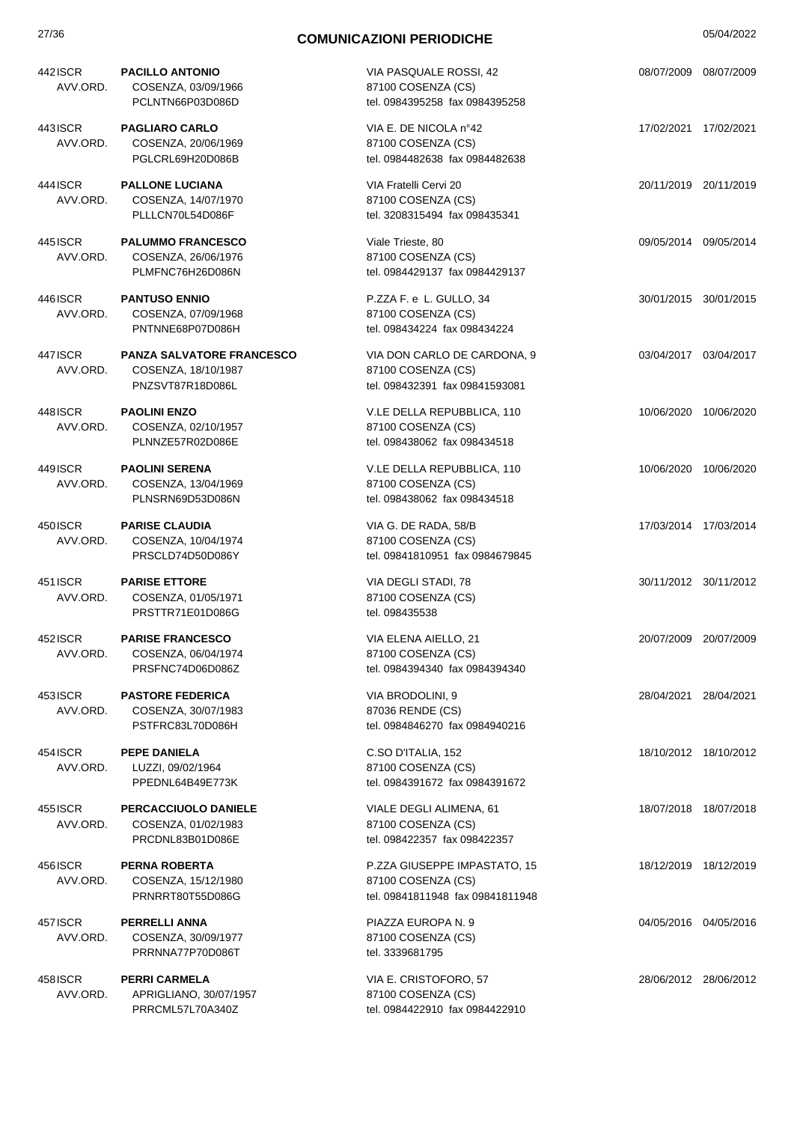| 442 ISCR<br>AVV.ORD. | <b>PACILLO ANTONIO</b><br>COSENZA, 03/09/1966<br>PCLNTN66P03D086D           | VIA PASQUALE ROSSI, 42<br>87100 COSENZA (CS)<br>tel. 0984395258 fax 0984395258         | 08/07/2009 08/07/2009 |
|----------------------|-----------------------------------------------------------------------------|----------------------------------------------------------------------------------------|-----------------------|
| 443 ISCR<br>AVV.ORD. | <b>PAGLIARO CARLO</b><br>COSENZA, 20/06/1969                                | VIA E. DE NICOLA n°42<br>87100 COSENZA (CS)                                            | 17/02/2021 17/02/2021 |
| 444 ISCR<br>AVV.ORD. | PGLCRL69H20D086B<br><b>PALLONE LUCIANA</b><br>COSENZA, 14/07/1970           | tel. 0984482638 fax 0984482638<br>VIA Fratelli Cervi 20<br>87100 COSENZA (CS)          | 20/11/2019 20/11/2019 |
| 445 ISCR             | PLLLCN70L54D086F<br><b>PALUMMO FRANCESCO</b>                                | tel. 3208315494 fax 098435341<br>Viale Trieste, 80                                     | 09/05/2014 09/05/2014 |
| AVV.ORD.             | COSENZA, 26/06/1976<br>PLMFNC76H26D086N                                     | 87100 COSENZA (CS)<br>tel. 0984429137 fax 0984429137                                   |                       |
| 446 ISCR<br>AVV.ORD. | <b>PANTUSO ENNIO</b><br>COSENZA, 07/09/1968<br>PNTNNE68P07D086H             | P.ZZA F. e L. GULLO, 34<br>87100 COSENZA (CS)<br>tel. 098434224 fax 098434224          | 30/01/2015 30/01/2015 |
| 447 ISCR<br>AVV.ORD. | <b>PANZA SALVATORE FRANCESCO</b><br>COSENZA, 18/10/1987<br>PNZSVT87R18D086L | VIA DON CARLO DE CARDONA, 9<br>87100 COSENZA (CS)<br>tel. 098432391 fax 09841593081    | 03/04/2017 03/04/2017 |
| 448 ISCR<br>AVV.ORD. | <b>PAOLINI ENZO</b><br>COSENZA, 02/10/1957<br>PLNNZE57R02D086E              | V.LE DELLA REPUBBLICA, 110<br>87100 COSENZA (CS)<br>tel. 098438062 fax 098434518       | 10/06/2020 10/06/2020 |
| 449 ISCR<br>AVV.ORD. | <b>PAOLINI SERENA</b><br>COSENZA, 13/04/1969<br>PLNSRN69D53D086N            | V.LE DELLA REPUBBLICA, 110<br>87100 COSENZA (CS)<br>tel. 098438062 fax 098434518       | 10/06/2020 10/06/2020 |
| 450 ISCR<br>AVV.ORD. | <b>PARISE CLAUDIA</b><br>COSENZA, 10/04/1974<br>PRSCLD74D50D086Y            | VIA G. DE RADA, 58/B<br>87100 COSENZA (CS)<br>tel. 09841810951 fax 0984679845          | 17/03/2014 17/03/2014 |
| 451 ISCR<br>AVV.ORD. | <b>PARISE ETTORE</b><br>COSENZA, 01/05/1971<br>PRSTTR71E01D086G             | VIA DEGLI STADI, 78<br>87100 COSENZA (CS)<br>tel. 098435538                            | 30/11/2012 30/11/2012 |
| 452 ISCR<br>AVV.ORD. | <b>PARISE FRANCESCO</b><br>COSENZA, 06/04/1974<br>PRSFNC74D06D086Z          | VIA ELENA AIELLO, 21<br>87100 COSENZA (CS)<br>tel. 0984394340 fax 0984394340           | 20/07/2009 20/07/2009 |
| 453 ISCR<br>AVV.ORD. | <b>PASTORE FEDERICA</b><br>COSENZA, 30/07/1983<br>PSTFRC83L70D086H          | VIA BRODOLINI, 9<br>87036 RENDE (CS)<br>tel. 0984846270 fax 0984940216                 | 28/04/2021 28/04/2021 |
| 454 ISCR<br>AVV.ORD. | <b>PEPE DANIELA</b><br>LUZZI, 09/02/1964<br>PPEDNL64B49E773K                | C.SO D'ITALIA, 152<br>87100 COSENZA (CS)<br>tel. 0984391672 fax 0984391672             | 18/10/2012 18/10/2012 |
| 455 ISCR<br>AVV.ORD. | PERCACCIUOLO DANIELE<br>COSENZA, 01/02/1983<br>PRCDNL83B01D086E             | VIALE DEGLI ALIMENA, 61<br>87100 COSENZA (CS)<br>tel. 098422357 fax 098422357          | 18/07/2018 18/07/2018 |
| 456 ISCR<br>AVV.ORD. | <b>PERNA ROBERTA</b><br>COSENZA, 15/12/1980<br>PRNRRT80T55D086G             | P.ZZA GIUSEPPE IMPASTATO, 15<br>87100 COSENZA (CS)<br>tel. 09841811948 fax 09841811948 | 18/12/2019 18/12/2019 |
| 457 ISCR<br>AVV.ORD. | <b>PERRELLI ANNA</b><br>COSENZA, 30/09/1977<br>PRRNNA77P70D086T             | PIAZZA EUROPA N. 9<br>87100 COSENZA (CS)<br>tel. 3339681795                            | 04/05/2016 04/05/2016 |
| 458ISCR<br>AVV.ORD.  | <b>PERRI CARMELA</b><br>APRIGLIANO, 30/07/1957<br>PRRCML57L70A340Z          | VIA E. CRISTOFORO, 57<br>87100 COSENZA (CS)<br>tel. 0984422910 fax 0984422910          | 28/06/2012 28/06/2012 |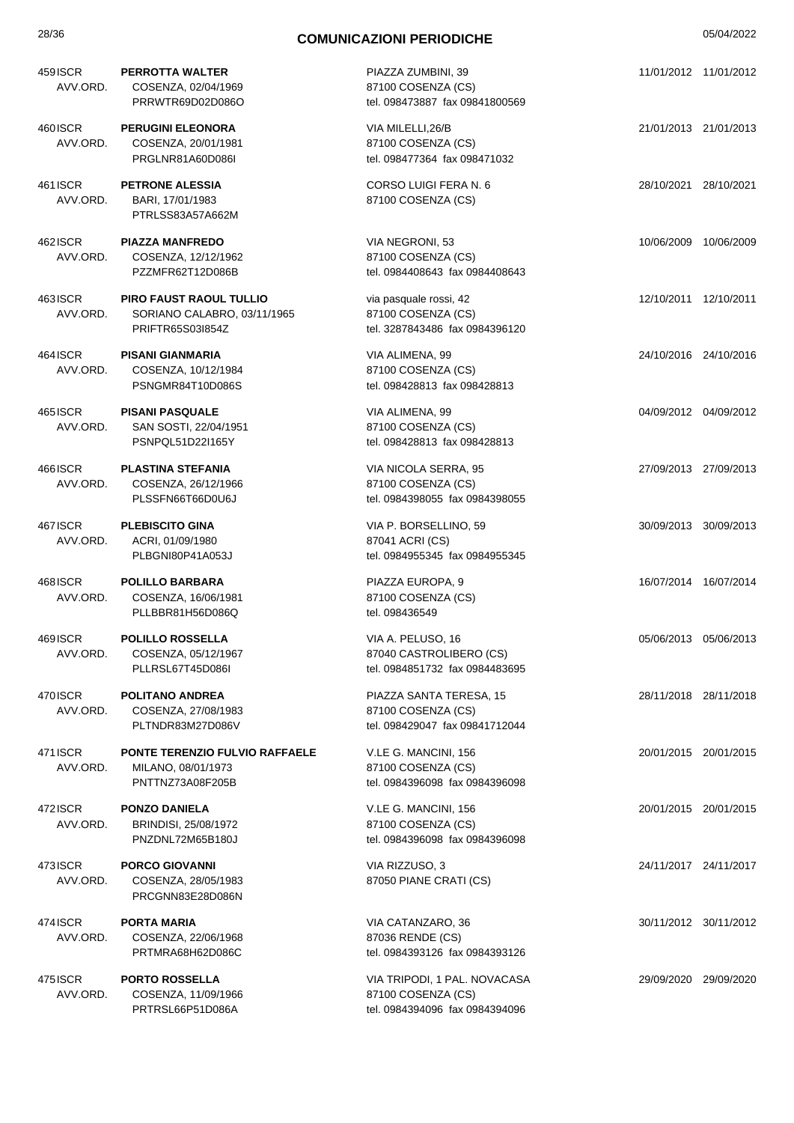| 459 ISCR<br>AVV.ORD. | <b>PERROTTA WALTER</b><br>COSENZA, 02/04/1969<br>PRRWTR69D02D086O                 | PIAZZA ZUMBINI, 39<br>87100 COSENZA (CS)<br>tel. 098473887 fax 09841800569           |                       | 11/01/2012 11/01/2012 |
|----------------------|-----------------------------------------------------------------------------------|--------------------------------------------------------------------------------------|-----------------------|-----------------------|
| 460 ISCR<br>AVV.ORD. | <b>PERUGINI ELEONORA</b><br>COSENZA, 20/01/1981<br>PRGLNR81A60D086I               | VIA MILELLI,26/B<br>87100 COSENZA (CS)<br>tel. 098477364 fax 098471032               | 21/01/2013 21/01/2013 |                       |
| 461 ISCR<br>AVV.ORD. | <b>PETRONE ALESSIA</b><br>BARI, 17/01/1983<br>PTRLSS83A57A662M                    | <b>CORSO LUIGI FERA N. 6</b><br>87100 COSENZA (CS)                                   |                       | 28/10/2021 28/10/2021 |
| 462 ISCR<br>AVV.ORD. | <b>PIAZZA MANFREDO</b><br>COSENZA, 12/12/1962<br>PZZMFR62T12D086B                 | VIA NEGRONI, 53<br>87100 COSENZA (CS)<br>tel. 0984408643 fax 0984408643              |                       | 10/06/2009 10/06/2009 |
| 463 ISCR<br>AVV.ORD. | <b>PIRO FAUST RAOUL TULLIO</b><br>SORIANO CALABRO, 03/11/1965<br>PRIFTR65S03I854Z | via pasquale rossi, 42<br>87100 COSENZA (CS)<br>tel. 3287843486 fax 0984396120       | 12/10/2011 12/10/2011 |                       |
| 464 ISCR<br>AVV.ORD. | <b>PISANI GIANMARIA</b><br>COSENZA, 10/12/1984<br>PSNGMR84T10D086S                | VIA ALIMENA, 99<br>87100 COSENZA (CS)<br>tel. 098428813 fax 098428813                | 24/10/2016 24/10/2016 |                       |
| 465 ISCR<br>AVV.ORD. | <b>PISANI PASQUALE</b><br>SAN SOSTI, 22/04/1951<br>PSNPQL51D22I165Y               | VIA ALIMENA, 99<br>87100 COSENZA (CS)<br>tel. 098428813 fax 098428813                |                       | 04/09/2012 04/09/2012 |
| 466ISCR<br>AVV.ORD.  | <b>PLASTINA STEFANIA</b><br>COSENZA, 26/12/1966<br>PLSSFN66T66D0U6J               | VIA NICOLA SERRA, 95<br>87100 COSENZA (CS)<br>tel. 0984398055 fax 0984398055         | 27/09/2013 27/09/2013 |                       |
| 467 ISCR<br>AVV.ORD. | <b>PLEBISCITO GINA</b><br>ACRI, 01/09/1980<br>PLBGNI80P41A053J                    | VIA P. BORSELLINO, 59<br>87041 ACRI (CS)<br>tel. 0984955345 fax 0984955345           |                       | 30/09/2013 30/09/2013 |
| 468 ISCR<br>AVV.ORD. | <b>POLILLO BARBARA</b><br>COSENZA, 16/06/1981<br>PLLBBR81H56D086Q                 | PIAZZA EUROPA, 9<br>87100 COSENZA (CS)<br>tel. 098436549                             |                       | 16/07/2014 16/07/2014 |
| 469 ISCR<br>AVV.ORD. | <b>POLILLO ROSSELLA</b><br>COSENZA, 05/12/1967<br>PLLRSL67T45D086I                | VIA A. PELUSO, 16<br>87040 CASTROLIBERO (CS)<br>tel. 0984851732 fax 0984483695       |                       | 05/06/2013 05/06/2013 |
| 470 ISCR<br>AVV.ORD. | <b>POLITANO ANDREA</b><br>COSENZA, 27/08/1983<br>PLTNDR83M27D086V                 | PIAZZA SANTA TERESA, 15<br>87100 COSENZA (CS)<br>tel. 098429047 fax 09841712044      |                       | 28/11/2018 28/11/2018 |
| 471 ISCR<br>AVV.ORD. | <b>PONTE TERENZIO FULVIO RAFFAELE</b><br>MILANO, 08/01/1973<br>PNTTNZ73A08F205B   | V.LE G. MANCINI, 156<br>87100 COSENZA (CS)<br>tel. 0984396098 fax 0984396098         |                       | 20/01/2015 20/01/2015 |
| 472ISCR<br>AVV.ORD.  | <b>PONZO DANIELA</b><br>BRINDISI, 25/08/1972<br>PNZDNL72M65B180J                  | V.LE G. MANCINI, 156<br>87100 COSENZA (CS)<br>tel. 0984396098 fax 0984396098         |                       | 20/01/2015 20/01/2015 |
| 473ISCR<br>AVV.ORD.  | <b>PORCO GIOVANNI</b><br>COSENZA, 28/05/1983<br>PRCGNN83E28D086N                  | VIA RIZZUSO, 3<br>87050 PIANE CRATI (CS)                                             |                       | 24/11/2017 24/11/2017 |
| 474 ISCR<br>AVV.ORD. | <b>PORTA MARIA</b><br>COSENZA, 22/06/1968<br>PRTMRA68H62D086C                     | VIA CATANZARO, 36<br>87036 RENDE (CS)<br>tel. 0984393126 fax 0984393126              |                       | 30/11/2012 30/11/2012 |
| 475 ISCR<br>AVV.ORD. | <b>PORTO ROSSELLA</b><br>COSENZA, 11/09/1966<br>PRTRSL66P51D086A                  | VIA TRIPODI, 1 PAL. NOVACASA<br>87100 COSENZA (CS)<br>tel. 0984394096 fax 0984394096 |                       | 29/09/2020 29/09/2020 |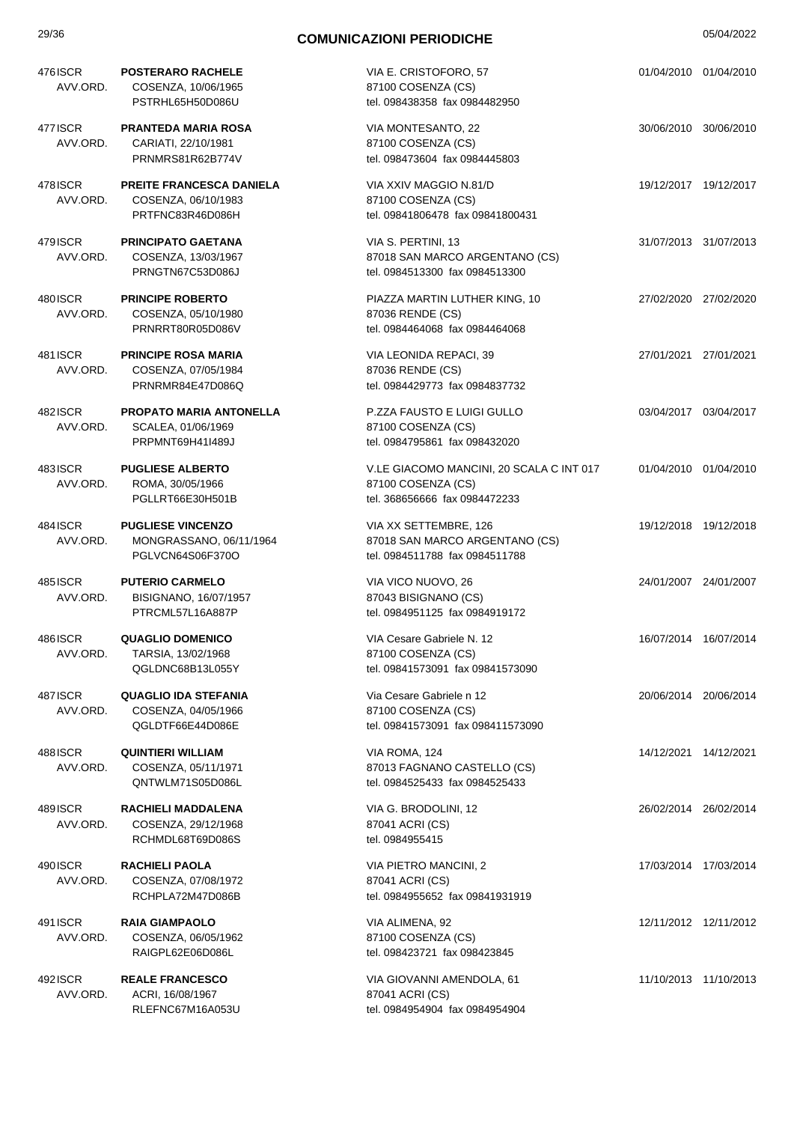| 29/36                |                                                                            | <b>COMUNICAZIONI PERIODICHE</b>                                                                 | 05/04/2022            |
|----------------------|----------------------------------------------------------------------------|-------------------------------------------------------------------------------------------------|-----------------------|
| 476ISCR<br>AVV.ORD.  | <b>POSTERARO RACHELE</b><br>COSENZA, 10/06/1965<br>PSTRHL65H50D086U        | VIA E. CRISTOFORO, 57<br>87100 COSENZA (CS)<br>tel. 098438358 fax 0984482950                    | 01/04/2010 01/04/2010 |
| 477 ISCR<br>AVV.ORD. | <b>PRANTEDA MARIA ROSA</b><br>CARIATI, 22/10/1981<br>PRNMRS81R62B774V      | VIA MONTESANTO, 22<br>87100 COSENZA (CS)<br>tel. 098473604 fax 0984445803                       | 30/06/2010 30/06/2010 |
| 478 ISCR<br>AVV.ORD. | <b>PREITE FRANCESCA DANIELA</b><br>COSENZA, 06/10/1983<br>PRTFNC83R46D086H | VIA XXIV MAGGIO N.81/D<br>87100 COSENZA (CS)<br>tel. 09841806478 fax 09841800431                | 19/12/2017 19/12/2017 |
| 479 ISCR<br>AVV.ORD. | <b>PRINCIPATO GAETANA</b><br>COSENZA, 13/03/1967<br>PRNGTN67C53D086J       | VIA S. PERTINI, 13<br>87018 SAN MARCO ARGENTANO (CS)<br>tel. 0984513300 fax 0984513300          | 31/07/2013 31/07/2013 |
| 480 ISCR<br>AVV.ORD. | <b>PRINCIPE ROBERTO</b><br>COSENZA, 05/10/1980<br>PRNRRT80R05D086V         | PIAZZA MARTIN LUTHER KING, 10<br>87036 RENDE (CS)<br>tel. 0984464068 fax 0984464068             | 27/02/2020 27/02/2020 |
| 481 ISCR<br>AVV.ORD. | <b>PRINCIPE ROSA MARIA</b><br>COSENZA, 07/05/1984<br>PRNRMR84E47D086Q      | VIA LEONIDA REPACI, 39<br>87036 RENDE (CS)<br>tel. 0984429773 fax 0984837732                    | 27/01/2021 27/01/2021 |
| 482ISCR<br>AVV.ORD.  | <b>PROPATO MARIA ANTONELLA</b><br>SCALEA, 01/06/1969<br>PRPMNT69H41I489J   | P.ZZA FAUSTO E LUIGI GULLO<br>87100 COSENZA (CS)<br>tel. 0984795861 fax 098432020               | 03/04/2017 03/04/2017 |
| 483ISCR<br>AVV.ORD.  | <b>PUGLIESE ALBERTO</b><br>ROMA, 30/05/1966<br>PGLLRT66E30H501B            | V.LE GIACOMO MANCINI, 20 SCALA C INT 017<br>87100 COSENZA (CS)<br>tel. 368656666 fax 0984472233 | 01/04/2010 01/04/2010 |
| 484 ISCR<br>AVV.ORD. | <b>PUGLIESE VINCENZO</b><br>MONGRASSANO, 06/11/1964<br>PGLVCN64S06F370O    | VIA XX SETTEMBRE, 126<br>87018 SAN MARCO ARGENTANO (CS)<br>tel. 0984511788 fax 0984511788       | 19/12/2018 19/12/2018 |
| 4851SCR<br>AVV.ORD.  | <b>PUTERIO CARMELO</b><br>BISIGNANO, 16/07/1957<br>PTRCML57L16A887P        | VIA VICO NUOVO, 26<br>87043 BISIGNANO (CS)<br>tel. 0984951125 fax 0984919172                    | 24/01/2007 24/01/2007 |
| 486ISCR<br>AVV.ORD.  | <b>QUAGLIO DOMENICO</b><br>TARSIA, 13/02/1968<br>QGLDNC68B13L055Y          | VIA Cesare Gabriele N. 12<br>87100 COSENZA (CS)<br>tel. 09841573091 fax 09841573090             | 16/07/2014 16/07/2014 |
| 487 ISCR<br>AVV.ORD. | <b>QUAGLIO IDA STEFANIA</b><br>COSENZA, 04/05/1966<br>QGLDTF66E44D086E     | Via Cesare Gabriele n 12<br>87100 COSENZA (CS)<br>tel. 09841573091 fax 098411573090             | 20/06/2014 20/06/2014 |
| 488ISCR<br>AVV.ORD.  | <b>QUINTIERI WILLIAM</b><br>COSENZA, 05/11/1971<br>QNTWLM71S05D086L        | VIA ROMA, 124<br>87013 FAGNANO CASTELLO (CS)<br>tel. 0984525433 fax 0984525433                  | 14/12/2021 14/12/2021 |
| 489ISCR<br>AVV.ORD.  | RACHIELI MADDALENA<br>COSENZA, 29/12/1968<br>RCHMDL68T69D086S              | VIA G. BRODOLINI, 12<br>87041 ACRI (CS)<br>tel. 0984955415                                      | 26/02/2014 26/02/2014 |
| 490ISCR<br>AVV.ORD.  | RACHIELI PAOLA<br>COSENZA, 07/08/1972<br>RCHPLA72M47D086B                  | VIA PIETRO MANCINI, 2<br>87041 ACRI (CS)<br>tel. 0984955652 fax 09841931919                     | 17/03/2014 17/03/2014 |
| 491 ISCR<br>AVV.ORD. | <b>RAIA GIAMPAOLO</b><br>COSENZA, 06/05/1962<br>RAIGPL62E06D086L           | VIA ALIMENA, 92<br>87100 COSENZA (CS)<br>tel. 098423721 fax 098423845                           | 12/11/2012 12/11/2012 |
| 492 ISCR<br>AVV.ORD. | <b>REALE FRANCESCO</b><br>ACRI, 16/08/1967<br>RLEFNC67M16A053U             | VIA GIOVANNI AMENDOLA, 61<br>87041 ACRI (CS)<br>tel. 0984954904 fax 0984954904                  | 11/10/2013 11/10/2013 |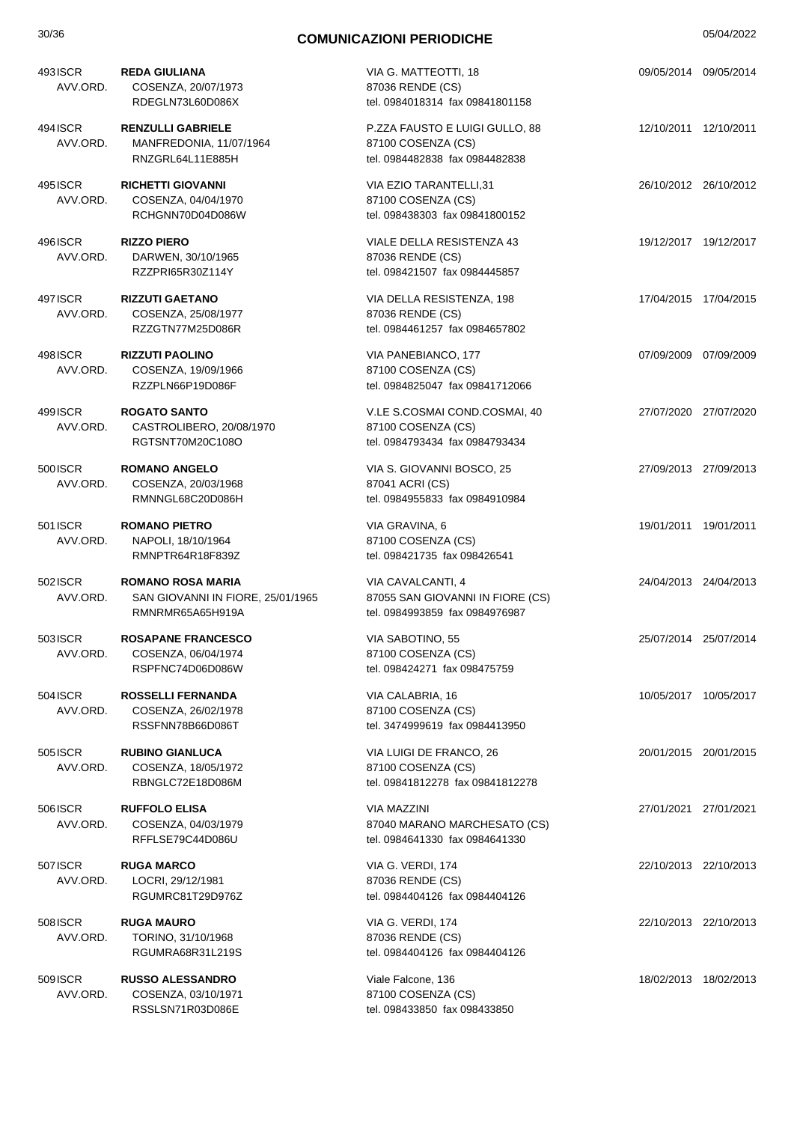| 30/36                | <b>COMUNICAZIONI PERIODICHE</b>                                                   |                                                                                         | 05/04/2022 |                       |
|----------------------|-----------------------------------------------------------------------------------|-----------------------------------------------------------------------------------------|------------|-----------------------|
| 493ISCR<br>AVV.ORD.  | <b>REDA GIULIANA</b><br>COSENZA, 20/07/1973<br>RDEGLN73L60D086X                   | VIA G. MATTEOTTI, 18<br>87036 RENDE (CS)<br>tel. 0984018314 fax 09841801158             |            | 09/05/2014 09/05/2014 |
| 494 ISCR<br>AVV.ORD. | <b>RENZULLI GABRIELE</b><br>MANFREDONIA, 11/07/1964<br>RNZGRL64L11E885H           | P.ZZA FAUSTO E LUIGI GULLO, 88<br>87100 COSENZA (CS)<br>tel. 0984482838 fax 0984482838  |            | 12/10/2011 12/10/2011 |
| 495 ISCR<br>AVV.ORD. | <b>RICHETTI GIOVANNI</b><br>COSENZA, 04/04/1970<br>RCHGNN70D04D086W               | VIA EZIO TARANTELLI,31<br>87100 COSENZA (CS)<br>tel. 098438303 fax 09841800152          |            | 26/10/2012 26/10/2012 |
| 496 ISCR<br>AVV.ORD. | <b>RIZZO PIERO</b><br>DARWEN, 30/10/1965<br>RZZPRI65R30Z114Y                      | VIALE DELLA RESISTENZA 43<br>87036 RENDE (CS)<br>tel. 098421507 fax 0984445857          |            | 19/12/2017 19/12/2017 |
| 497 ISCR<br>AVV.ORD. | <b>RIZZUTI GAETANO</b><br>COSENZA, 25/08/1977<br>RZZGTN77M25D086R                 | VIA DELLA RESISTENZA, 198<br>87036 RENDE (CS)<br>tel. 0984461257 fax 0984657802         |            | 17/04/2015 17/04/2015 |
| 498ISCR<br>AVV.ORD.  | <b>RIZZUTI PAOLINO</b><br>COSENZA, 19/09/1966<br>RZZPLN66P19D086F                 | VIA PANEBIANCO, 177<br>87100 COSENZA (CS)<br>tel. 0984825047 fax 09841712066            |            | 07/09/2009 07/09/2009 |
| 499ISCR<br>AVV.ORD.  | <b>ROGATO SANTO</b><br>CASTROLIBERO, 20/08/1970<br>RGTSNT70M20C108O               | V.LE S.COSMAI COND.COSMAI, 40<br>87100 COSENZA (CS)<br>tel. 0984793434 fax 0984793434   |            | 27/07/2020 27/07/2020 |
| 500 ISCR<br>AVV.ORD. | <b>ROMANO ANGELO</b><br>COSENZA, 20/03/1968<br>RMNNGL68C20D086H                   | VIA S. GIOVANNI BOSCO, 25<br>87041 ACRI (CS)<br>tel. 0984955833 fax 0984910984          |            | 27/09/2013 27/09/2013 |
| 501 ISCR<br>AVV.ORD. | <b>ROMANO PIETRO</b><br>NAPOLI, 18/10/1964<br>RMNPTR64R18F839Z                    | VIA GRAVINA, 6<br>87100 COSENZA (CS)<br>tel. 098421735 fax 098426541                    |            | 19/01/2011 19/01/2011 |
| 502 ISCR<br>AVV.ORD. | <b>ROMANO ROSA MARIA</b><br>SAN GIOVANNI IN FIORE, 25/01/1965<br>RMNRMR65A65H919A | VIA CAVALCANTI, 4<br>87055 SAN GIOVANNI IN FIORE (CS)<br>tel. 0984993859 fax 0984976987 |            | 24/04/2013 24/04/2013 |
| 503ISCR<br>AVV.ORD.  | <b>ROSAPANE FRANCESCO</b><br>COSENZA, 06/04/1974<br>RSPFNC74D06D086W              | VIA SABOTINO, 55<br>87100 COSENZA (CS)<br>tel. 098424271 fax 098475759                  |            | 25/07/2014 25/07/2014 |
| 504 ISCR<br>AVV.ORD. | <b>ROSSELLI FERNANDA</b><br>COSENZA, 26/02/1978<br>RSSFNN78B66D086T               | VIA CALABRIA, 16<br>87100 COSENZA (CS)<br>tel. 3474999619 fax 0984413950                |            | 10/05/2017 10/05/2017 |
| 505 ISCR<br>AVV.ORD. | <b>RUBINO GIANLUCA</b><br>COSENZA, 18/05/1972<br>RBNGLC72E18D086M                 | VIA LUIGI DE FRANCO, 26<br>87100 COSENZA (CS)<br>tel. 09841812278 fax 09841812278       |            | 20/01/2015 20/01/2015 |
| 506ISCR<br>AVV.ORD.  | <b>RUFFOLO ELISA</b><br>COSENZA, 04/03/1979<br>RFFLSE79C44D086U                   | <b>VIA MAZZINI</b><br>87040 MARANO MARCHESATO (CS)<br>tel. 0984641330 fax 0984641330    |            | 27/01/2021 27/01/2021 |
| 507 ISCR<br>AVV.ORD. | <b>RUGA MARCO</b><br>LOCRI, 29/12/1981<br>RGUMRC81T29D976Z                        | VIA G. VERDI, 174<br>87036 RENDE (CS)<br>tel. 0984404126 fax 0984404126                 |            | 22/10/2013 22/10/2013 |
| 508 ISCR<br>AVV.ORD. | <b>RUGA MAURO</b><br>TORINO, 31/10/1968<br>RGUMRA68R31L219S                       | VIA G. VERDI, 174<br>87036 RENDE (CS)<br>tel. 0984404126 fax 0984404126                 |            | 22/10/2013 22/10/2013 |
| 509 ISCR<br>AVV.ORD. | <b>RUSSO ALESSANDRO</b><br>COSENZA, 03/10/1971<br>RSSLSN71R03D086E                | Viale Falcone, 136<br>87100 COSENZA (CS)<br>tel. 098433850 fax 098433850                |            | 18/02/2013 18/02/2013 |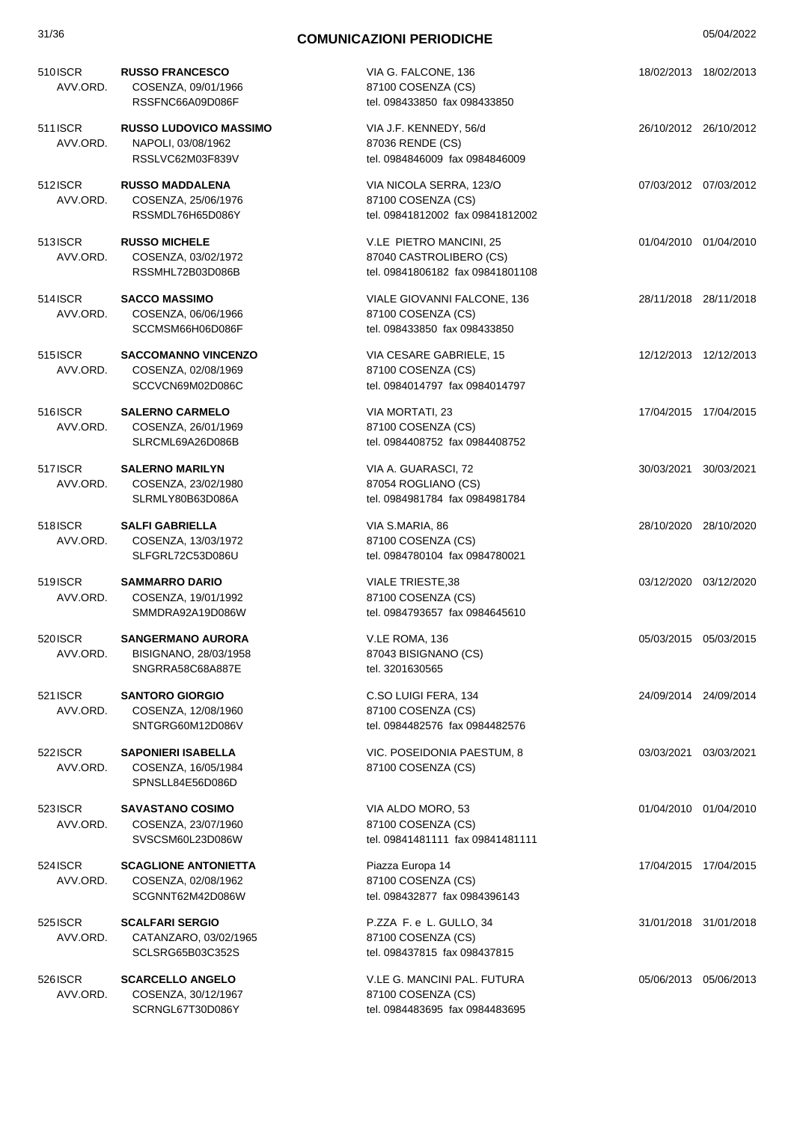| 510ISCR<br>AVV.ORD.        | <b>RUSSO FRANCESCO</b><br>COSENZA, 09/01/1966<br>RSSFNC66A09D086F       | VIA G. FALCONE, 136<br>87100 COSENZA (CS)<br>tel. 098433850 fax 098433850              |                       | 18/02/2013 18/02/2013 |
|----------------------------|-------------------------------------------------------------------------|----------------------------------------------------------------------------------------|-----------------------|-----------------------|
| 511 ISCR<br>AVV.ORD.       | <b>RUSSO LUDOVICO MASSIMO</b><br>NAPOLI, 03/08/1962<br>RSSLVC62M03F839V | VIA J.F. KENNEDY, 56/d<br>87036 RENDE (CS)<br>tel. 0984846009 fax 0984846009           | 26/10/2012 26/10/2012 |                       |
| 512ISCR<br>AVV.ORD.        | <b>RUSSO MADDALENA</b><br>COSENZA, 25/06/1976<br>RSSMDL76H65D086Y       | VIA NICOLA SERRA, 123/O<br>87100 COSENZA (CS)<br>tel. 09841812002 fax 09841812002      | 07/03/2012 07/03/2012 |                       |
| 513 ISCR<br>AVV.ORD.       | <b>RUSSO MICHELE</b><br>COSENZA, 03/02/1972<br>RSSMHL72B03D086B         | V.LE PIETRO MANCINI, 25<br>87040 CASTROLIBERO (CS)<br>tel. 09841806182 fax 09841801108 | 01/04/2010 01/04/2010 |                       |
| 514 ISCR<br>AVV.ORD.       | <b>SACCO MASSIMO</b><br>COSENZA, 06/06/1966<br>SCCMSM66H06D086F         | VIALE GIOVANNI FALCONE, 136<br>87100 COSENZA (CS)<br>tel. 098433850 fax 098433850      | 28/11/2018 28/11/2018 |                       |
| 515 ISCR<br>AVV.ORD.       | <b>SACCOMANNO VINCENZO</b><br>COSENZA, 02/08/1969<br>SCCVCN69M02D086C   | VIA CESARE GABRIELE, 15<br>87100 COSENZA (CS)<br>tel. 0984014797 fax 0984014797        | 12/12/2013 12/12/2013 |                       |
| 516 <b>SCR</b><br>AVV.ORD. | <b>SALERNO CARMELO</b><br>COSENZA, 26/01/1969<br>SLRCML69A26D086B       | VIA MORTATI, 23<br>87100 COSENZA (CS)<br>tel. 0984408752 fax 0984408752                |                       | 17/04/2015 17/04/2015 |
| 517ISCR<br>AVV.ORD.        | <b>SALERNO MARILYN</b><br>COSENZA, 23/02/1980<br>SLRMLY80B63D086A       | VIA A. GUARASCI, 72<br>87054 ROGLIANO (CS)<br>tel. 0984981784 fax 0984981784           |                       | 30/03/2021 30/03/2021 |
| 518ISCR<br>AVV.ORD.        | <b>SALFI GABRIELLA</b><br>COSENZA, 13/03/1972<br>SLFGRL72C53D086U       | VIA S.MARIA, 86<br>87100 COSENZA (CS)<br>tel. 0984780104 fax 0984780021                |                       | 28/10/2020 28/10/2020 |
| 519ISCR<br>AVV.ORD.        | <b>SAMMARRO DARIO</b><br>COSENZA, 19/01/1992<br>SMMDRA92A19D086W        | <b>VIALE TRIESTE,38</b><br>87100 COSENZA (CS)<br>tel. 0984793657 fax 0984645610        |                       | 03/12/2020 03/12/2020 |
| 520ISCR<br>AVV.ORD.        | <b>SANGERMANO AURORA</b><br>BISIGNANO, 28/03/1958<br>SNGRRA58C68A887E   | V.LE ROMA, 136<br>87043 BISIGNANO (CS)<br>tel. 3201630565                              | 05/03/2015 05/03/2015 |                       |
| 521 ISCR<br>AVV.ORD.       | <b>SANTORO GIORGIO</b><br>COSENZA, 12/08/1960<br>SNTGRG60M12D086V       | C.SO LUIGI FERA, 134<br>87100 COSENZA (CS)<br>tel. 0984482576 fax 0984482576           |                       | 24/09/2014 24/09/2014 |
| 522 ISCR<br>AVV.ORD.       | <b>SAPONIERI ISABELLA</b><br>COSENZA, 16/05/1984<br>SPNSLL84E56D086D    | VIC. POSEIDONIA PAESTUM, 8<br>87100 COSENZA (CS)                                       |                       | 03/03/2021 03/03/2021 |
| 523 ISCR<br>AVV.ORD.       | <b>SAVASTANO COSIMO</b><br>COSENZA, 23/07/1960<br>SVSCSM60L23D086W      | VIA ALDO MORO, 53<br>87100 COSENZA (CS)<br>tel. 09841481111 fax 09841481111            |                       | 01/04/2010 01/04/2010 |
| 524 ISCR<br>AVV.ORD.       | <b>SCAGLIONE ANTONIETTA</b><br>COSENZA, 02/08/1962<br>SCGNNT62M42D086W  | Piazza Europa 14<br>87100 COSENZA (CS)<br>tel. 098432877 fax 0984396143                |                       | 17/04/2015 17/04/2015 |
| 525 ISCR<br>AVV.ORD.       | <b>SCALFARI SERGIO</b><br>CATANZARO, 03/02/1965<br>SCLSRG65B03C352S     | P.ZZA F. e L. GULLO, 34<br>87100 COSENZA (CS)<br>tel. 098437815 fax 098437815          |                       | 31/01/2018 31/01/2018 |
| 526 ISCR<br>AVV.ORD.       | <b>SCARCELLO ANGELO</b><br>COSENZA, 30/12/1967<br>SCRNGL67T30D086Y      | V.LE G. MANCINI PAL. FUTURA<br>87100 COSENZA (CS)<br>tel. 0984483695 fax 0984483695    |                       | 05/06/2013 05/06/2013 |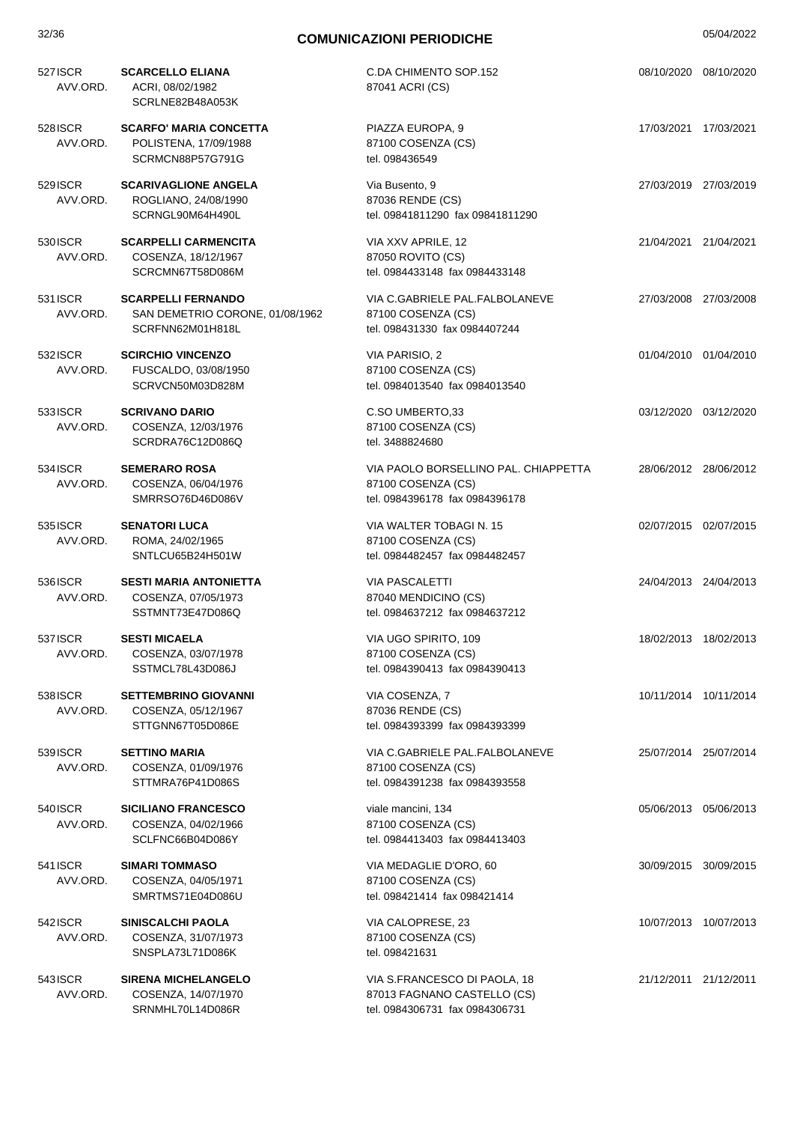| 527 ISCR<br>AVV.ORD. | <b>SCARCELLO ELIANA</b><br>ACRI, 08/02/1982<br>SCRLNE82B48A053K                  | C.DA CHIMENTO SOP.152<br>87041 ACRI (CS)                                                      | 08/10/2020 08/10/2020 |
|----------------------|----------------------------------------------------------------------------------|-----------------------------------------------------------------------------------------------|-----------------------|
| 528 ISCR<br>AVV.ORD. | <b>SCARFO' MARIA CONCETTA</b><br>POLISTENA, 17/09/1988<br>SCRMCN88P57G791G       | PIAZZA EUROPA, 9<br>87100 COSENZA (CS)<br>tel. 098436549                                      | 17/03/2021 17/03/2021 |
| 529 ISCR<br>AVV.ORD. | <b>SCARIVAGLIONE ANGELA</b><br>ROGLIANO, 24/08/1990<br>SCRNGL90M64H490L          | Via Busento, 9<br>87036 RENDE (CS)<br>tel. 09841811290 fax 09841811290                        | 27/03/2019 27/03/2019 |
| 530 ISCR<br>AVV.ORD. | <b>SCARPELLI CARMENCITA</b><br>COSENZA, 18/12/1967<br>SCRCMN67T58D086M           | VIA XXV APRILE, 12<br>87050 ROVITO (CS)<br>tel. 0984433148 fax 0984433148                     | 21/04/2021 21/04/2021 |
| 531 ISCR<br>AVV.ORD. | <b>SCARPELLI FERNANDO</b><br>SAN DEMETRIO CORONE, 01/08/1962<br>SCRFNN62M01H818L | VIA C.GABRIELE PAL.FALBOLANEVE<br>87100 COSENZA (CS)<br>tel. 098431330 fax 0984407244         | 27/03/2008 27/03/2008 |
| 532 ISCR<br>AVV.ORD. | <b>SCIRCHIO VINCENZO</b><br>FUSCALDO, 03/08/1950<br>SCRVCN50M03D828M             | VIA PARISIO, 2<br>87100 COSENZA (CS)<br>tel. 0984013540 fax 0984013540                        | 01/04/2010 01/04/2010 |
| 533 ISCR<br>AVV.ORD. | <b>SCRIVANO DARIO</b><br>COSENZA, 12/03/1976<br>SCRDRA76C12D086Q                 | C.SO UMBERTO, 33<br>87100 COSENZA (CS)<br>tel. 3488824680                                     | 03/12/2020 03/12/2020 |
| 534 ISCR<br>AVV.ORD. | <b>SEMERARO ROSA</b><br>COSENZA, 06/04/1976<br>SMRRSO76D46D086V                  | VIA PAOLO BORSELLINO PAL. CHIAPPETTA<br>87100 COSENZA (CS)<br>tel. 0984396178 fax 0984396178  | 28/06/2012 28/06/2012 |
| 535 ISCR<br>AVV.ORD. | <b>SENATORI LUCA</b><br>ROMA, 24/02/1965<br>SNTLCU65B24H501W                     | VIA WALTER TOBAGI N. 15<br>87100 COSENZA (CS)<br>tel. 0984482457 fax 0984482457               | 02/07/2015 02/07/2015 |
| 536 ISCR<br>AVV.ORD. | <b>SESTI MARIA ANTONIETTA</b><br>COSENZA, 07/05/1973<br>SSTMNT73E47D086Q         | <b>VIA PASCALETTI</b><br>87040 MENDICINO (CS)<br>tel. 0984637212 fax 0984637212               | 24/04/2013 24/04/2013 |
| 537 ISCR<br>AVV.ORD. | <b>SESTI MICAELA</b><br>COSENZA, 03/07/1978<br>SSTMCL78L43D086J                  | VIA UGO SPIRITO, 109<br>87100 COSENZA (CS)<br>tel. 0984390413 fax 0984390413                  | 18/02/2013 18/02/2013 |
| 538 ISCR<br>AVV.ORD. | <b>SETTEMBRINO GIOVANNI</b><br>COSENZA, 05/12/1967<br>STTGNN67T05D086E           | VIA COSENZA, 7<br>87036 RENDE (CS)<br>tel. 0984393399 fax 0984393399                          | 10/11/2014 10/11/2014 |
| 539 ISCR<br>AVV.ORD. | <b>SETTINO MARIA</b><br>COSENZA, 01/09/1976<br>STTMRA76P41D086S                  | VIA C.GABRIELE PAL.FALBOLANEVE<br>87100 COSENZA (CS)<br>tel. 0984391238 fax 0984393558        | 25/07/2014 25/07/2014 |
| 540 ISCR<br>AVV.ORD. | <b>SICILIANO FRANCESCO</b><br>COSENZA, 04/02/1966<br>SCLFNC66B04D086Y            | viale mancini, 134<br>87100 COSENZA (CS)<br>tel. 0984413403 fax 0984413403                    | 05/06/2013 05/06/2013 |
| 541 ISCR<br>AVV.ORD. | <b>SIMARI TOMMASO</b><br>COSENZA, 04/05/1971<br>SMRTMS71E04D086U                 | VIA MEDAGLIE D'ORO, 60<br>87100 COSENZA (CS)<br>tel. 098421414 fax 098421414                  | 30/09/2015 30/09/2015 |
| 542 ISCR<br>AVV.ORD. | SINISCALCHI PAOLA<br>COSENZA, 31/07/1973<br>SNSPLA73L71D086K                     | VIA CALOPRESE, 23<br>87100 COSENZA (CS)<br>tel. 098421631                                     | 10/07/2013 10/07/2013 |
| 543 ISCR<br>AVV.ORD. | <b>SIRENA MICHELANGELO</b><br>COSENZA, 14/07/1970<br>SRNMHL70L14D086R            | VIA S.FRANCESCO DI PAOLA, 18<br>87013 FAGNANO CASTELLO (CS)<br>tel. 0984306731 fax 0984306731 | 21/12/2011 21/12/2011 |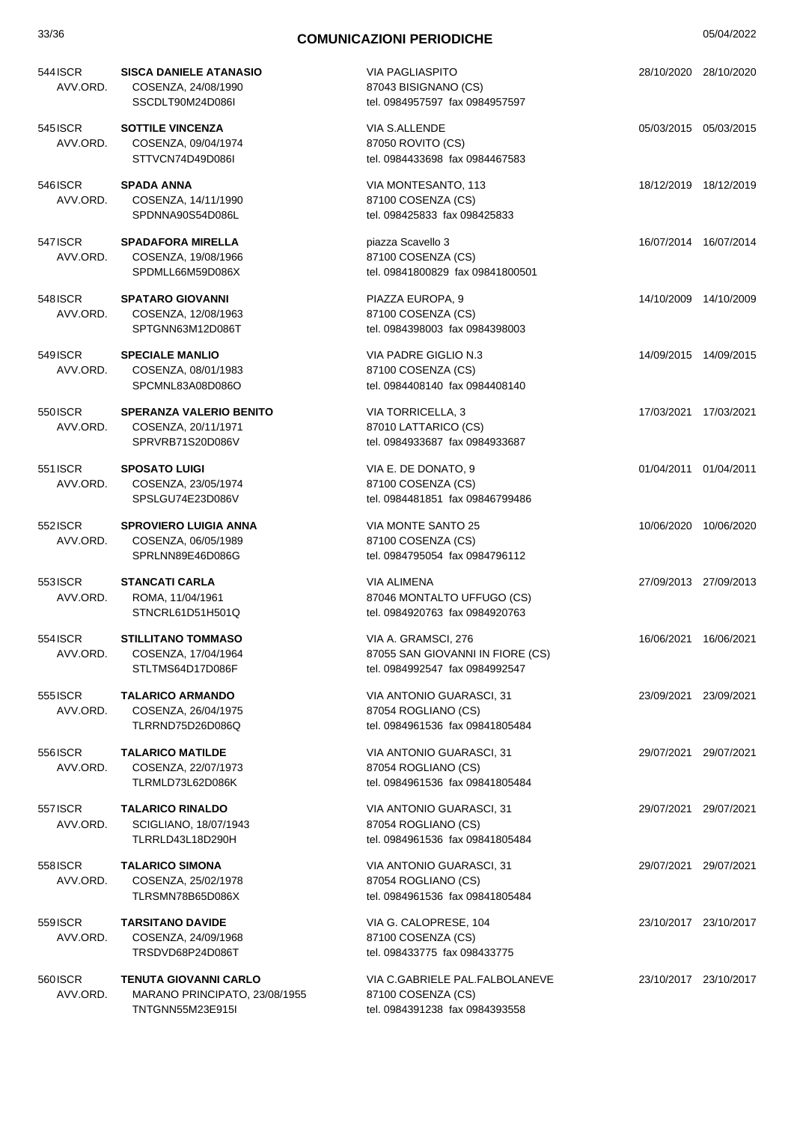| 544 ISCR<br>AVV.ORD. | <b>SISCA DANIELE ATANASIO</b><br>COSENZA, 24/08/1990<br>SSCDLT90M24D086I          | <b>VIA PAGLIASPITO</b><br>87043 BISIGNANO (CS)<br>tel. 0984957597 fax 0984957597          | 28/10/2020 28/10/2020 |
|----------------------|-----------------------------------------------------------------------------------|-------------------------------------------------------------------------------------------|-----------------------|
| 545 ISCR<br>AVV.ORD. | <b>SOTTILE VINCENZA</b><br>COSENZA, 09/04/1974<br>STTVCN74D49D086I                | VIA S.ALLENDE<br>87050 ROVITO (CS)<br>tel. 0984433698 fax 0984467583                      | 05/03/2015 05/03/2015 |
| 546ISCR<br>AVV.ORD.  | <b>SPADA ANNA</b><br>COSENZA, 14/11/1990<br>SPDNNA90S54D086L                      | VIA MONTESANTO, 113<br>87100 COSENZA (CS)<br>tel. 098425833 fax 098425833                 | 18/12/2019 18/12/2019 |
| 547 ISCR<br>AVV.ORD. | <b>SPADAFORA MIRELLA</b><br>COSENZA, 19/08/1966<br>SPDMLL66M59D086X               | piazza Scavello 3<br>87100 COSENZA (CS)<br>tel. 09841800829 fax 09841800501               | 16/07/2014 16/07/2014 |
| 548ISCR<br>AVV.ORD.  | <b>SPATARO GIOVANNI</b><br>COSENZA, 12/08/1963<br>SPTGNN63M12D086T                | PIAZZA EUROPA, 9<br>87100 COSENZA (CS)<br>tel. 0984398003 fax 0984398003                  | 14/10/2009 14/10/2009 |
| 549ISCR<br>AVV.ORD.  | <b>SPECIALE MANLIO</b><br>COSENZA, 08/01/1983<br>SPCMNL83A08D086O                 | VIA PADRE GIGLIO N.3<br>87100 COSENZA (CS)<br>tel. 0984408140 fax 0984408140              | 14/09/2015 14/09/2015 |
| 550 ISCR<br>AVV.ORD. | <b>SPERANZA VALERIO BENITO</b><br>COSENZA, 20/11/1971<br>SPRVRB71S20D086V         | <b>VIA TORRICELLA, 3</b><br>87010 LATTARICO (CS)<br>tel. 0984933687 fax 0984933687        | 17/03/2021 17/03/2021 |
| 551 ISCR<br>AVV.ORD. | <b>SPOSATO LUIGI</b><br>COSENZA, 23/05/1974<br>SPSLGU74E23D086V                   | VIA E. DE DONATO, 9<br>87100 COSENZA (CS)<br>tel. 0984481851 fax 09846799486              | 01/04/2011 01/04/2011 |
| 552 ISCR<br>AVV.ORD. | <b>SPROVIERO LUIGIA ANNA</b><br>COSENZA, 06/05/1989<br>SPRLNN89E46D086G           | VIA MONTE SANTO 25<br>87100 COSENZA (CS)<br>tel. 0984795054 fax 0984796112                | 10/06/2020 10/06/2020 |
| 553ISCR<br>AVV.ORD.  | <b>STANCATI CARLA</b><br>ROMA, 11/04/1961<br>STNCRL61D51H501Q                     | VIA ALIMENA<br>87046 MONTALTO UFFUGO (CS)<br>tel. 0984920763 fax 0984920763               | 27/09/2013 27/09/2013 |
| 554 ISCR             | <b>STILLITANO TOMMASO</b><br>AVV.ORD. COSENZA, 17/04/1964<br>STLTMS64D17D086F     | VIA A. GRAMSCI, 276<br>87055 SAN GIOVANNI IN FIORE (CS)<br>tel. 0984992547 fax 0984992547 | 16/06/2021 16/06/2021 |
| 5551SCR<br>AVV.ORD.  | <b>TALARICO ARMANDO</b><br>COSENZA, 26/04/1975<br>TLRRND75D26D086Q                | VIA ANTONIO GUARASCI, 31<br>87054 ROGLIANO (CS)<br>tel. 0984961536 fax 09841805484        | 23/09/2021 23/09/2021 |
| 556 ISCR<br>AVV.ORD. | <b>TALARICO MATILDE</b><br>COSENZA, 22/07/1973<br>TLRMLD73L62D086K                | VIA ANTONIO GUARASCI, 31<br>87054 ROGLIANO (CS)<br>tel. 0984961536 fax 09841805484        | 29/07/2021 29/07/2021 |
| 557 ISCR<br>AVV.ORD. | <b>TALARICO RINALDO</b><br>SCIGLIANO, 18/07/1943<br>TLRRLD43L18D290H              | VIA ANTONIO GUARASCI, 31<br>87054 ROGLIANO (CS)<br>tel. 0984961536 fax 09841805484        | 29/07/2021 29/07/2021 |
| 558 ISCR<br>AVV.ORD. | <b>TALARICO SIMONA</b><br>COSENZA, 25/02/1978<br>TLRSMN78B65D086X                 | VIA ANTONIO GUARASCI, 31<br>87054 ROGLIANO (CS)<br>tel. 0984961536 fax 09841805484        | 29/07/2021 29/07/2021 |
| 559 ISCR<br>AVV.ORD. | <b>TARSITANO DAVIDE</b><br>COSENZA, 24/09/1968<br>TRSDVD68P24D086T                | VIA G. CALOPRESE, 104<br>87100 COSENZA (CS)<br>tel. 098433775 fax 098433775               | 23/10/2017 23/10/2017 |
| 560 ISCR<br>AVV.ORD. | <b>TENUTA GIOVANNI CARLO</b><br>MARANO PRINCIPATO, 23/08/1955<br>TNTGNN55M23E915I | VIA C.GABRIELE PAL.FALBOLANEVE<br>87100 COSENZA (CS)<br>tel. 0984391238 fax 0984393558    | 23/10/2017 23/10/2017 |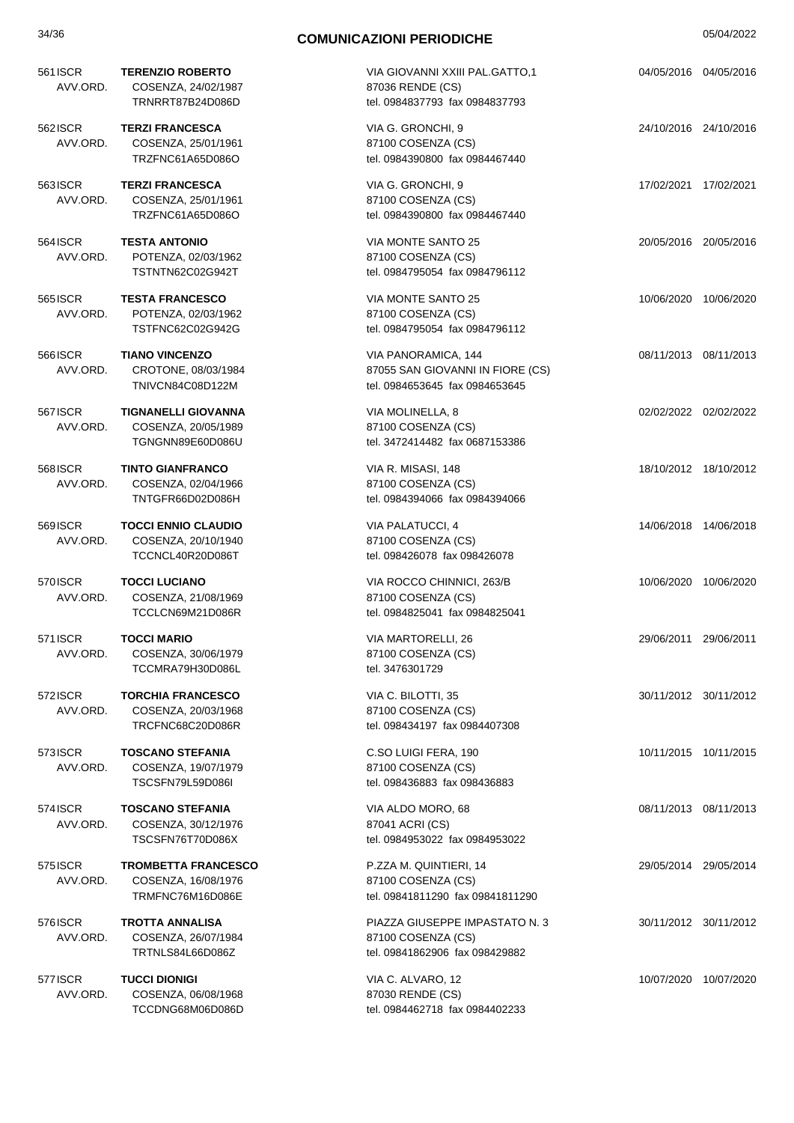| 561 ISCR<br>AVV.ORD. | <b>TERENZIO ROBERTO</b><br>COSENZA, 24/02/1987<br>TRNRRT87B24D086D    | VIA GIOVANNI XXIII PAL.GATTO,1<br>87036 RENDE (CS)<br>tel. 0984837793 fax 0984837793      | 04/05/2016 04/05/2016 |
|----------------------|-----------------------------------------------------------------------|-------------------------------------------------------------------------------------------|-----------------------|
| 562 ISCR<br>AVV.ORD. | <b>TERZI FRANCESCA</b><br>COSENZA, 25/01/1961<br>TRZFNC61A65D086O     | VIA G. GRONCHI, 9<br>87100 COSENZA (CS)<br>tel. 0984390800 fax 0984467440                 | 24/10/2016 24/10/2016 |
| 563ISCR<br>AVV.ORD.  | <b>TERZI FRANCESCA</b><br>COSENZA, 25/01/1961<br>TRZFNC61A65D086O     | VIA G. GRONCHI, 9<br>87100 COSENZA (CS)<br>tel. 0984390800 fax 0984467440                 | 17/02/2021 17/02/2021 |
| 564 ISCR<br>AVV.ORD. | <b>TESTA ANTONIO</b><br>POTENZA, 02/03/1962<br>TSTNTN62C02G942T       | VIA MONTE SANTO 25<br>87100 COSENZA (CS)<br>tel. 0984795054 fax 0984796112                | 20/05/2016 20/05/2016 |
| 5651SCR<br>AVV.ORD.  | <b>TESTA FRANCESCO</b><br>POTENZA, 02/03/1962<br>TSTFNC62C02G942G     | VIA MONTE SANTO 25<br>87100 COSENZA (CS)<br>tel. 0984795054 fax 0984796112                | 10/06/2020 10/06/2020 |
| 5661SCR<br>AVV.ORD.  | <b>TIANO VINCENZO</b><br>CROTONE, 08/03/1984<br>TNIVCN84C08D122M      | VIA PANORAMICA, 144<br>87055 SAN GIOVANNI IN FIORE (CS)<br>tel. 0984653645 fax 0984653645 | 08/11/2013 08/11/2013 |
| 567 ISCR<br>AVV.ORD. | <b>TIGNANELLI GIOVANNA</b><br>COSENZA, 20/05/1989<br>TGNGNN89E60D086U | VIA MOLINELLA, 8<br>87100 COSENZA (CS)<br>tel. 3472414482 fax 0687153386                  | 02/02/2022 02/02/2022 |
| 568 ISCR<br>AVV.ORD. | <b>TINTO GIANFRANCO</b><br>COSENZA, 02/04/1966<br>TNTGFR66D02D086H    | VIA R. MISASI, 148<br>87100 COSENZA (CS)<br>tel. 0984394066 fax 0984394066                | 18/10/2012 18/10/2012 |
| 569 ISCR<br>AVV.ORD. | <b>TOCCI ENNIO CLAUDIO</b><br>COSENZA, 20/10/1940<br>TCCNCL40R20D086T | VIA PALATUCCI, 4<br>87100 COSENZA (CS)<br>tel. 098426078 fax 098426078                    | 14/06/2018 14/06/2018 |
| 570 ISCR<br>AVV.ORD. | <b>TOCCI LUCIANO</b><br>COSENZA, 21/08/1969<br>TCCLCN69M21D086R       | VIA ROCCO CHINNICI, 263/B<br>87100 COSENZA (CS)<br>tel. 0984825041 fax 0984825041         | 10/06/2020 10/06/2020 |
| 571 ISCR<br>AVV.ORD. | <b>TOCCI MARIO</b><br>COSENZA, 30/06/1979<br>TCCMRA79H30D086L         | VIA MARTORELLI, 26<br>87100 COSENZA (CS)<br>tel. 3476301729                               | 29/06/2011 29/06/2011 |
| 572 ISCR<br>AVV.ORD. | <b>TORCHIA FRANCESCO</b><br>COSENZA, 20/03/1968<br>TRCFNC68C20D086R   | VIA C. BILOTTI, 35<br>87100 COSENZA (CS)<br>tel. 098434197 fax 0984407308                 | 30/11/2012 30/11/2012 |
| 573 ISCR<br>AVV.ORD. | <b>TOSCANO STEFANIA</b><br>COSENZA, 19/07/1979<br>TSCSFN79L59D086I    | C.SO LUIGI FERA, 190<br>87100 COSENZA (CS)<br>tel. 098436883 fax 098436883                | 10/11/2015 10/11/2015 |
| 574 ISCR<br>AVV.ORD. | <b>TOSCANO STEFANIA</b><br>COSENZA, 30/12/1976<br>TSCSFN76T70D086X    | VIA ALDO MORO, 68<br>87041 ACRI (CS)<br>tel. 0984953022 fax 0984953022                    | 08/11/2013 08/11/2013 |
| 575 ISCR<br>AVV.ORD. | <b>TROMBETTA FRANCESCO</b><br>COSENZA, 16/08/1976<br>TRMFNC76M16D086E | P.ZZA M. QUINTIERI, 14<br>87100 COSENZA (CS)<br>tel. 09841811290 fax 09841811290          | 29/05/2014 29/05/2014 |
| 576 ISCR<br>AVV.ORD. | <b>TROTTA ANNALISA</b><br>COSENZA, 26/07/1984<br>TRTNLS84L66D086Z     | PIAZZA GIUSEPPE IMPASTATO N. 3<br>87100 COSENZA (CS)<br>tel. 09841862906 fax 098429882    | 30/11/2012 30/11/2012 |
| 577 ISCR<br>AVV.ORD. | <b>TUCCI DIONIGI</b><br>COSENZA, 06/08/1968<br>TCCDNG68M06D086D       | VIA C. ALVARO, 12<br>87030 RENDE (CS)<br>tel. 0984462718 fax 0984402233                   | 10/07/2020 10/07/2020 |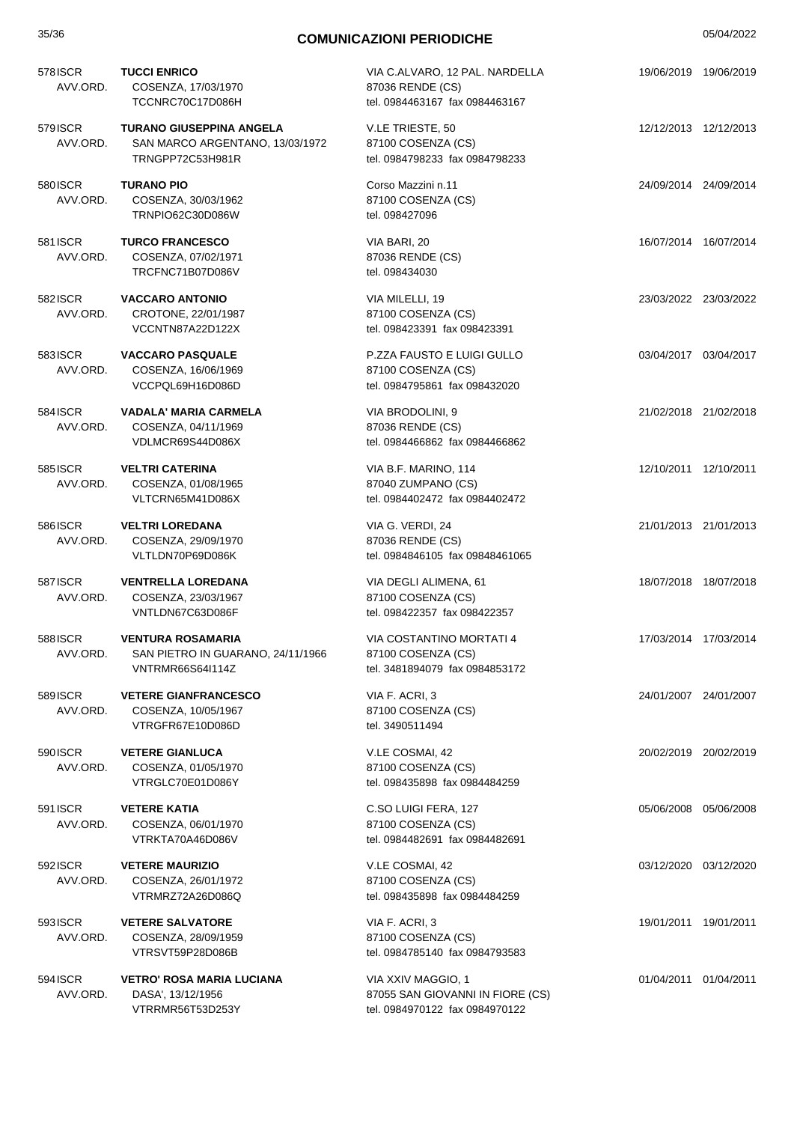| 35/36                |                                                                                          | <b>COMUNICAZIONI PERIODICHE</b>                                                          | 05/04/2022            |
|----------------------|------------------------------------------------------------------------------------------|------------------------------------------------------------------------------------------|-----------------------|
| 578 ISCR<br>AVV.ORD. | <b>TUCCI ENRICO</b><br>COSENZA, 17/03/1970<br>TCCNRC70C17D086H                           | VIA C.ALVARO, 12 PAL. NARDELLA<br>87036 RENDE (CS)<br>tel. 0984463167 fax 0984463167     | 19/06/2019 19/06/2019 |
| 579 ISCR<br>AVV.ORD. | <b>TURANO GIUSEPPINA ANGELA</b><br>SAN MARCO ARGENTANO, 13/03/1972<br>TRNGPP72C53H981R   | V.LE TRIESTE, 50<br>87100 COSENZA (CS)<br>tel. 0984798233 fax 0984798233                 | 12/12/2013 12/12/2013 |
| 580 ISCR<br>AVV.ORD. | <b>TURANO PIO</b><br>COSENZA, 30/03/1962<br>TRNPIO62C30D086W                             | Corso Mazzini n.11<br>87100 COSENZA (CS)<br>tel. 098427096                               | 24/09/2014 24/09/2014 |
| 581 ISCR<br>AVV.ORD. | <b>TURCO FRANCESCO</b><br>COSENZA, 07/02/1971<br>TRCFNC71B07D086V                        | VIA BARI, 20<br>87036 RENDE (CS)<br>tel. 098434030                                       | 16/07/2014 16/07/2014 |
| 582 ISCR<br>AVV.ORD. | <b>VACCARO ANTONIO</b><br>CROTONE, 22/01/1987<br>VCCNTN87A22D122X                        | VIA MILELLI, 19<br>87100 COSENZA (CS)<br>tel. 098423391 fax 098423391                    | 23/03/2022 23/03/2022 |
| 583 ISCR<br>AVV.ORD. | <b>VACCARO PASQUALE</b><br>COSENZA, 16/06/1969<br>VCCPQL69H16D086D                       | P.ZZA FAUSTO E LUIGI GULLO<br>87100 COSENZA (CS)<br>tel. 0984795861 fax 098432020        | 03/04/2017 03/04/2017 |
| 584 ISCR<br>AVV.ORD. | <b>VADALA' MARIA CARMELA</b><br>COSENZA, 04/11/1969<br>VDLMCR69S44D086X                  | VIA BRODOLINI, 9<br>87036 RENDE (CS)<br>tel. 0984466862 fax 0984466862                   | 21/02/2018 21/02/2018 |
| 585 ISCR<br>AVV.ORD. | <b>VELTRI CATERINA</b><br>COSENZA, 01/08/1965<br>VLTCRN65M41D086X                        | VIA B.F. MARINO, 114<br>87040 ZUMPANO (CS)<br>tel. 0984402472 fax 0984402472             | 12/10/2011 12/10/2011 |
| 586 ISCR<br>AVV.ORD. | <b>VELTRI LOREDANA</b><br>COSENZA, 29/09/1970<br>VLTLDN70P69D086K                        | VIA G. VERDI, 24<br>87036 RENDE (CS)<br>tel. 0984846105 fax 09848461065                  | 21/01/2013 21/01/2013 |
| 587 ISCR<br>AVV.ORD. | <b>VENTRELLA LOREDANA</b><br>COSENZA, 23/03/1967<br>VNTLDN67C63D086F                     | VIA DEGLI ALIMENA, 61<br>87100 COSENZA (CS)<br>tel. 098422357 fax 098422357              | 18/07/2018 18/07/2018 |
| 588ISCR<br>AVV.ORD.  | <b>VENTURA ROSAMARIA</b><br>SAN PIETRO IN GUARANO, 24/11/1966<br><b>VNTRMR66S64I114Z</b> | VIA COSTANTINO MORTATI 4<br>87100 COSENZA (CS)<br>tel. 3481894079 fax 0984853172         | 17/03/2014 17/03/2014 |
| 589 ISCR<br>AVV.ORD. | <b>VETERE GIANFRANCESCO</b><br>COSENZA, 10/05/1967<br>VTRGFR67E10D086D                   | VIA F. ACRI, 3<br>87100 COSENZA (CS)<br>tel. 3490511494                                  | 24/01/2007 24/01/2007 |
| 590 ISCR<br>AVV.ORD. | <b>VETERE GIANLUCA</b><br>COSENZA, 01/05/1970<br>VTRGLC70E01D086Y                        | V.LE COSMAI, 42<br>87100 COSENZA (CS)<br>tel. 098435898 fax 0984484259                   | 20/02/2019 20/02/2019 |
| 591 ISCR<br>AVV.ORD. | <b>VETERE KATIA</b><br>COSENZA, 06/01/1970<br>VTRKTA70A46D086V                           | C.SO LUIGI FERA, 127<br>87100 COSENZA (CS)<br>tel. 0984482691 fax 0984482691             | 05/06/2008 05/06/2008 |
| 592 ISCR<br>AVV.ORD. | <b>VETERE MAURIZIO</b><br>COSENZA, 26/01/1972<br>VTRMRZ72A26D086Q                        | V.LE COSMAI, 42<br>87100 COSENZA (CS)<br>tel. 098435898 fax 0984484259                   | 03/12/2020 03/12/2020 |
| 593ISCR<br>AVV.ORD.  | <b>VETERE SALVATORE</b><br>COSENZA, 28/09/1959<br>VTRSVT59P28D086B                       | VIA F. ACRI, 3<br>87100 COSENZA (CS)<br>tel. 0984785140 fax 0984793583                   | 19/01/2011 19/01/2011 |
| 594 ISCR<br>AVV.ORD. | <b>VETRO' ROSA MARIA LUCIANA</b><br>DASA', 13/12/1956<br>VTRRMR56T53D253Y                | VIA XXIV MAGGIO, 1<br>87055 SAN GIOVANNI IN FIORE (CS)<br>tel. 0984970122 fax 0984970122 | 01/04/2011 01/04/2011 |